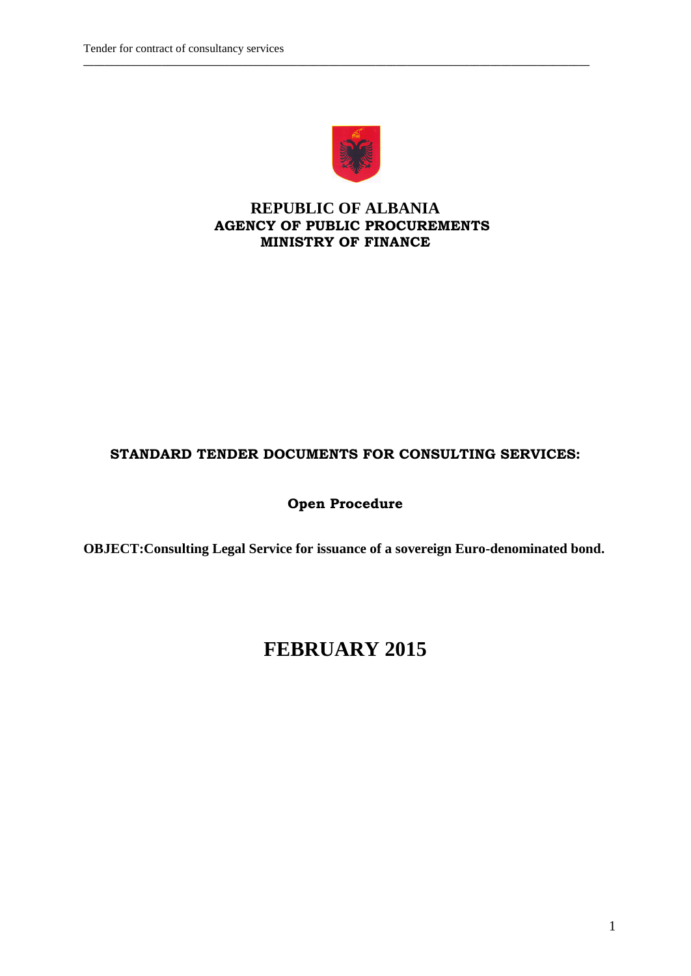

**\_\_\_\_\_\_\_\_\_\_\_\_\_\_\_\_\_\_\_\_\_\_\_\_\_\_\_\_\_\_\_\_\_\_\_\_\_\_\_\_\_\_\_\_\_\_\_\_\_\_\_\_\_\_\_\_\_\_\_\_\_\_\_\_\_\_\_\_\_\_\_\_\_\_\_\_\_\_\_\_\_\_\_\_\_\_\_\_\_\_\_\_\_\_\_\_\_**

### **REPUBLIC OF ALBANIA AGENCY OF PUBLIC PROCUREMENTS MINISTRY OF FINANCE**

### **STANDARD TENDER DOCUMENTS FOR CONSULTING SERVICES:**

### **Open Procedure**

**OBJECT:Consulting Legal Service for issuance of a sovereign Euro-denominated bond.**

# **FEBRUARY 2015**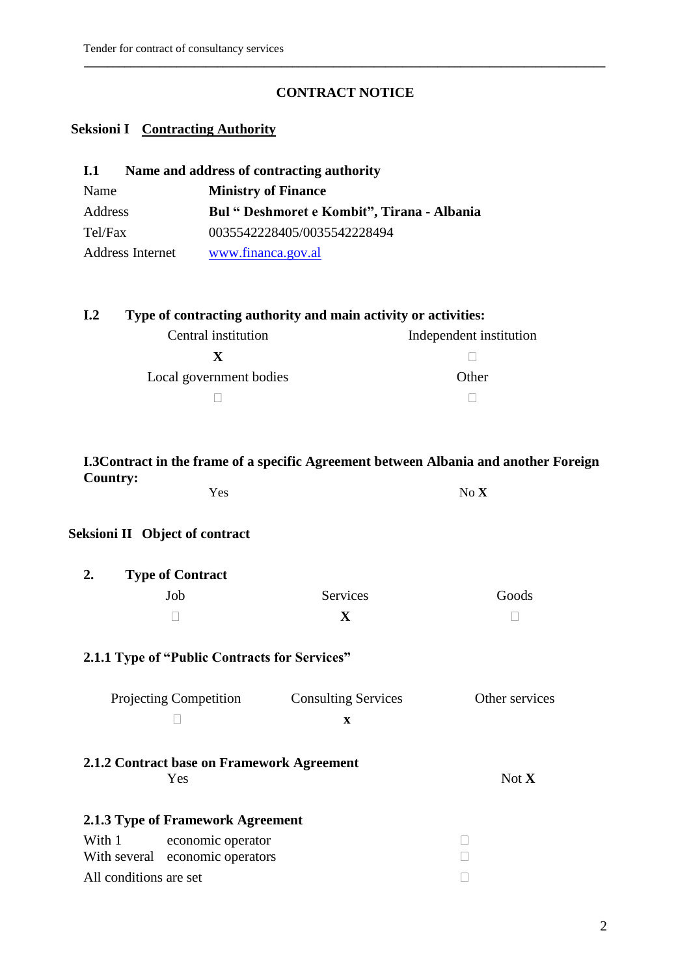### **CONTRACT NOTICE**

**\_\_\_\_\_\_\_\_\_\_\_\_\_\_\_\_\_\_\_\_\_\_\_\_\_\_\_\_\_\_\_\_\_\_\_\_\_\_\_\_\_\_\_\_\_\_\_\_\_\_\_\_\_\_\_\_\_\_\_\_\_\_\_\_\_\_\_\_\_\_\_\_\_\_\_\_\_\_\_\_\_\_\_\_\_\_\_\_\_\_** 

### **Seksioni I Contracting Authority**

| Name and address of contracting authority<br><b>I.1</b> |                                             |  |  |  |
|---------------------------------------------------------|---------------------------------------------|--|--|--|
| Name                                                    | <b>Ministry of Finance</b>                  |  |  |  |
| Address                                                 | Bul " Deshmoret e Kombit", Tirana - Albania |  |  |  |
| Tel/Fax                                                 | 0035542228405/0035542228494                 |  |  |  |
| <b>Address Internet</b>                                 | www.financa.gov.al                          |  |  |  |

# **I.2 Type of contracting authority and main activity or activities:**

| Central institution     | Independent institution |
|-------------------------|-------------------------|
|                         |                         |
| Local government bodies | Other                   |
|                         |                         |

#### **I.3Contract in the frame of a specific Agreement between Albania and another Foreign Country:** Yes No **X**

## **Seksioni II Object of contract**

| 2. | <b>Type of Contract</b> |          |       |
|----|-------------------------|----------|-------|
|    | Job.                    | Services | Goods |
|    |                         |          |       |

### **2.1.1 Type of "Public Contracts for Services"**

| <b>Projecting Competition</b> | <b>Consulting Services</b> | Other services |
|-------------------------------|----------------------------|----------------|
|                               |                            |                |

**2.1.2 Contract base on Framework Agreement** Yes Not **X** 

### **2.1.3 Type of Framework Agreement**

| With 1                 | economic operator               |  |
|------------------------|---------------------------------|--|
|                        | With several economic operators |  |
| All conditions are set |                                 |  |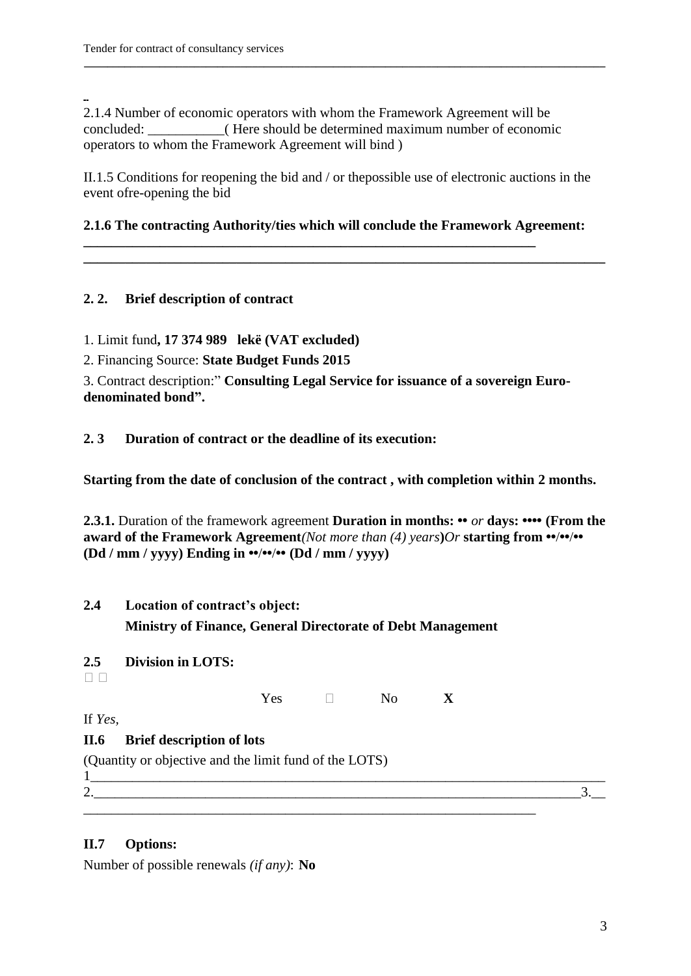2.1.4 Number of economic operators with whom the Framework Agreement will be concluded: \_\_\_\_\_\_\_\_\_\_\_( Here should be determined maximum number of economic operators to whom the Framework Agreement will bind )

II.1.5 Conditions for reopening the bid and / or thepossible use of electronic auctions in the event ofre-opening the bid

**\_\_\_\_\_\_\_\_\_\_\_\_\_\_\_\_\_\_\_\_\_\_\_\_\_\_\_\_\_\_\_\_\_\_\_\_\_\_\_\_\_\_\_\_\_\_\_\_\_\_\_\_\_\_\_\_\_\_\_\_\_\_\_\_\_\_\_\_\_\_\_\_\_\_\_\_\_\_\_\_\_\_\_\_\_\_\_\_\_\_** 

#### **2.1.6 The contracting Authority/ties which will conclude the Framework Agreement:**

**\_\_\_\_\_\_\_\_\_\_\_\_\_\_\_\_\_\_\_\_\_\_\_\_\_\_\_\_\_\_\_\_\_\_\_\_\_\_\_\_\_\_\_\_\_\_\_\_\_\_\_\_\_\_\_\_\_\_\_\_\_\_\_\_\_\_\_\_\_\_\_\_\_\_\_**

**\_\_\_\_\_\_\_\_\_\_\_\_\_\_\_\_\_\_\_\_\_\_\_\_\_\_\_\_\_\_\_\_\_\_\_\_\_\_\_\_\_\_\_\_\_\_\_\_\_\_\_\_\_\_\_\_\_\_\_\_\_\_\_\_\_**

### **2. 2. Brief description of contract**

1. Limit fund**, 17 374 989 lekë (VAT excluded)**

2. Financing Source: **State Budget Funds 2015**

3. Contract description:" **Consulting Legal Service for issuance of a sovereign Eurodenominated bond".**

**2. 3 Duration of contract or the deadline of its execution:**

**Starting from the date of conclusion of the contract , with completion within 2 months.**

**2.3.1.** Duration of the framework agreement **Duration in months: ••** *or* **days: •••• (From the award of the Framework Agreement***(Not more than (4) years***)***Or* **starting from ••**/**••**/**•• (Dd / mm / yyyy) Ending in ••**/**••**/**•• (Dd / mm / yyyy)**

# **2.4 Location of contract"s object: Ministry of Finance, General Directorate of Debt Management**

### **2.5 Division in LOTS:**

 $\Box$   $\Box$ 

Yes  $\Box$  No **X** 

\_\_\_\_\_\_\_\_\_\_\_\_\_\_\_\_\_\_\_\_\_\_\_\_\_\_\_\_\_\_\_\_\_\_\_\_\_\_\_\_\_\_\_\_\_\_\_\_\_\_\_\_\_\_\_\_\_\_\_\_\_\_\_\_\_

If *Yes,*

### **II.6 Brief description of lots**

(Quantity or objective and the limit fund of the LOTS)

 $1$ 2.  $\frac{3.1}{2.1}$ 

### **II.7 Options:**

Number of possible renewals *(if any)*: **No**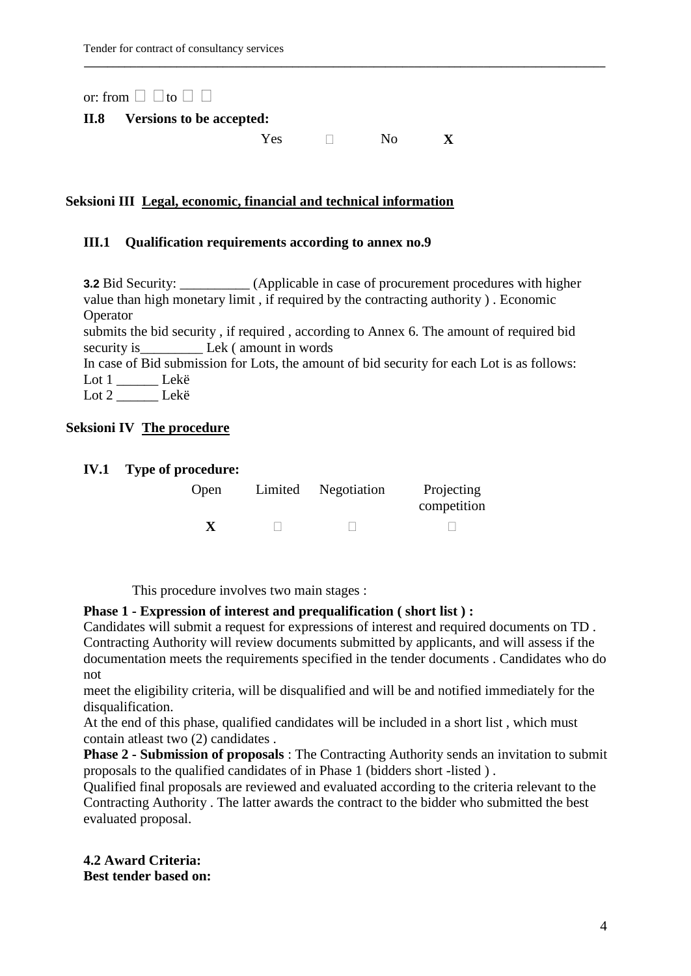or: from  $\Box$   $\Box$  to  $\Box$   $\Box$ 

#### **II.8 Versions to be accepted:**

Yes  $\Box$  No **X** 

**\_\_\_\_\_\_\_\_\_\_\_\_\_\_\_\_\_\_\_\_\_\_\_\_\_\_\_\_\_\_\_\_\_\_\_\_\_\_\_\_\_\_\_\_\_\_\_\_\_\_\_\_\_\_\_\_\_\_\_\_\_\_\_\_\_\_\_\_\_\_\_\_\_\_\_\_\_\_\_\_\_\_\_\_\_\_\_\_\_\_** 

#### **Seksioni III Legal, economic, financial and technical information**

#### **III.1 Qualification requirements according to annex no.9**

**3.2** Bid Security: \_\_\_\_\_\_\_\_\_\_ (Applicable in case of procurement procedures with higher value than high monetary limit , if required by the contracting authority ) . Economic **Operator** 

submits the bid security , if required , according to Annex 6. The amount of required bid security is\_\_\_\_\_\_\_\_\_\_\_\_\_ Lek ( amount in words

In case of Bid submission for Lots, the amount of bid security for each Lot is as follows: Lot 1 \_\_\_\_\_\_ Lekë

Lot 2 \_\_\_\_\_\_ Lekë

#### **Seksioni IV The procedure**

#### **IV.1 Type of procedure:**

| Open | Limited Negotiation | Projecting<br>competition |
|------|---------------------|---------------------------|
| X    |                     |                           |

This procedure involves two main stages :

#### **Phase 1 - Expression of interest and prequalification ( short list ) :**

Candidates will submit a request for expressions of interest and required documents on TD . Contracting Authority will review documents submitted by applicants, and will assess if the documentation meets the requirements specified in the tender documents . Candidates who do not

meet the eligibility criteria, will be disqualified and will be and notified immediately for the disqualification.

At the end of this phase, qualified candidates will be included in a short list , which must contain atleast two (2) candidates .

**Phase 2 - Submission of proposals** : The Contracting Authority sends an invitation to submit proposals to the qualified candidates of in Phase 1 (bidders short -listed ) .

Qualified final proposals are reviewed and evaluated according to the criteria relevant to the Contracting Authority . The latter awards the contract to the bidder who submitted the best evaluated proposal.

#### **4.2 Award Criteria: Best tender based on:**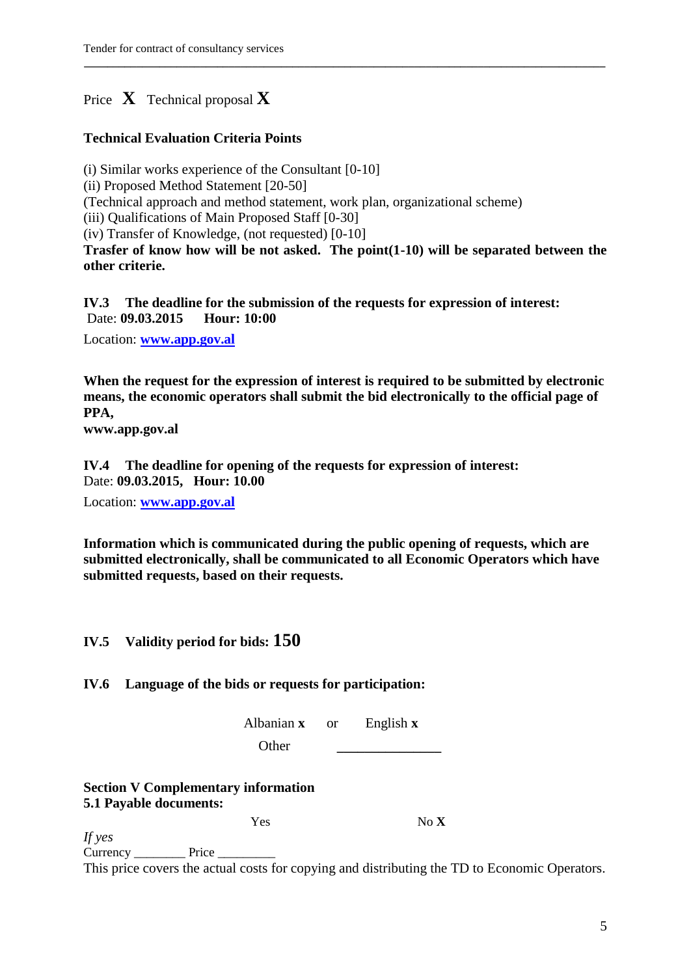# Price  $\bf{X}$  Technical proposal  $\bf{X}$

#### **Technical Evaluation Criteria Points**

(i) Similar works experience of the Consultant [0-10]

(ii) Proposed Method Statement [20-50]

(Technical approach and method statement, work plan, organizational scheme)

(iii) Qualifications of Main Proposed Staff [0-30]

(iv) Transfer of Knowledge, (not requested) [0-10]

**Trasfer of know how will be not asked. The point(1-10) will be separated between the other criterie.**

**\_\_\_\_\_\_\_\_\_\_\_\_\_\_\_\_\_\_\_\_\_\_\_\_\_\_\_\_\_\_\_\_\_\_\_\_\_\_\_\_\_\_\_\_\_\_\_\_\_\_\_\_\_\_\_\_\_\_\_\_\_\_\_\_\_\_\_\_\_\_\_\_\_\_\_\_\_\_\_\_\_\_\_\_\_\_\_\_\_\_** 

**IV.3 The deadline for the submission of the requests for expression of interest:** Date: **09.03.2015 Hour: 10:00**

Location: **[www.app.gov.al](http://www.app.gov.al/)**

**When the request for the expression of interest is required to be submitted by electronic means, the economic operators shall submit the bid electronically to the official page of PPA,**

**www.app.gov.al**

**IV.4 The deadline for opening of the requests for expression of interest:** Date: **09.03.2015, Hour: 10.00** 

Location: **[www.app.gov.al](http://www.app.gov.al/)**

**Information which is communicated during the public opening of requests, which are submitted electronically, shall be communicated to all Economic Operators which have submitted requests, based on their requests.**

### **IV.5 Validity period for bids: 150**

### **IV.6 Language of the bids or requests for participation:**

Albanian **x** or English **x**

Other **\_\_\_\_\_\_\_\_\_\_\_\_\_\_\_**

### **Section V Complementary information 5.1 Payable documents:**

Yes No **X** 

*If yes* Currency \_\_\_\_\_\_\_\_\_\_\_\_ Price \_

This price covers the actual costs for copying and distributing the TD to Economic Operators.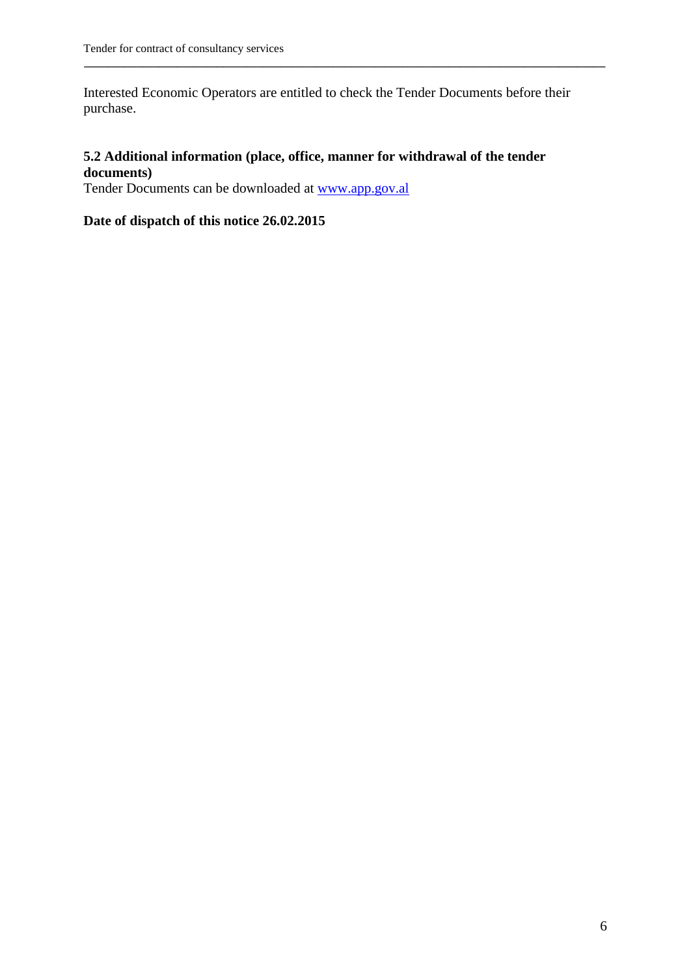Interested Economic Operators are entitled to check the Tender Documents before their purchase.

**\_\_\_\_\_\_\_\_\_\_\_\_\_\_\_\_\_\_\_\_\_\_\_\_\_\_\_\_\_\_\_\_\_\_\_\_\_\_\_\_\_\_\_\_\_\_\_\_\_\_\_\_\_\_\_\_\_\_\_\_\_\_\_\_\_\_\_\_\_\_\_\_\_\_\_\_\_\_\_\_\_\_\_\_\_\_\_\_\_\_** 

### **5.2 Additional information (place, office, manner for withdrawal of the tender documents)**

Tender Documents can be downloaded at [www.app.gov.al](http://www.app.gov.al/)

### **Date of dispatch of this notice 26.02.2015**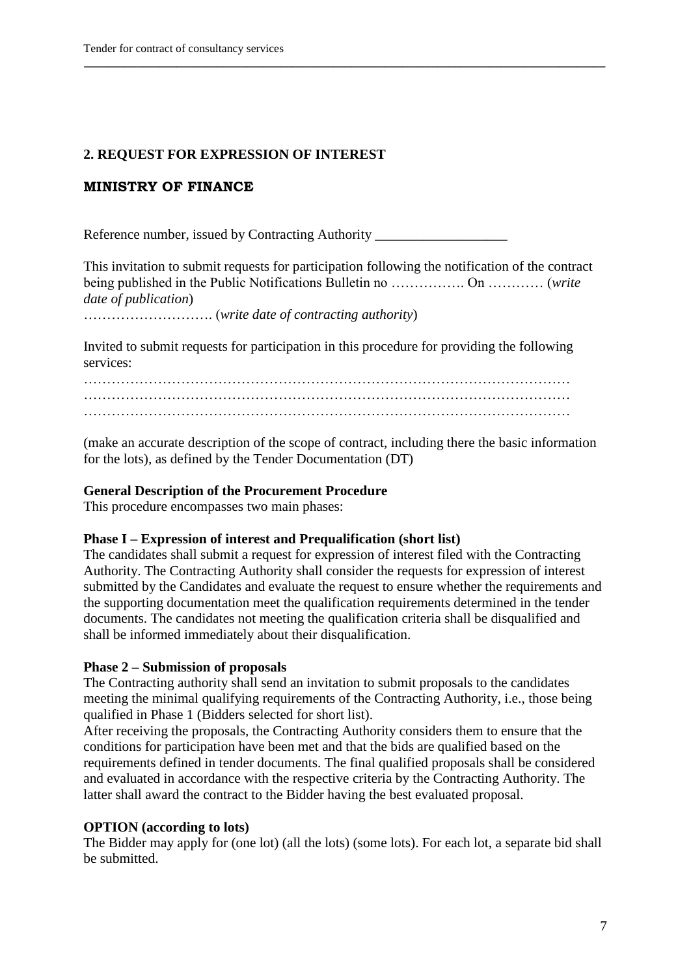#### **2. REQUEST FOR EXPRESSION OF INTEREST**

#### **MINISTRY OF FINANCE**

Reference number, issued by Contracting Authority

This invitation to submit requests for participation following the notification of the contract being published in the Public Notifications Bulletin no ……………. On ………… (*write date of publication*)

**\_\_\_\_\_\_\_\_\_\_\_\_\_\_\_\_\_\_\_\_\_\_\_\_\_\_\_\_\_\_\_\_\_\_\_\_\_\_\_\_\_\_\_\_\_\_\_\_\_\_\_\_\_\_\_\_\_\_\_\_\_\_\_\_\_\_\_\_\_\_\_\_\_\_\_\_\_\_\_\_\_\_\_\_\_\_\_\_\_\_** 

………………………. (*write date of contracting authority*)

Invited to submit requests for participation in this procedure for providing the following services:

…………………………………………………………………………………………… …………………………………………………………………………………………… ……………………………………………………………………………………………

(make an accurate description of the scope of contract, including there the basic information for the lots), as defined by the Tender Documentation (DT)

#### **General Description of the Procurement Procedure**

This procedure encompasses two main phases:

#### **Phase I – Expression of interest and Prequalification (short list)**

The candidates shall submit a request for expression of interest filed with the Contracting Authority. The Contracting Authority shall consider the requests for expression of interest submitted by the Candidates and evaluate the request to ensure whether the requirements and the supporting documentation meet the qualification requirements determined in the tender documents. The candidates not meeting the qualification criteria shall be disqualified and shall be informed immediately about their disqualification.

#### **Phase 2 – Submission of proposals**

The Contracting authority shall send an invitation to submit proposals to the candidates meeting the minimal qualifying requirements of the Contracting Authority, i.e., those being qualified in Phase 1 (Bidders selected for short list).

After receiving the proposals, the Contracting Authority considers them to ensure that the conditions for participation have been met and that the bids are qualified based on the requirements defined in tender documents. The final qualified proposals shall be considered and evaluated in accordance with the respective criteria by the Contracting Authority. The latter shall award the contract to the Bidder having the best evaluated proposal.

#### **OPTION (according to lots)**

The Bidder may apply for (one lot) (all the lots) (some lots). For each lot, a separate bid shall be submitted.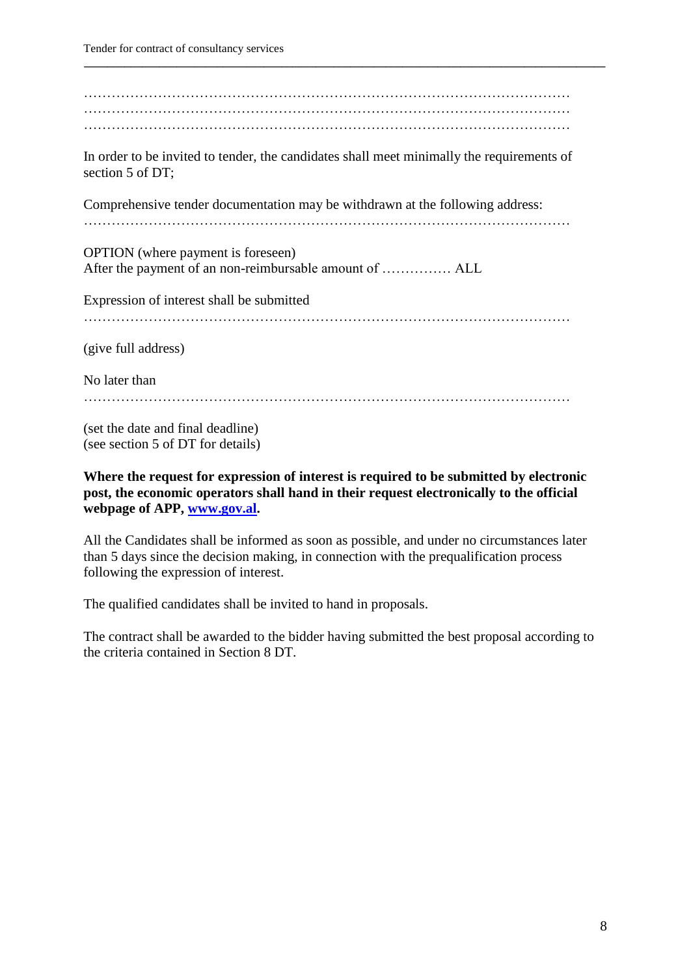| In order to be invited to tender, the candidates shall meet minimally the requirements of<br>section 5 of DT; |
|---------------------------------------------------------------------------------------------------------------|
| Comprehensive tender documentation may be withdrawn at the following address:                                 |
| <b>OPTION</b> (where payment is foreseen)                                                                     |
| After the payment of an non-reimbursable amount of  ALL                                                       |
| Expression of interest shall be submitted                                                                     |
|                                                                                                               |
| (give full address)                                                                                           |
| No later than                                                                                                 |
|                                                                                                               |
| (set the date and final deadline)<br>(see section 5 of DT for details)                                        |

**\_\_\_\_\_\_\_\_\_\_\_\_\_\_\_\_\_\_\_\_\_\_\_\_\_\_\_\_\_\_\_\_\_\_\_\_\_\_\_\_\_\_\_\_\_\_\_\_\_\_\_\_\_\_\_\_\_\_\_\_\_\_\_\_\_\_\_\_\_\_\_\_\_\_\_\_\_\_\_\_\_\_\_\_\_\_\_\_\_\_** 

**Where the request for expression of interest is required to be submitted by electronic post, the economic operators shall hand in their request electronically to the official webpage of APP, [www.gov.al.](http://www.gov.al/)** 

All the Candidates shall be informed as soon as possible, and under no circumstances later than 5 days since the decision making, in connection with the prequalification process following the expression of interest.

The qualified candidates shall be invited to hand in proposals.

The contract shall be awarded to the bidder having submitted the best proposal according to the criteria contained in Section 8 DT.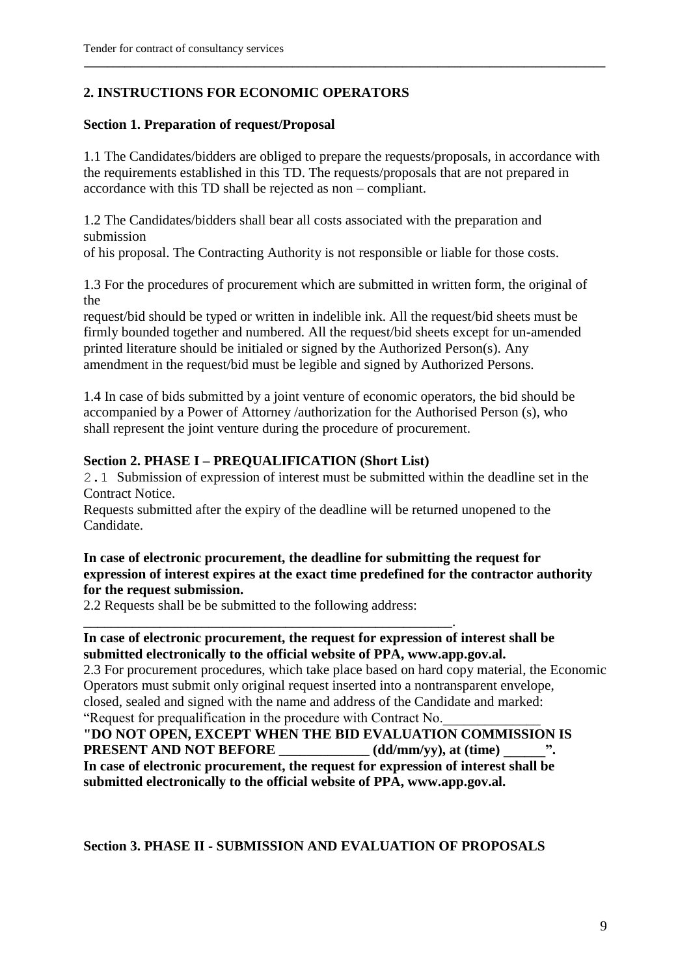### **2. INSTRUCTIONS FOR ECONOMIC OPERATORS**

#### **Section 1. Preparation of request/Proposal**

1.1 The Candidates/bidders are obliged to prepare the requests/proposals, in accordance with the requirements established in this TD. The requests/proposals that are not prepared in accordance with this TD shall be rejected as non – compliant.

**\_\_\_\_\_\_\_\_\_\_\_\_\_\_\_\_\_\_\_\_\_\_\_\_\_\_\_\_\_\_\_\_\_\_\_\_\_\_\_\_\_\_\_\_\_\_\_\_\_\_\_\_\_\_\_\_\_\_\_\_\_\_\_\_\_\_\_\_\_\_\_\_\_\_\_\_\_\_\_\_\_\_\_\_\_\_\_\_\_\_** 

1.2 The Candidates/bidders shall bear all costs associated with the preparation and submission

of his proposal. The Contracting Authority is not responsible or liable for those costs.

1.3 For the procedures of procurement which are submitted in written form, the original of the

request/bid should be typed or written in indelible ink. All the request/bid sheets must be firmly bounded together and numbered. All the request/bid sheets except for un-amended printed literature should be initialed or signed by the Authorized Person(s). Any amendment in the request/bid must be legible and signed by Authorized Persons.

1.4 In case of bids submitted by a joint venture of economic operators, the bid should be accompanied by a Power of Attorney /authorization for the Authorised Person (s), who shall represent the joint venture during the procedure of procurement.

#### **Section 2. PHASE I – PREQUALIFICATION (Short List)**

2.1 Submission of expression of interest must be submitted within the deadline set in the Contract Notice.

Requests submitted after the expiry of the deadline will be returned unopened to the Candidate.

### **In case of electronic procurement, the deadline for submitting the request for expression of interest expires at the exact time predefined for the contractor authority for the request submission.**

2.2 Requests shall be be submitted to the following address:

\_\_\_\_\_\_\_\_\_\_\_\_\_\_\_\_\_\_\_\_\_\_\_\_\_\_\_\_\_\_\_\_\_\_\_\_\_\_\_\_\_\_\_\_\_\_\_\_\_\_\_\_\_.

#### **In case of electronic procurement, the request for expression of interest shall be submitted electronically to the official website of PPA, www.app.gov.al.**

2.3 For procurement procedures, which take place based on hard copy material, the Economic Operators must submit only original request inserted into a nontransparent envelope, closed, sealed and signed with the name and address of the Candidate and marked: "Request for prequalification in the procedure with Contract No.\_\_\_\_\_\_\_\_\_\_\_\_\_\_

**"DO NOT OPEN, EXCEPT WHEN THE BID EVALUATION COMMISSION IS PRESENT AND NOT BEFORE** (dd/mm/yy), at (time)  $\cdot$ . **In case of electronic procurement, the request for expression of interest shall be submitted electronically to the official website of PPA, www.app.gov.al.**

#### **Section 3. PHASE II - SUBMISSION AND EVALUATION OF PROPOSALS**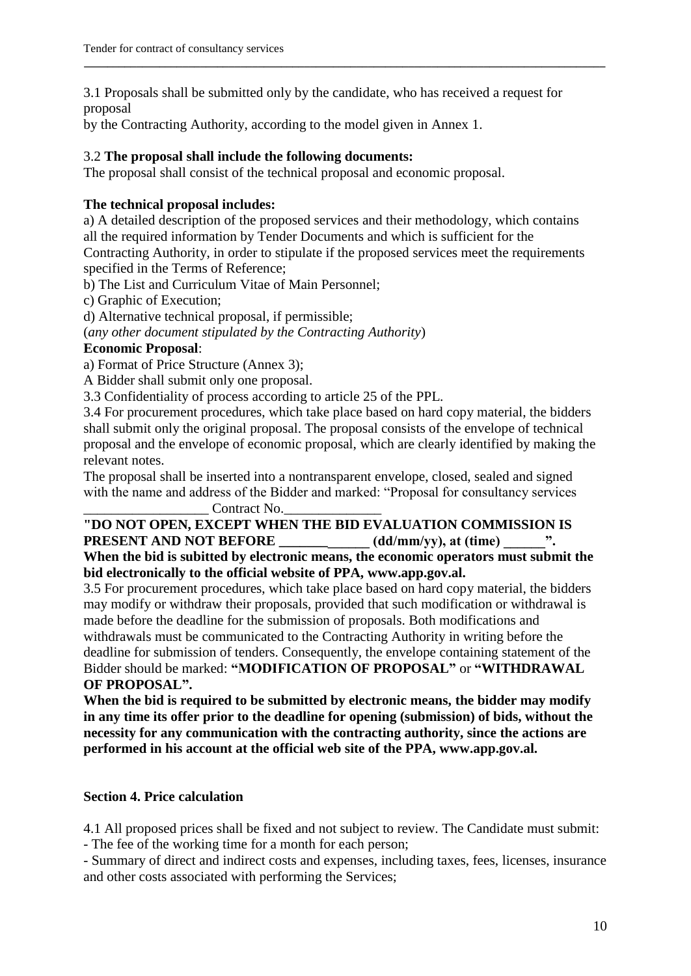3.1 Proposals shall be submitted only by the candidate, who has received a request for proposal

**\_\_\_\_\_\_\_\_\_\_\_\_\_\_\_\_\_\_\_\_\_\_\_\_\_\_\_\_\_\_\_\_\_\_\_\_\_\_\_\_\_\_\_\_\_\_\_\_\_\_\_\_\_\_\_\_\_\_\_\_\_\_\_\_\_\_\_\_\_\_\_\_\_\_\_\_\_\_\_\_\_\_\_\_\_\_\_\_\_\_** 

by the Contracting Authority, according to the model given in Annex 1.

### 3.2 **The proposal shall include the following documents:**

The proposal shall consist of the technical proposal and economic proposal.

### **The technical proposal includes:**

a) A detailed description of the proposed services and their methodology, which contains all the required information by Tender Documents and which is sufficient for the Contracting Authority, in order to stipulate if the proposed services meet the requirements specified in the Terms of Reference;

b) The List and Curriculum Vitae of Main Personnel;

c) Graphic of Execution;

d) Alternative technical proposal, if permissible;

(*any other document stipulated by the Contracting Authority*)

### **Economic Proposal**:

a) Format of Price Structure (Annex 3);

A Bidder shall submit only one proposal.

3.3 Confidentiality of process according to article 25 of the PPL.

3.4 For procurement procedures, which take place based on hard copy material, the bidders shall submit only the original proposal. The proposal consists of the envelope of technical proposal and the envelope of economic proposal, which are clearly identified by making the relevant notes.

The proposal shall be inserted into a nontransparent envelope, closed, sealed and signed with the name and address of the Bidder and marked: "Proposal for consultancy services

Contract No.

#### **"DO NOT OPEN, EXCEPT WHEN THE BID EVALUATION COMMISSION IS PRESENT AND NOT BEFORE \_\_\_\_\_\_\_\_\_\_\_\_\_ (dd/mm/yy), at (time) \_\_\_\_\_\_". When the bid is subitted by electronic means, the economic operators must submit the**

**bid electronically to the official website of PPA, www.app.gov.al.**

3.5 For procurement procedures, which take place based on hard copy material, the bidders may modify or withdraw their proposals, provided that such modification or withdrawal is made before the deadline for the submission of proposals. Both modifications and withdrawals must be communicated to the Contracting Authority in writing before the deadline for submission of tenders. Consequently, the envelope containing statement of the Bidder should be marked: **"MODIFICATION OF PROPOSAL"** or **"WITHDRAWAL OF PROPOSAL".**

**When the bid is required to be submitted by electronic means, the bidder may modify in any time its offer prior to the deadline for opening (submission) of bids, without the necessity for any communication with the contracting authority, since the actions are performed in his account at the official web site of the PPA, www.app.gov.al.**

### **Section 4. Price calculation**

4.1 All proposed prices shall be fixed and not subject to review. The Candidate must submit: - The fee of the working time for a month for each person;

- Summary of direct and indirect costs and expenses, including taxes, fees, licenses, insurance and other costs associated with performing the Services;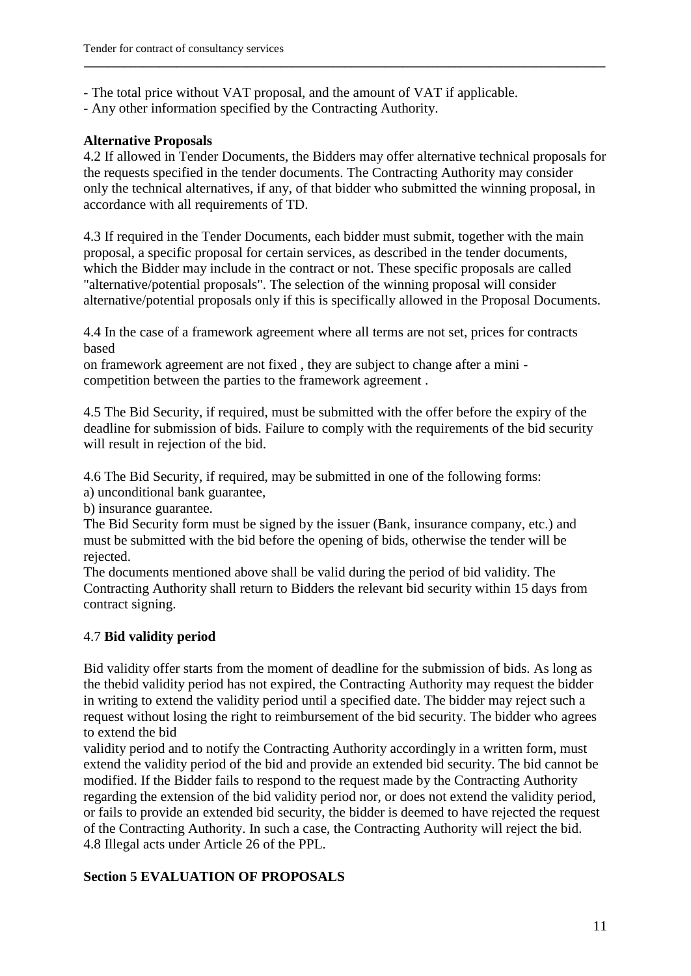- The total price without VAT proposal, and the amount of VAT if applicable.

- Any other information specified by the Contracting Authority.

### **Alternative Proposals**

4.2 If allowed in Tender Documents, the Bidders may offer alternative technical proposals for the requests specified in the tender documents. The Contracting Authority may consider only the technical alternatives, if any, of that bidder who submitted the winning proposal, in accordance with all requirements of TD.

**\_\_\_\_\_\_\_\_\_\_\_\_\_\_\_\_\_\_\_\_\_\_\_\_\_\_\_\_\_\_\_\_\_\_\_\_\_\_\_\_\_\_\_\_\_\_\_\_\_\_\_\_\_\_\_\_\_\_\_\_\_\_\_\_\_\_\_\_\_\_\_\_\_\_\_\_\_\_\_\_\_\_\_\_\_\_\_\_\_\_** 

4.3 If required in the Tender Documents, each bidder must submit, together with the main proposal, a specific proposal for certain services, as described in the tender documents, which the Bidder may include in the contract or not. These specific proposals are called "alternative/potential proposals". The selection of the winning proposal will consider alternative/potential proposals only if this is specifically allowed in the Proposal Documents.

4.4 In the case of a framework agreement where all terms are not set, prices for contracts based

on framework agreement are not fixed , they are subject to change after a mini competition between the parties to the framework agreement .

4.5 The Bid Security, if required, must be submitted with the offer before the expiry of the deadline for submission of bids. Failure to comply with the requirements of the bid security will result in rejection of the bid.

4.6 The Bid Security, if required, may be submitted in one of the following forms:

a) unconditional bank guarantee,

b) insurance guarantee.

The Bid Security form must be signed by the issuer (Bank, insurance company, etc.) and must be submitted with the bid before the opening of bids, otherwise the tender will be rejected.

The documents mentioned above shall be valid during the period of bid validity. The Contracting Authority shall return to Bidders the relevant bid security within 15 days from contract signing.

### 4.7 **Bid validity period**

Bid validity offer starts from the moment of deadline for the submission of bids. As long as the thebid validity period has not expired, the Contracting Authority may request the bidder in writing to extend the validity period until a specified date. The bidder may reject such a request without losing the right to reimbursement of the bid security. The bidder who agrees to extend the bid

validity period and to notify the Contracting Authority accordingly in a written form, must extend the validity period of the bid and provide an extended bid security. The bid cannot be modified. If the Bidder fails to respond to the request made by the Contracting Authority regarding the extension of the bid validity period nor, or does not extend the validity period, or fails to provide an extended bid security, the bidder is deemed to have rejected the request of the Contracting Authority. In such a case, the Contracting Authority will reject the bid. 4.8 Illegal acts under Article 26 of the PPL.

### **Section 5 EVALUATION OF PROPOSALS**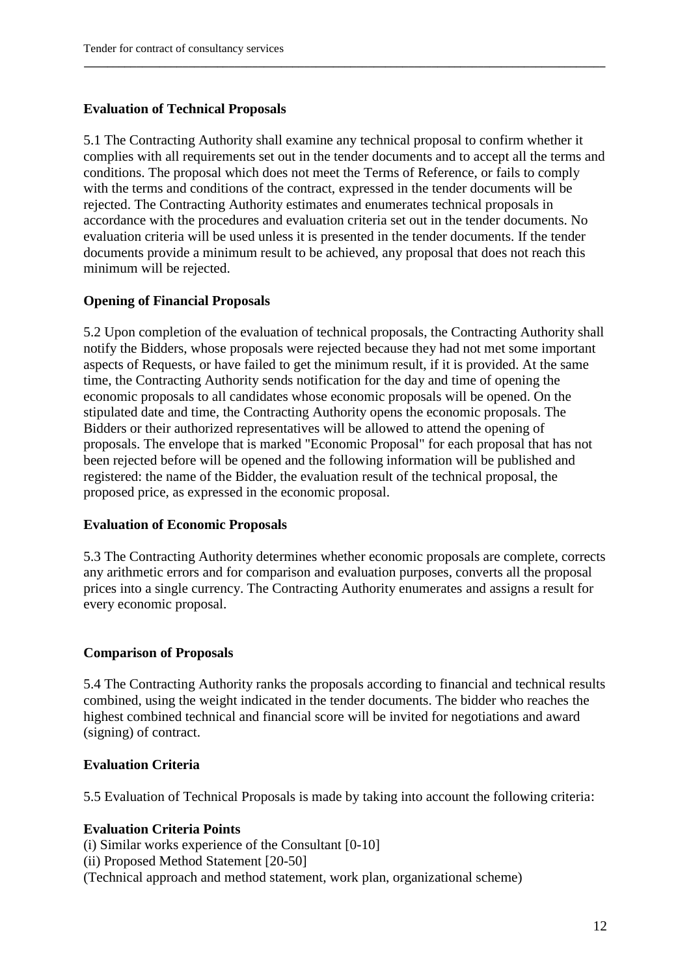#### **Evaluation of Technical Proposals**

5.1 The Contracting Authority shall examine any technical proposal to confirm whether it complies with all requirements set out in the tender documents and to accept all the terms and conditions. The proposal which does not meet the Terms of Reference, or fails to comply with the terms and conditions of the contract, expressed in the tender documents will be rejected. The Contracting Authority estimates and enumerates technical proposals in accordance with the procedures and evaluation criteria set out in the tender documents. No evaluation criteria will be used unless it is presented in the tender documents. If the tender documents provide a minimum result to be achieved, any proposal that does not reach this minimum will be rejected.

**\_\_\_\_\_\_\_\_\_\_\_\_\_\_\_\_\_\_\_\_\_\_\_\_\_\_\_\_\_\_\_\_\_\_\_\_\_\_\_\_\_\_\_\_\_\_\_\_\_\_\_\_\_\_\_\_\_\_\_\_\_\_\_\_\_\_\_\_\_\_\_\_\_\_\_\_\_\_\_\_\_\_\_\_\_\_\_\_\_\_** 

#### **Opening of Financial Proposals**

5.2 Upon completion of the evaluation of technical proposals, the Contracting Authority shall notify the Bidders, whose proposals were rejected because they had not met some important aspects of Requests, or have failed to get the minimum result, if it is provided. At the same time, the Contracting Authority sends notification for the day and time of opening the economic proposals to all candidates whose economic proposals will be opened. On the stipulated date and time, the Contracting Authority opens the economic proposals. The Bidders or their authorized representatives will be allowed to attend the opening of proposals. The envelope that is marked "Economic Proposal" for each proposal that has not been rejected before will be opened and the following information will be published and registered: the name of the Bidder, the evaluation result of the technical proposal, the proposed price, as expressed in the economic proposal.

#### **Evaluation of Economic Proposals**

5.3 The Contracting Authority determines whether economic proposals are complete, corrects any arithmetic errors and for comparison and evaluation purposes, converts all the proposal prices into a single currency. The Contracting Authority enumerates and assigns a result for every economic proposal.

#### **Comparison of Proposals**

5.4 The Contracting Authority ranks the proposals according to financial and technical results combined, using the weight indicated in the tender documents. The bidder who reaches the highest combined technical and financial score will be invited for negotiations and award (signing) of contract.

#### **Evaluation Criteria**

5.5 Evaluation of Technical Proposals is made by taking into account the following criteria:

#### **Evaluation Criteria Points**

(i) Similar works experience of the Consultant [0-10] (ii) Proposed Method Statement [20-50] (Technical approach and method statement, work plan, organizational scheme)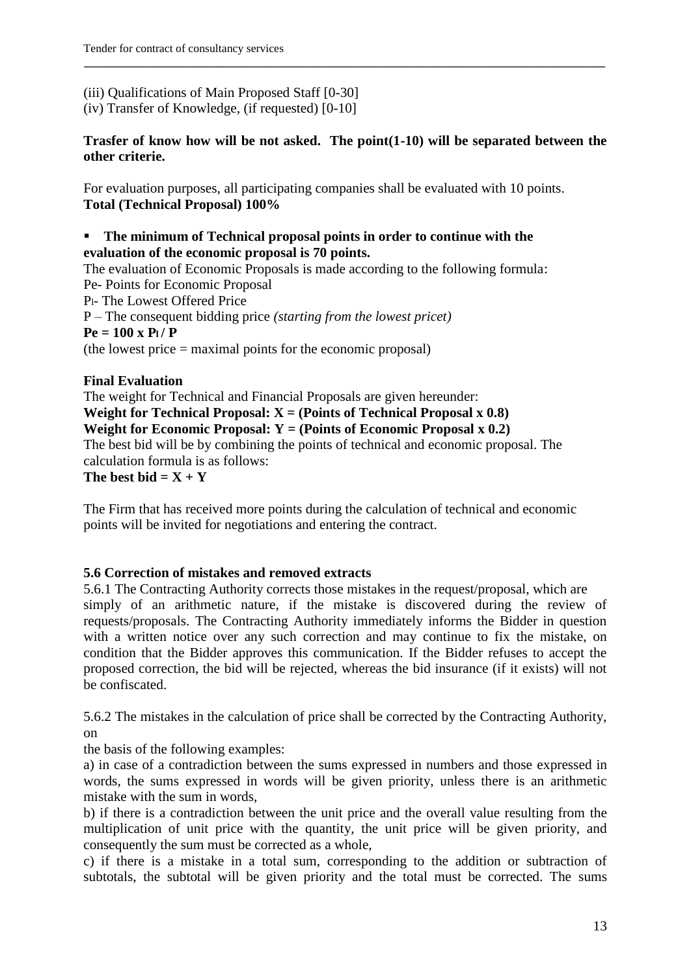# (iii) Qualifications of Main Proposed Staff [0-30]

(iv) Transfer of Knowledge, (if requested) [0-10]

### **Trasfer of know how will be not asked. The point(1-10) will be separated between the other criterie.**

**\_\_\_\_\_\_\_\_\_\_\_\_\_\_\_\_\_\_\_\_\_\_\_\_\_\_\_\_\_\_\_\_\_\_\_\_\_\_\_\_\_\_\_\_\_\_\_\_\_\_\_\_\_\_\_\_\_\_\_\_\_\_\_\_\_\_\_\_\_\_\_\_\_\_\_\_\_\_\_\_\_\_\_\_\_\_\_\_\_\_** 

For evaluation purposes, all participating companies shall be evaluated with 10 points. **Total (Technical Proposal) 100%**

### **The minimum of Technical proposal points in order to continue with the evaluation of the economic proposal is 70 points.**

The evaluation of Economic Proposals is made according to the following formula: Pe- Points for Economic Proposal Pl- The Lowest Offered Price P – The consequent bidding price *(starting from the lowest pricet)*  $P_e = 100 \times P_l / P$ (the lowest price = maximal points for the economic proposal)

### **Final Evaluation**

The weight for Technical and Financial Proposals are given hereunder: **Weight for Technical Proposal:**  $X = (Points of Technical Proposal x 0.8)$ **Weight for Economic Proposal:**  $Y = (Points of Economic Proposal x 0.2)$ The best bid will be by combining the points of technical and economic proposal. The calculation formula is as follows: The best bid  $= X + Y$ 

The Firm that has received more points during the calculation of technical and economic points will be invited for negotiations and entering the contract.

### **5.6 Correction of mistakes and removed extracts**

5.6.1 The Contracting Authority corrects those mistakes in the request/proposal, which are simply of an arithmetic nature, if the mistake is discovered during the review of requests/proposals. The Contracting Authority immediately informs the Bidder in question with a written notice over any such correction and may continue to fix the mistake, on condition that the Bidder approves this communication. If the Bidder refuses to accept the proposed correction, the bid will be rejected, whereas the bid insurance (if it exists) will not be confiscated.

5.6.2 The mistakes in the calculation of price shall be corrected by the Contracting Authority, on

the basis of the following examples:

a) in case of a contradiction between the sums expressed in numbers and those expressed in words, the sums expressed in words will be given priority, unless there is an arithmetic mistake with the sum in words,

b) if there is a contradiction between the unit price and the overall value resulting from the multiplication of unit price with the quantity, the unit price will be given priority, and consequently the sum must be corrected as a whole,

c) if there is a mistake in a total sum, corresponding to the addition or subtraction of subtotals, the subtotal will be given priority and the total must be corrected. The sums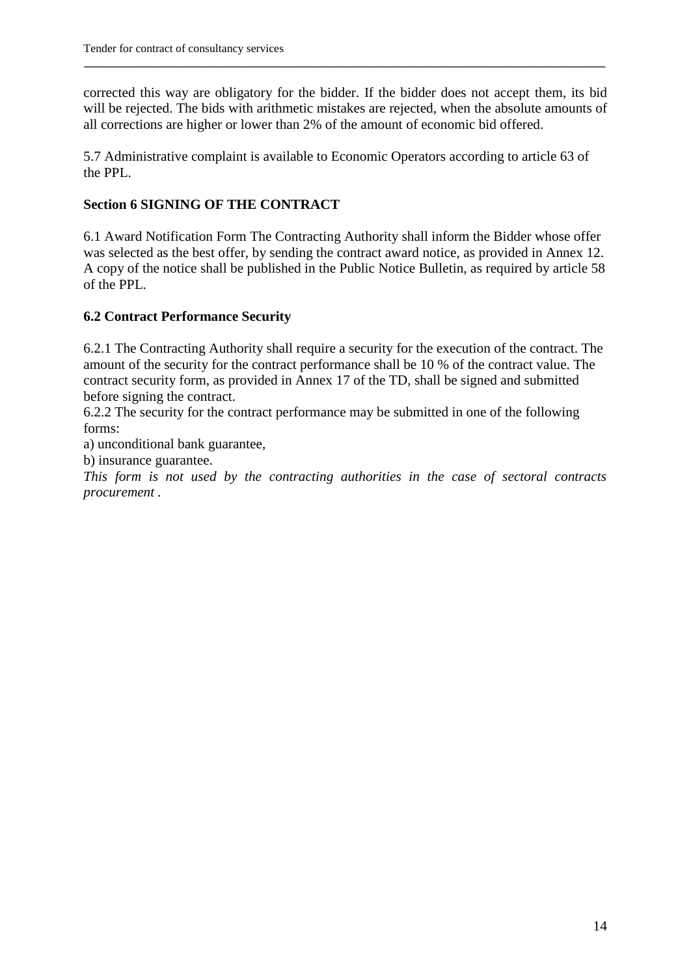corrected this way are obligatory for the bidder. If the bidder does not accept them, its bid will be rejected. The bids with arithmetic mistakes are rejected, when the absolute amounts of all corrections are higher or lower than 2% of the amount of economic bid offered.

**\_\_\_\_\_\_\_\_\_\_\_\_\_\_\_\_\_\_\_\_\_\_\_\_\_\_\_\_\_\_\_\_\_\_\_\_\_\_\_\_\_\_\_\_\_\_\_\_\_\_\_\_\_\_\_\_\_\_\_\_\_\_\_\_\_\_\_\_\_\_\_\_\_\_\_\_\_\_\_\_\_\_\_\_\_\_\_\_\_\_** 

5.7 Administrative complaint is available to Economic Operators according to article 63 of the PPL.

### **Section 6 SIGNING OF THE CONTRACT**

6.1 Award Notification Form The Contracting Authority shall inform the Bidder whose offer was selected as the best offer, by sending the contract award notice, as provided in Annex 12. A copy of the notice shall be published in the Public Notice Bulletin, as required by article 58 of the PPL.

### **6.2 Contract Performance Security**

6.2.1 The Contracting Authority shall require a security for the execution of the contract. The amount of the security for the contract performance shall be 10 % of the contract value. The contract security form, as provided in Annex 17 of the TD, shall be signed and submitted before signing the contract.

6.2.2 The security for the contract performance may be submitted in one of the following forms:

a) unconditional bank guarantee,

b) insurance guarantee.

*This form is not used by the contracting authorities in the case of sectoral contracts procurement .*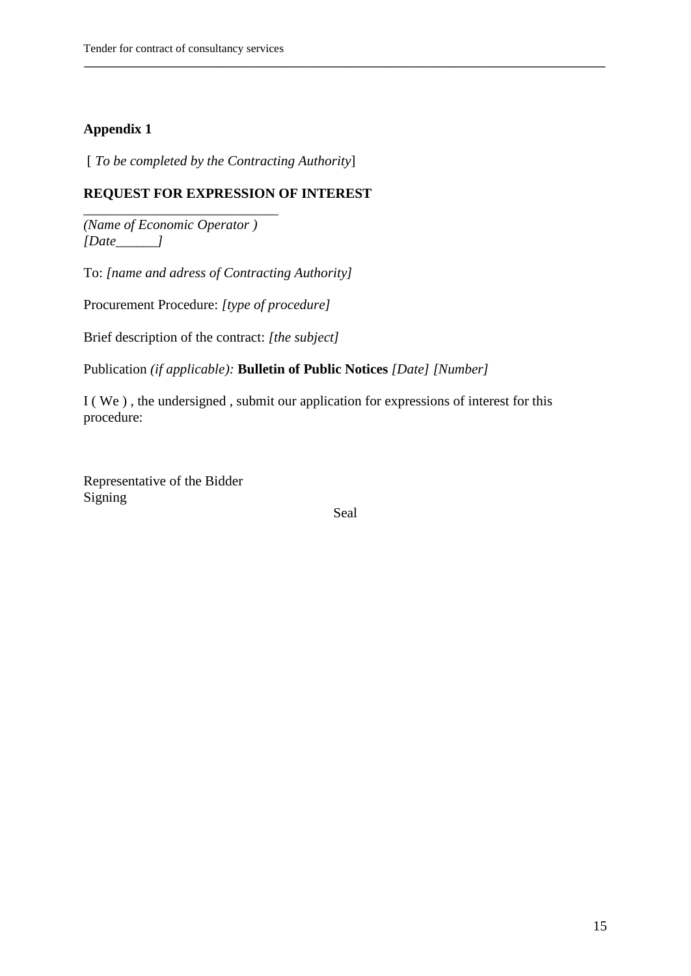### **Appendix 1**

[ *To be completed by the Contracting Authority*]

### **REQUEST FOR EXPRESSION OF INTEREST**

*(Name of Economic Operator ) [Date\_\_\_\_\_\_]*

\_\_\_\_\_\_\_\_\_\_\_\_\_\_\_\_\_\_\_\_\_\_\_\_\_\_\_\_

To: *[name and adress of Contracting Authority]*

Procurement Procedure: *[type of procedure]*

Brief description of the contract: *[the subject]*

Publication *(if applicable):* **Bulletin of Public Notices** *[Date] [Number]*

I ( We ) , the undersigned , submit our application for expressions of interest for this procedure:

Representative of the Bidder Signing

Seal

**\_\_\_\_\_\_\_\_\_\_\_\_\_\_\_\_\_\_\_\_\_\_\_\_\_\_\_\_\_\_\_\_\_\_\_\_\_\_\_\_\_\_\_\_\_\_\_\_\_\_\_\_\_\_\_\_\_\_\_\_\_\_\_\_\_\_\_\_\_\_\_\_\_\_\_\_\_\_\_\_\_\_\_\_\_\_\_\_\_\_**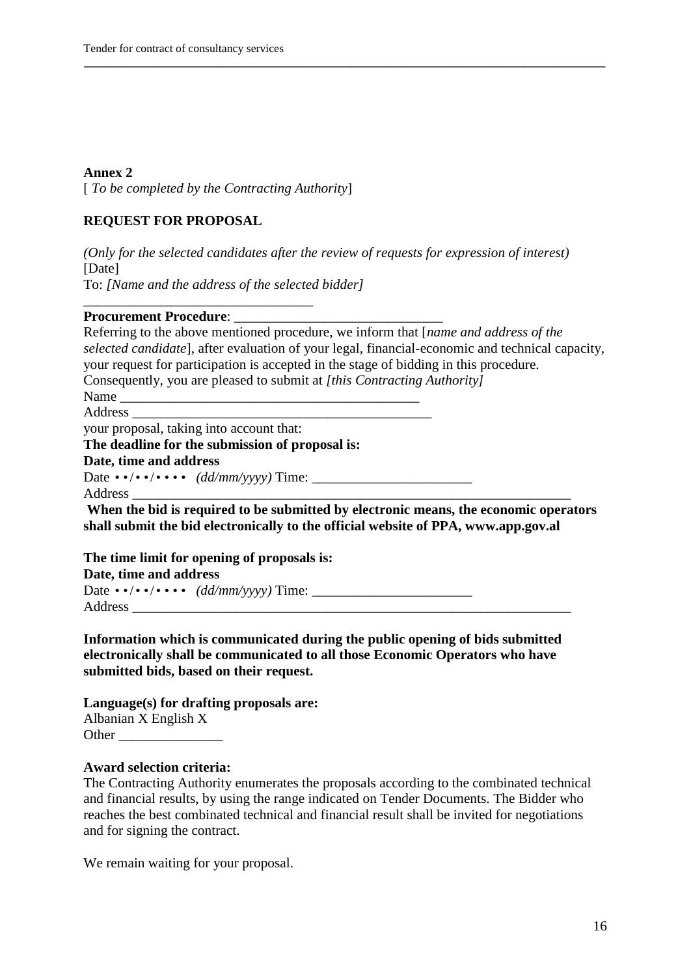[ *To be completed by the Contracting Authority*]

#### **REQUEST FOR PROPOSAL**

*(Only for the selected candidates after the review of requests for expression of interest)* [Date] To: *[Name and the address of the selected bidder]*

**\_\_\_\_\_\_\_\_\_\_\_\_\_\_\_\_\_\_\_\_\_\_\_\_\_\_\_\_\_\_\_\_\_\_\_\_\_\_\_\_\_\_\_\_\_\_\_\_\_\_\_\_\_\_\_\_\_\_\_\_\_\_\_\_\_\_\_\_\_\_\_\_\_\_\_\_\_\_\_\_\_\_\_\_\_\_\_\_\_\_** 

#### **Procurement Procedure:**

Referring to the above mentioned procedure, we inform that [*name and address of the selected candidate*], after evaluation of your legal, financial-economic and technical capacity, your request for participation is accepted in the stage of bidding in this procedure. Consequently, you are pleased to submit at *[this Contracting Authority]* Name \_\_\_\_\_\_\_\_\_\_\_\_\_\_\_\_\_\_\_\_\_\_\_\_\_\_\_\_\_\_\_\_\_\_\_\_\_\_\_\_\_\_\_

Address  $\overline{\phantom{a}}$ 

your proposal, taking into account that:

\_\_\_\_\_\_\_\_\_\_\_\_\_\_\_\_\_\_\_\_\_\_\_\_\_\_\_\_\_\_\_\_\_

#### **The deadline for the submission of proposal is:**

#### **Date, time and address**

Date ••/••/•••• *(dd/mm/yyyy)* Time: \_\_\_\_\_\_\_\_\_\_\_\_\_\_\_\_\_\_\_\_\_\_\_

Address \_\_\_\_\_\_\_\_\_\_\_\_\_\_\_\_\_\_\_\_\_\_\_\_\_\_\_\_\_\_\_\_\_\_\_\_\_\_\_\_\_\_\_\_\_\_\_\_\_\_\_\_\_\_\_\_\_\_\_\_\_\_\_

**When the bid is required to be submitted by electronic means, the economic operators shall submit the bid electronically to the official website of PPA, www.app.gov.al**

**The time limit for opening of proposals is: Date, time and address** Date ••/••/•••• *(dd/mm/yyyy)* Time: \_\_\_\_\_\_\_\_\_\_\_\_\_\_\_\_\_\_\_\_\_\_\_ Address **and a** 

**Information which is communicated during the public opening of bids submitted electronically shall be communicated to all those Economic Operators who have submitted bids, based on their request.**

**Language(s) for drafting proposals are:** Albanian X English X

| Other |  |
|-------|--|
|       |  |

#### **Award selection criteria:**

The Contracting Authority enumerates the proposals according to the combinated technical and financial results, by using the range indicated on Tender Documents. The Bidder who reaches the best combinated technical and financial result shall be invited for negotiations and for signing the contract.

We remain waiting for your proposal.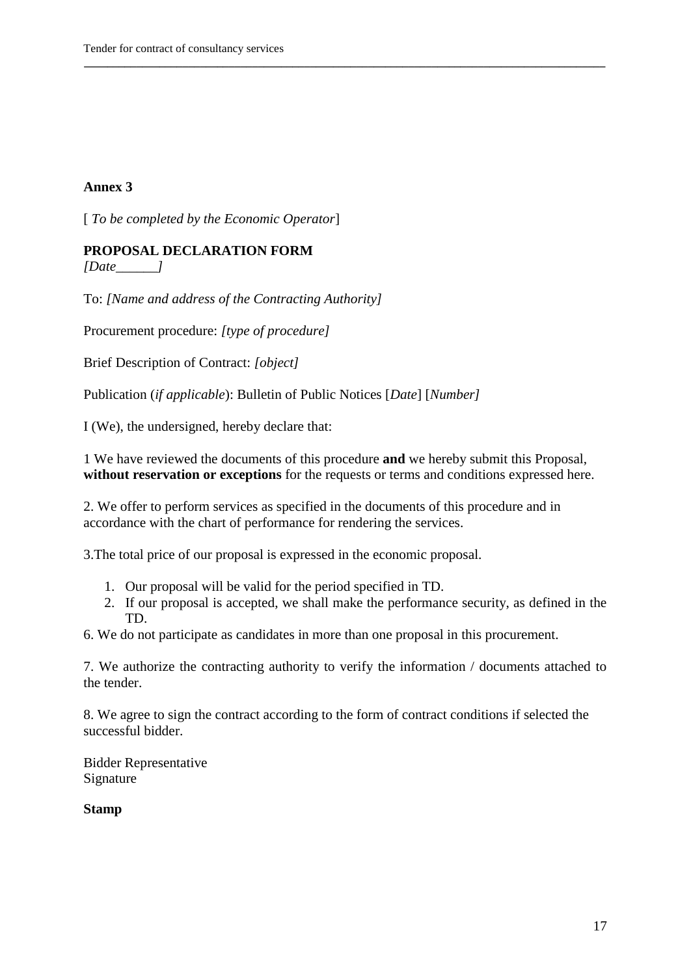[ *To be completed by the Economic Operator*]

### **PROPOSAL DECLARATION FORM**

*[Date\_\_\_\_\_\_]*

To: *[Name and address of the Contracting Authority]*

Procurement procedure: *[type of procedure]*

Brief Description of Contract: *[object]*

Publication (*if applicable*): Bulletin of Public Notices [*Date*] [*Number]*

I (We), the undersigned, hereby declare that:

1 We have reviewed the documents of this procedure **and** we hereby submit this Proposal, **without reservation or exceptions** for the requests or terms and conditions expressed here.

**\_\_\_\_\_\_\_\_\_\_\_\_\_\_\_\_\_\_\_\_\_\_\_\_\_\_\_\_\_\_\_\_\_\_\_\_\_\_\_\_\_\_\_\_\_\_\_\_\_\_\_\_\_\_\_\_\_\_\_\_\_\_\_\_\_\_\_\_\_\_\_\_\_\_\_\_\_\_\_\_\_\_\_\_\_\_\_\_\_\_** 

2. We offer to perform services as specified in the documents of this procedure and in accordance with the chart of performance for rendering the services.

3.The total price of our proposal is expressed in the economic proposal.

- 1. Our proposal will be valid for the period specified in TD.
- 2. If our proposal is accepted, we shall make the performance security, as defined in the TD.

6. We do not participate as candidates in more than one proposal in this procurement.

7. We authorize the contracting authority to verify the information / documents attached to the tender.

8. We agree to sign the contract according to the form of contract conditions if selected the successful bidder.

Bidder Representative Signature

**Stamp**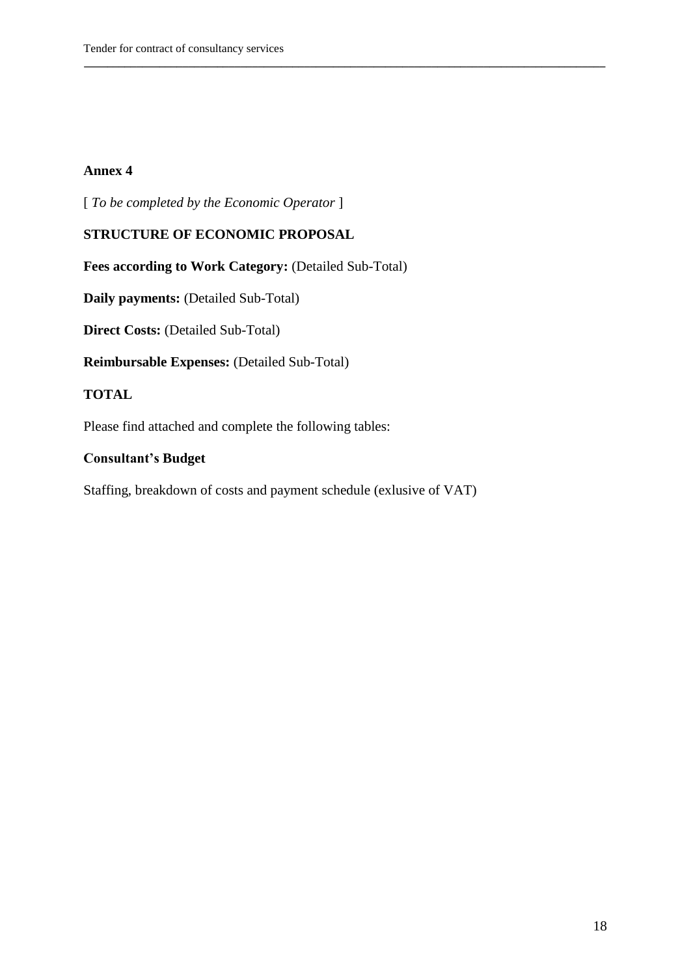[ *To be completed by the Economic Operator* ]

#### **STRUCTURE OF ECONOMIC PROPOSAL**

Fees according to Work Category: (Detailed Sub-Total)

**\_\_\_\_\_\_\_\_\_\_\_\_\_\_\_\_\_\_\_\_\_\_\_\_\_\_\_\_\_\_\_\_\_\_\_\_\_\_\_\_\_\_\_\_\_\_\_\_\_\_\_\_\_\_\_\_\_\_\_\_\_\_\_\_\_\_\_\_\_\_\_\_\_\_\_\_\_\_\_\_\_\_\_\_\_\_\_\_\_\_** 

**Daily payments:** (Detailed Sub-Total)

**Direct Costs: (Detailed Sub-Total)** 

**Reimbursable Expenses:** (Detailed Sub-Total)

#### **TOTAL**

Please find attached and complete the following tables:

#### **Consultant"s Budget**

Staffing, breakdown of costs and payment schedule (exlusive of VAT)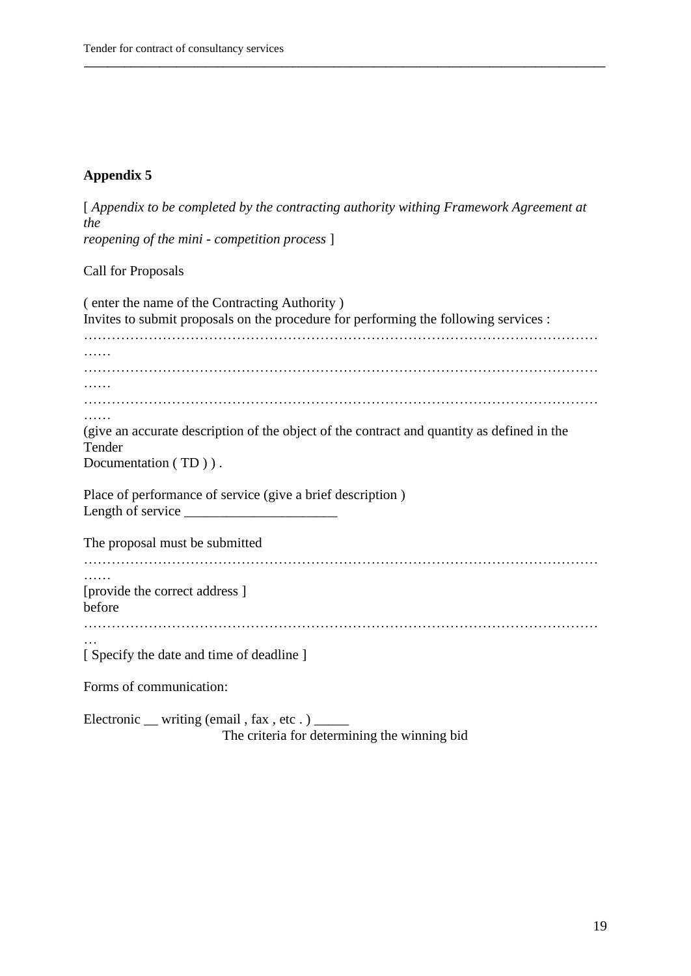# **Appendix 5**

| [Appendix to be completed by the contracting authority withing Framework Agreement at<br>the                                          |
|---------------------------------------------------------------------------------------------------------------------------------------|
| reopening of the mini - competition process ]                                                                                         |
| <b>Call for Proposals</b>                                                                                                             |
| (enter the name of the Contracting Authority)<br>Invites to submit proposals on the procedure for performing the following services : |
|                                                                                                                                       |
|                                                                                                                                       |
| .<br>(give an accurate description of the object of the contract and quantity as defined in the<br>Tender<br>Documentation (TD)).     |
| Place of performance of service (give a brief description)<br>Length of service $\_\_$                                                |
| The proposal must be submitted                                                                                                        |
| [provide the correct address]<br>before                                                                                               |
| [ Specify the date and time of deadline ]                                                                                             |
| Forms of communication:                                                                                                               |
| Electronic __ writing (email, fax, etc.) _____                                                                                        |

**\_\_\_\_\_\_\_\_\_\_\_\_\_\_\_\_\_\_\_\_\_\_\_\_\_\_\_\_\_\_\_\_\_\_\_\_\_\_\_\_\_\_\_\_\_\_\_\_\_\_\_\_\_\_\_\_\_\_\_\_\_\_\_\_\_\_\_\_\_\_\_\_\_\_\_\_\_\_\_\_\_\_\_\_\_\_\_\_\_\_** 

The criteria for determining the winning bid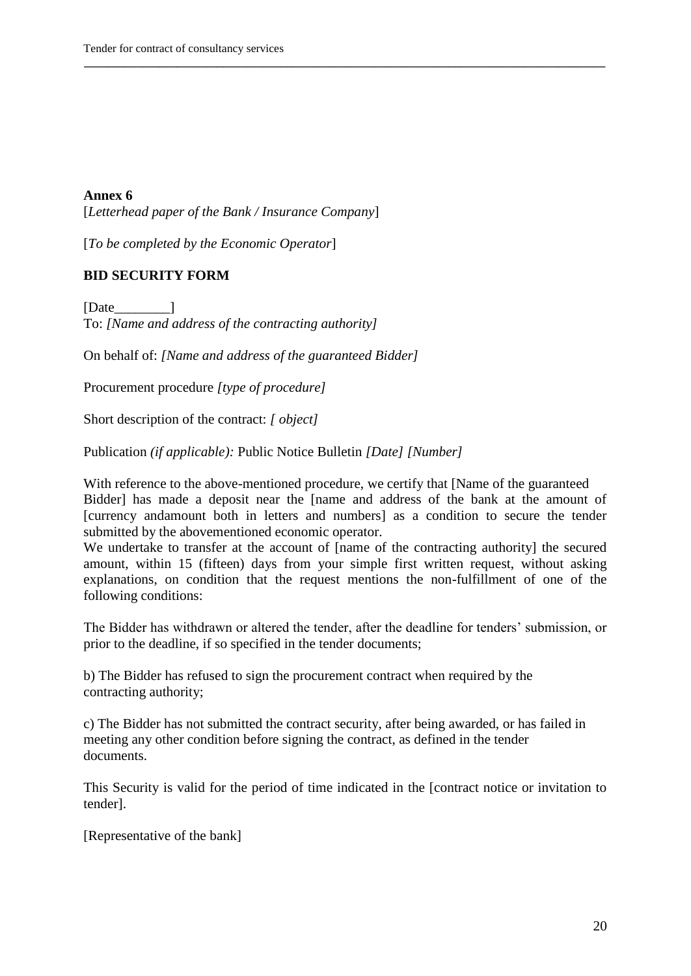[*Letterhead paper of the Bank / Insurance Company*]

[*To be completed by the Economic Operator*]

#### **BID SECURITY FORM**

[Date ] To: *[Name and address of the contracting authority]*

On behalf of: *[Name and address of the guaranteed Bidder]*

Procurement procedure *[type of procedure]*

Short description of the contract: *[ object]*

Publication *(if applicable):* Public Notice Bulletin *[Date] [Number]*

With reference to the above-mentioned procedure, we certify that [Name of the guaranteed Bidder] has made a deposit near the [name and address of the bank at the amount of [currency andamount both in letters and numbers] as a condition to secure the tender submitted by the abovementioned economic operator.

**\_\_\_\_\_\_\_\_\_\_\_\_\_\_\_\_\_\_\_\_\_\_\_\_\_\_\_\_\_\_\_\_\_\_\_\_\_\_\_\_\_\_\_\_\_\_\_\_\_\_\_\_\_\_\_\_\_\_\_\_\_\_\_\_\_\_\_\_\_\_\_\_\_\_\_\_\_\_\_\_\_\_\_\_\_\_\_\_\_\_** 

We undertake to transfer at the account of [name of the contracting authority] the secured amount, within 15 (fifteen) days from your simple first written request, without asking explanations, on condition that the request mentions the non-fulfillment of one of the following conditions:

The Bidder has withdrawn or altered the tender, after the deadline for tenders' submission, or prior to the deadline, if so specified in the tender documents;

b) The Bidder has refused to sign the procurement contract when required by the contracting authority;

c) The Bidder has not submitted the contract security, after being awarded, or has failed in meeting any other condition before signing the contract, as defined in the tender documents.

This Security is valid for the period of time indicated in the [contract notice or invitation to tender].

[Representative of the bank]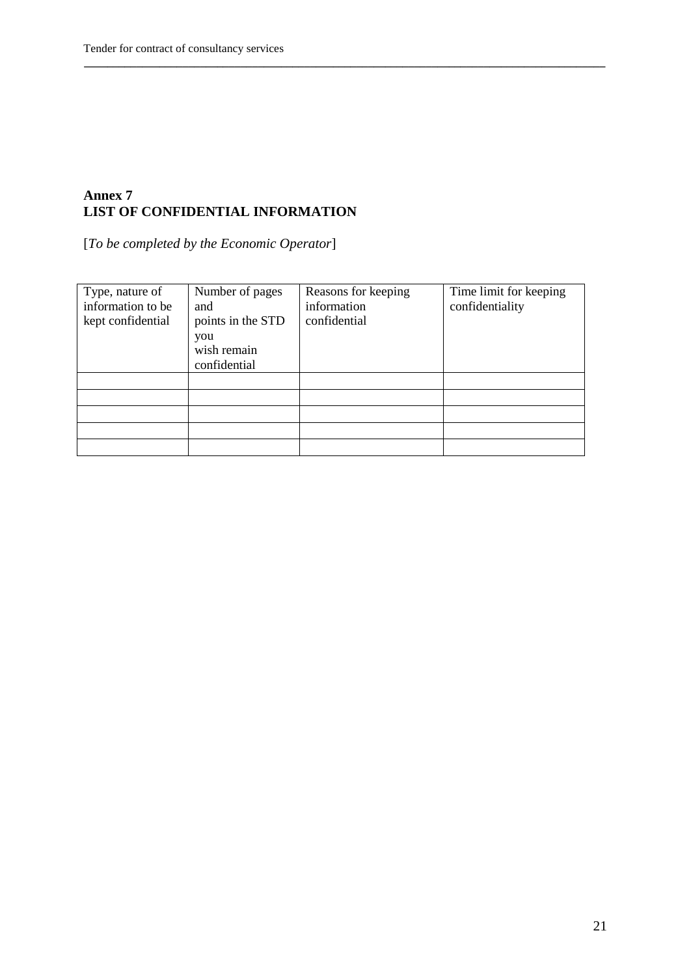### **Annex 7 LIST OF CONFIDENTIAL INFORMATION**

[*To be completed by the Economic Operator*]

| Type, nature of<br>information to be<br>kept confidential | Number of pages<br>and<br>points in the STD<br>you<br>wish remain<br>confidential | Reasons for keeping<br>information<br>confidential | Time limit for keeping<br>confidentiality |
|-----------------------------------------------------------|-----------------------------------------------------------------------------------|----------------------------------------------------|-------------------------------------------|
|                                                           |                                                                                   |                                                    |                                           |
|                                                           |                                                                                   |                                                    |                                           |
|                                                           |                                                                                   |                                                    |                                           |
|                                                           |                                                                                   |                                                    |                                           |
|                                                           |                                                                                   |                                                    |                                           |

**\_\_\_\_\_\_\_\_\_\_\_\_\_\_\_\_\_\_\_\_\_\_\_\_\_\_\_\_\_\_\_\_\_\_\_\_\_\_\_\_\_\_\_\_\_\_\_\_\_\_\_\_\_\_\_\_\_\_\_\_\_\_\_\_\_\_\_\_\_\_\_\_\_\_\_\_\_\_\_\_\_\_\_\_\_\_\_\_\_\_**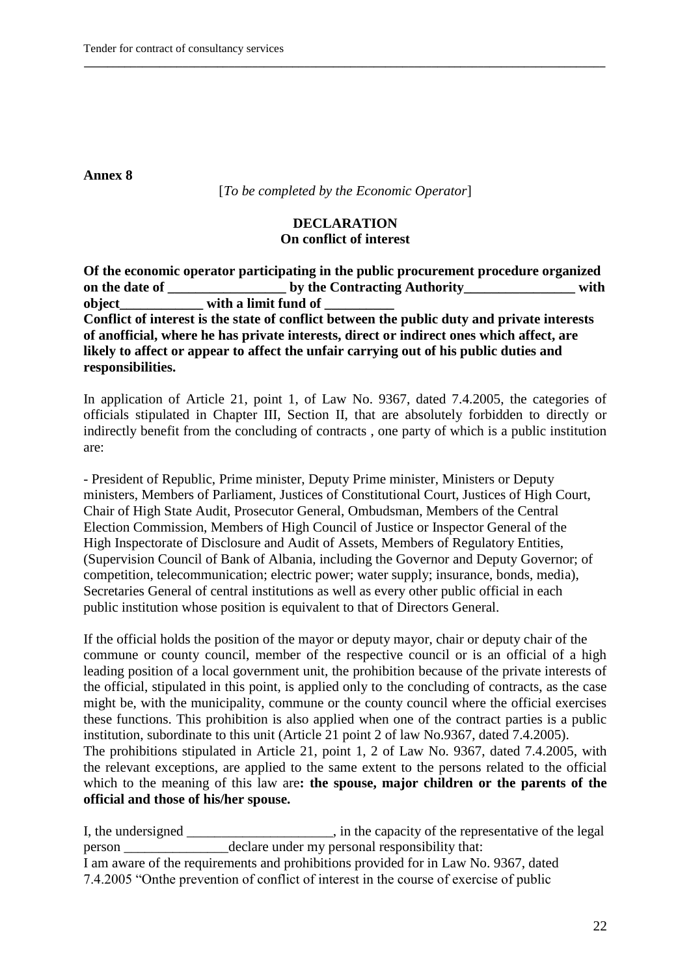[*To be completed by the Economic Operator*]

**\_\_\_\_\_\_\_\_\_\_\_\_\_\_\_\_\_\_\_\_\_\_\_\_\_\_\_\_\_\_\_\_\_\_\_\_\_\_\_\_\_\_\_\_\_\_\_\_\_\_\_\_\_\_\_\_\_\_\_\_\_\_\_\_\_\_\_\_\_\_\_\_\_\_\_\_\_\_\_\_\_\_\_\_\_\_\_\_\_\_** 

### **DECLARATION On conflict of interest**

**Of the economic operator participating in the public procurement procedure organized**  on the date of **by the Contracting Authority with object** with a limit fund of **Conflict of interest is the state of conflict between the public duty and private interests of anofficial, where he has private interests, direct or indirect ones which affect, are likely to affect or appear to affect the unfair carrying out of his public duties and responsibilities.**

In application of Article 21, point 1, of Law No. 9367, dated 7.4.2005, the categories of officials stipulated in Chapter III, Section II, that are absolutely forbidden to directly or indirectly benefit from the concluding of contracts , one party of which is a public institution are:

- President of Republic, Prime minister, Deputy Prime minister, Ministers or Deputy ministers, Members of Parliament, Justices of Constitutional Court, Justices of High Court, Chair of High State Audit, Prosecutor General, Ombudsman, Members of the Central Election Commission, Members of High Council of Justice or Inspector General of the High Inspectorate of Disclosure and Audit of Assets, Members of Regulatory Entities, (Supervision Council of Bank of Albania, including the Governor and Deputy Governor; of competition, telecommunication; electric power; water supply; insurance, bonds, media), Secretaries General of central institutions as well as every other public official in each public institution whose position is equivalent to that of Directors General.

If the official holds the position of the mayor or deputy mayor, chair or deputy chair of the commune or county council, member of the respective council or is an official of a high leading position of a local government unit, the prohibition because of the private interests of the official, stipulated in this point, is applied only to the concluding of contracts, as the case might be, with the municipality, commune or the county council where the official exercises these functions. This prohibition is also applied when one of the contract parties is a public institution, subordinate to this unit (Article 21 point 2 of law No.9367, dated 7.4.2005). The prohibitions stipulated in Article 21, point 1, 2 of Law No. 9367, dated 7.4.2005, with the relevant exceptions, are applied to the same extent to the persons related to the official which to the meaning of this law are: the spouse, major children or the parents of the **official and those of his/her spouse.**

I, the undersigned \_\_\_\_\_\_\_\_\_\_\_\_\_\_\_\_\_\_, in the capacity of the representative of the legal person \_\_\_\_\_\_\_\_\_\_\_\_\_\_\_declare under my personal responsibility that: I am aware of the requirements and prohibitions provided for in Law No. 9367, dated 7.4.2005 "Onthe prevention of conflict of interest in the course of exercise of public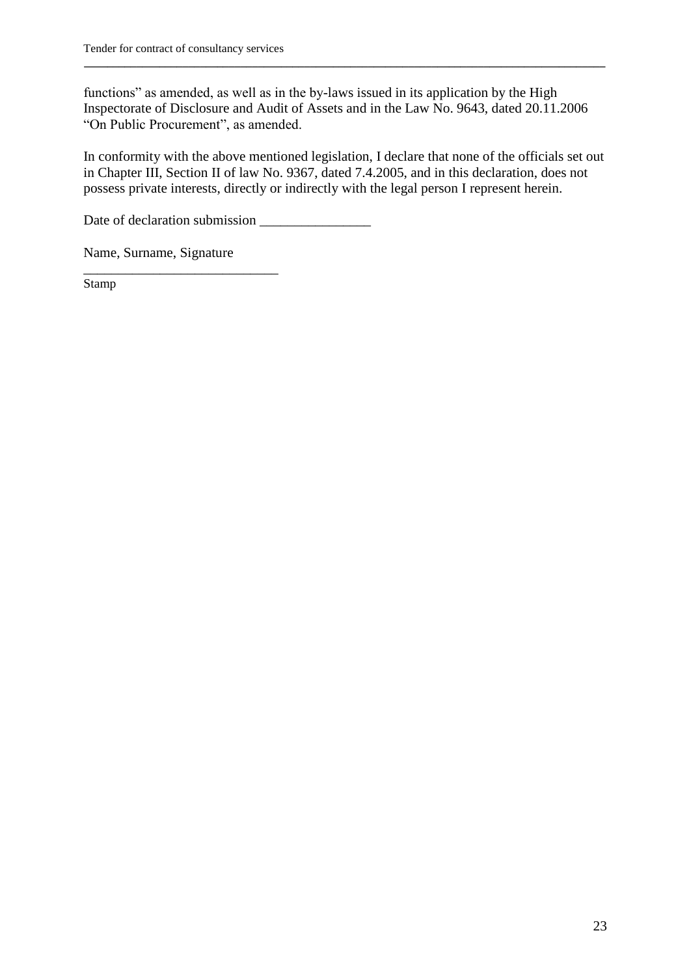functions" as amended, as well as in the by-laws issued in its application by the High Inspectorate of Disclosure and Audit of Assets and in the Law No. 9643, dated 20.11.2006 "On Public Procurement", as amended.

**\_\_\_\_\_\_\_\_\_\_\_\_\_\_\_\_\_\_\_\_\_\_\_\_\_\_\_\_\_\_\_\_\_\_\_\_\_\_\_\_\_\_\_\_\_\_\_\_\_\_\_\_\_\_\_\_\_\_\_\_\_\_\_\_\_\_\_\_\_\_\_\_\_\_\_\_\_\_\_\_\_\_\_\_\_\_\_\_\_\_** 

In conformity with the above mentioned legislation, I declare that none of the officials set out in Chapter III, Section II of law No. 9367, dated 7.4.2005, and in this declaration, does not possess private interests, directly or indirectly with the legal person I represent herein.

Date of declaration submission

Name, Surname, Signature

\_\_\_\_\_\_\_\_\_\_\_\_\_\_\_\_\_\_\_\_\_\_\_\_\_\_\_\_ Stamp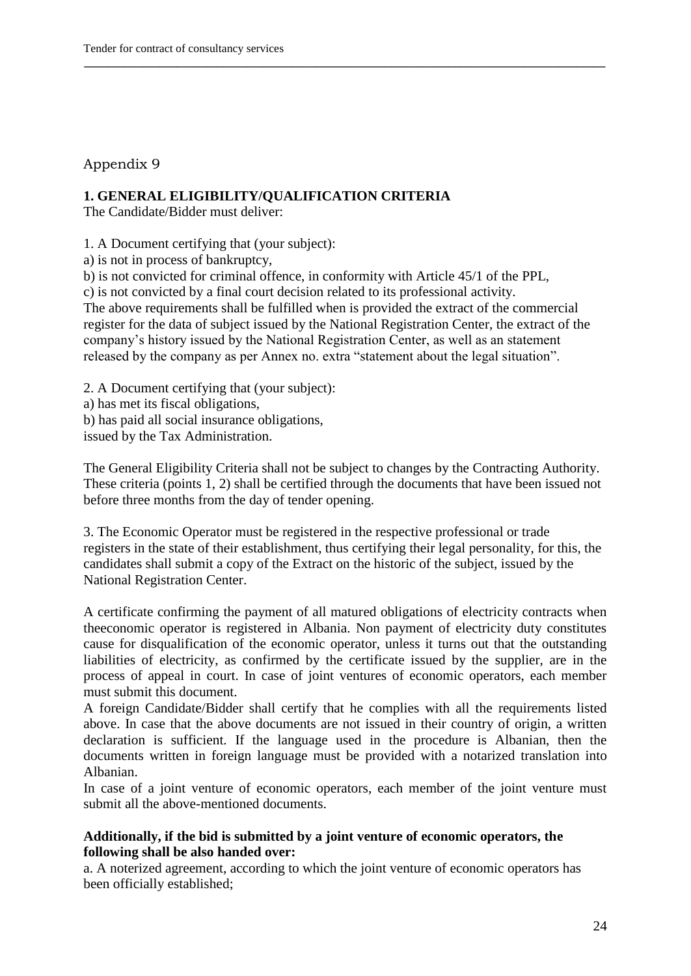### Appendix 9

### **1. GENERAL ELIGIBILITY/QUALIFICATION CRITERIA**

The Candidate/Bidder must deliver:

1. A Document certifying that (your subject):

a) is not in process of bankruptcy,

b) is not convicted for criminal offence, in conformity with Article 45/1 of the PPL,

c) is not convicted by a final court decision related to its professional activity.

The above requirements shall be fulfilled when is provided the extract of the commercial register for the data of subject issued by the National Registration Center, the extract of the company"s history issued by the National Registration Center, as well as an statement released by the company as per Annex no. extra "statement about the legal situation".

**\_\_\_\_\_\_\_\_\_\_\_\_\_\_\_\_\_\_\_\_\_\_\_\_\_\_\_\_\_\_\_\_\_\_\_\_\_\_\_\_\_\_\_\_\_\_\_\_\_\_\_\_\_\_\_\_\_\_\_\_\_\_\_\_\_\_\_\_\_\_\_\_\_\_\_\_\_\_\_\_\_\_\_\_\_\_\_\_\_\_** 

2. A Document certifying that (your subject):

a) has met its fiscal obligations,

b) has paid all social insurance obligations,

issued by the Tax Administration.

The General Eligibility Criteria shall not be subject to changes by the Contracting Authority. These criteria (points 1, 2) shall be certified through the documents that have been issued not before three months from the day of tender opening.

3. The Economic Operator must be registered in the respective professional or trade registers in the state of their establishment, thus certifying their legal personality, for this, the candidates shall submit a copy of the Extract on the historic of the subject, issued by the National Registration Center.

A certificate confirming the payment of all matured obligations of electricity contracts when theeconomic operator is registered in Albania. Non payment of electricity duty constitutes cause for disqualification of the economic operator, unless it turns out that the outstanding liabilities of electricity, as confirmed by the certificate issued by the supplier, are in the process of appeal in court. In case of joint ventures of economic operators, each member must submit this document.

A foreign Candidate/Bidder shall certify that he complies with all the requirements listed above. In case that the above documents are not issued in their country of origin, a written declaration is sufficient. If the language used in the procedure is Albanian, then the documents written in foreign language must be provided with a notarized translation into Albanian.

In case of a joint venture of economic operators, each member of the joint venture must submit all the above-mentioned documents.

#### **Additionally, if the bid is submitted by a joint venture of economic operators, the following shall be also handed over:**

a. A noterized agreement, according to which the joint venture of economic operators has been officially established;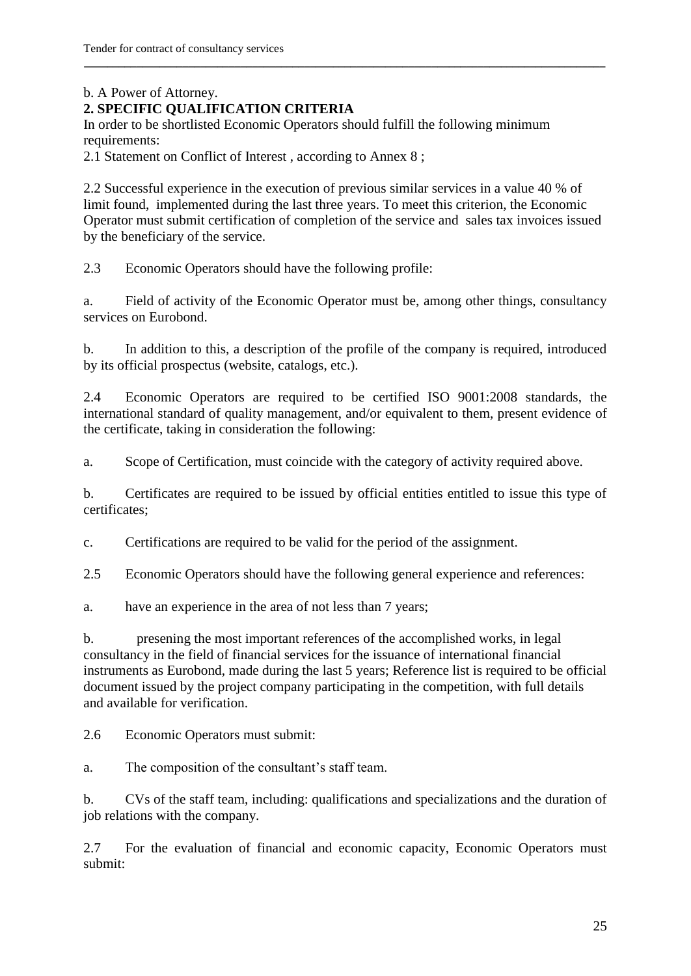### b. A Power of Attorney.

### **2. SPECIFIC QUALIFICATION CRITERIA**

In order to be shortlisted Economic Operators should fulfill the following minimum requirements:

2.1 Statement on Conflict of Interest , according to Annex 8 ;

2.2 Successful experience in the execution of previous similar services in a value 40 % of limit found, implemented during the last three years. To meet this criterion, the Economic Operator must submit certification of completion of the service and sales tax invoices issued by the beneficiary of the service.

**\_\_\_\_\_\_\_\_\_\_\_\_\_\_\_\_\_\_\_\_\_\_\_\_\_\_\_\_\_\_\_\_\_\_\_\_\_\_\_\_\_\_\_\_\_\_\_\_\_\_\_\_\_\_\_\_\_\_\_\_\_\_\_\_\_\_\_\_\_\_\_\_\_\_\_\_\_\_\_\_\_\_\_\_\_\_\_\_\_\_** 

2.3 Economic Operators should have the following profile:

a. Field of activity of the Economic Operator must be, among other things, consultancy services on Eurobond.

b. In addition to this, a description of the profile of the company is required, introduced by its official prospectus (website, catalogs, etc.).

2.4 Economic Operators are required to be certified ISO 9001:2008 standards, the international standard of quality management, and/or equivalent to them, present evidence of the certificate, taking in consideration the following:

a. Scope of Certification, must coincide with the category of activity required above.

b. Certificates are required to be issued by official entities entitled to issue this type of certificates;

c. Certifications are required to be valid for the period of the assignment.

2.5 Economic Operators should have the following general experience and references:

a. have an experience in the area of not less than 7 years;

b. presening the most important references of the accomplished works, in legal consultancy in the field of financial services for the issuance of international financial instruments as Eurobond, made during the last 5 years; Reference list is required to be official document issued by the project company participating in the competition, with full details and available for verification.

2.6 Economic Operators must submit:

a. The composition of the consultant"s staff team.

b. CVs of the staff team, including: qualifications and specializations and the duration of job relations with the company.

2.7 For the evaluation of financial and economic capacity, Economic Operators must submit: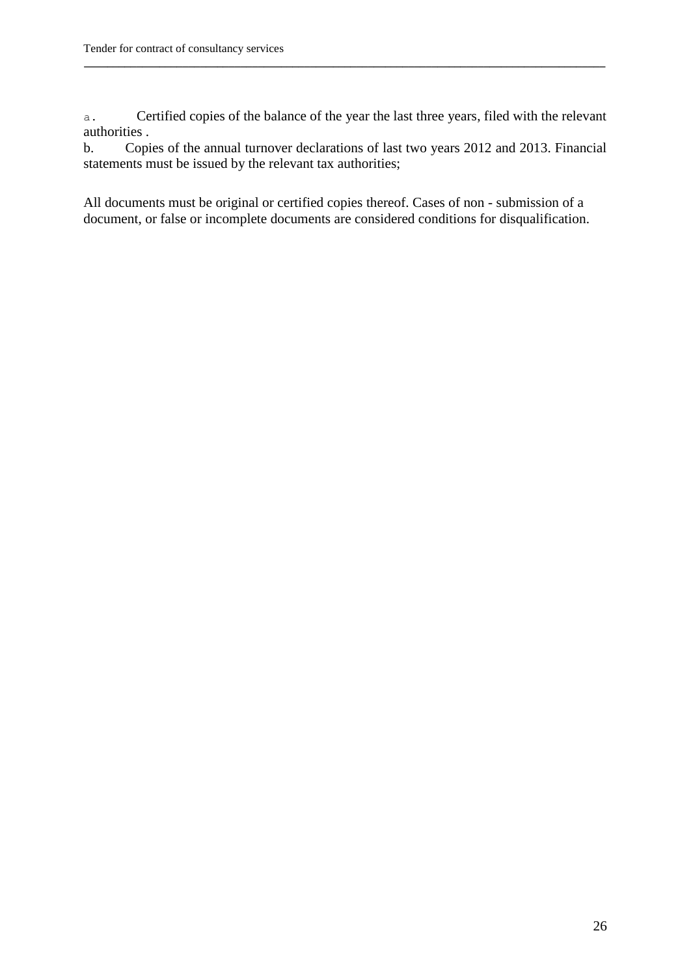a. Certified copies of the balance of the year the last three years, filed with the relevant authorities .

**\_\_\_\_\_\_\_\_\_\_\_\_\_\_\_\_\_\_\_\_\_\_\_\_\_\_\_\_\_\_\_\_\_\_\_\_\_\_\_\_\_\_\_\_\_\_\_\_\_\_\_\_\_\_\_\_\_\_\_\_\_\_\_\_\_\_\_\_\_\_\_\_\_\_\_\_\_\_\_\_\_\_\_\_\_\_\_\_\_\_** 

b. Copies of the annual turnover declarations of last two years 2012 and 2013. Financial statements must be issued by the relevant tax authorities;

All documents must be original or certified copies thereof. Cases of non - submission of a document, or false or incomplete documents are considered conditions for disqualification.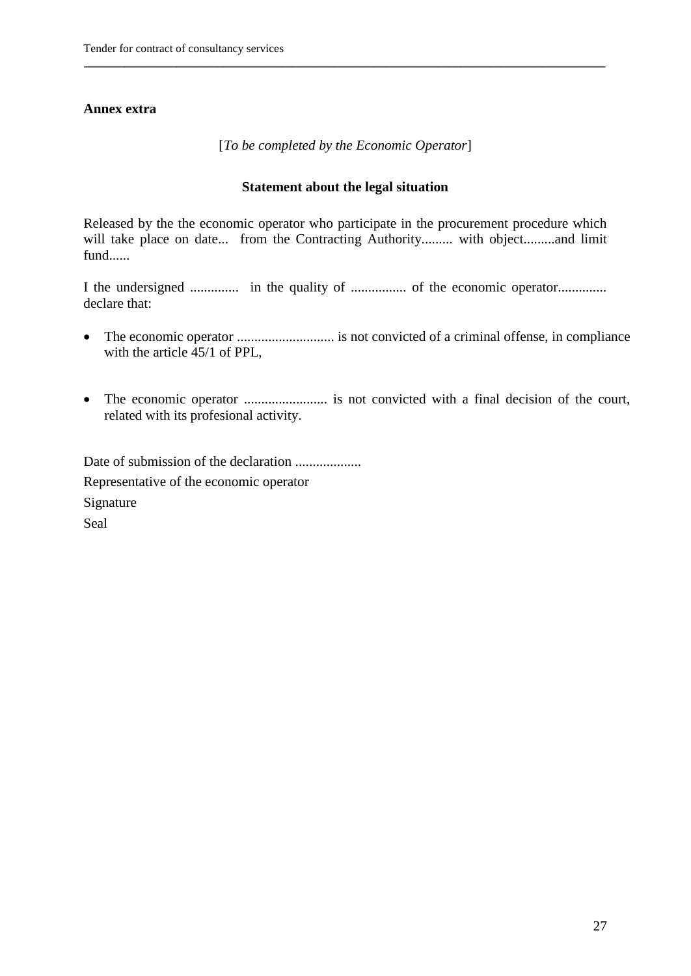### **Annex extra**

[*To be completed by the Economic Operator*]

**\_\_\_\_\_\_\_\_\_\_\_\_\_\_\_\_\_\_\_\_\_\_\_\_\_\_\_\_\_\_\_\_\_\_\_\_\_\_\_\_\_\_\_\_\_\_\_\_\_\_\_\_\_\_\_\_\_\_\_\_\_\_\_\_\_\_\_\_\_\_\_\_\_\_\_\_\_\_\_\_\_\_\_\_\_\_\_\_\_\_** 

#### **Statement about the legal situation**

Released by the the economic operator who participate in the procurement procedure which will take place on date... from the Contracting Authority......... with object.........and limit fund......

I the undersigned .............. in the quality of ................ of the economic operator.............. declare that:

- The economic operator ............................ is not convicted of a criminal offense, in compliance with the article 45/1 of PPL,
- The economic operator ........................ is not convicted with a final decision of the court, related with its profesional activity.

Date of submission of the declaration ................... Representative of the economic operator Signature Seal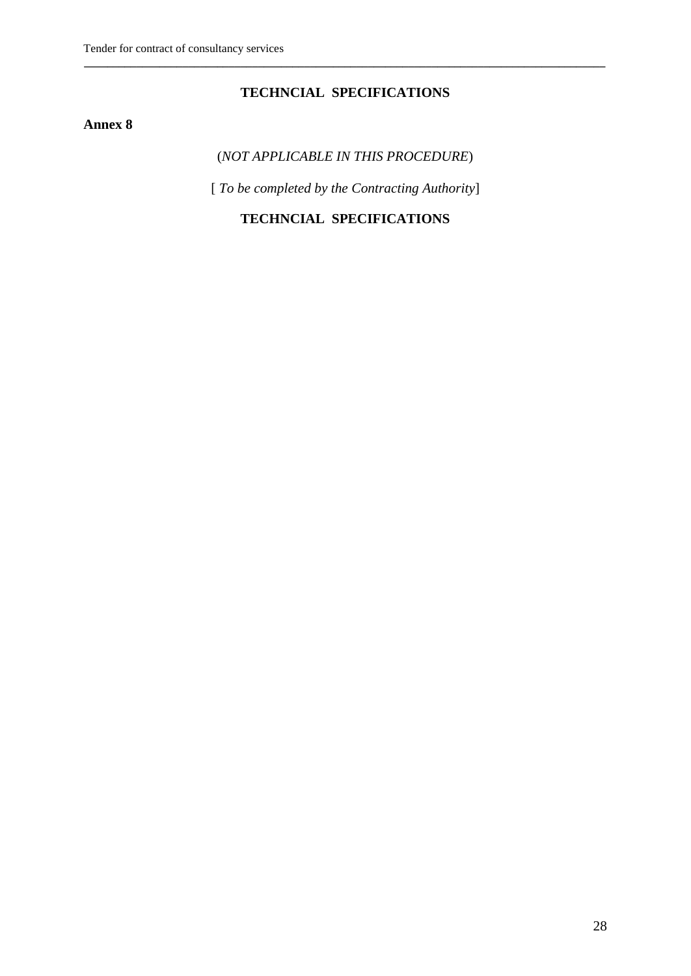### **TECHNCIAL SPECIFICATIONS**

**\_\_\_\_\_\_\_\_\_\_\_\_\_\_\_\_\_\_\_\_\_\_\_\_\_\_\_\_\_\_\_\_\_\_\_\_\_\_\_\_\_\_\_\_\_\_\_\_\_\_\_\_\_\_\_\_\_\_\_\_\_\_\_\_\_\_\_\_\_\_\_\_\_\_\_\_\_\_\_\_\_\_\_\_\_\_\_\_\_\_** 

### **Annex 8**

### (*NOT APPLICABLE IN THIS PROCEDURE*)

[ *To be completed by the Contracting Authority*]

### **TECHNCIAL SPECIFICATIONS**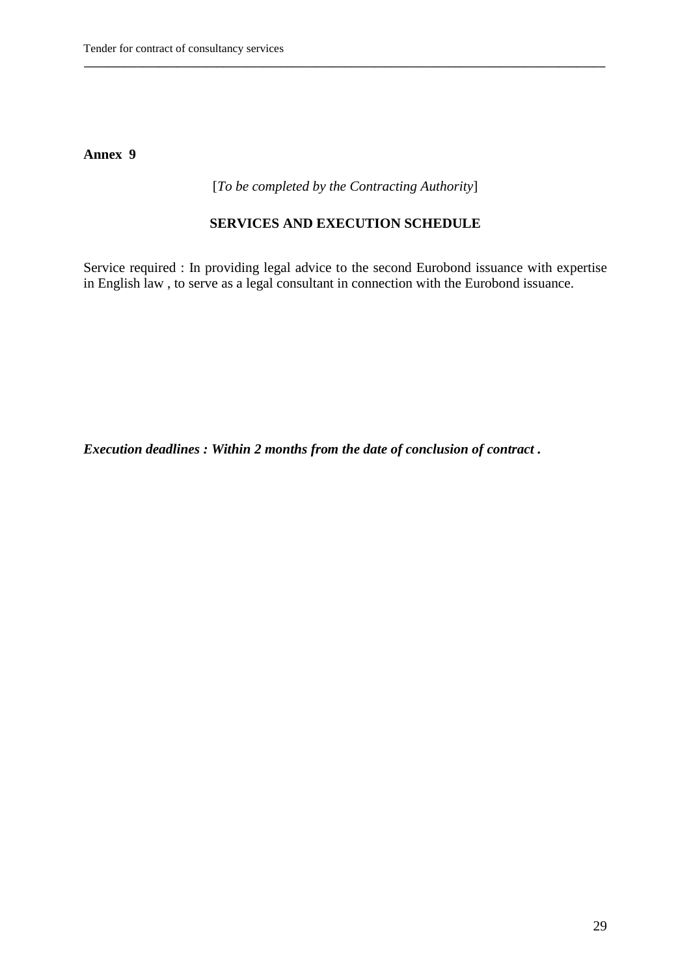#### [*To be completed by the Contracting Authority*]

**\_\_\_\_\_\_\_\_\_\_\_\_\_\_\_\_\_\_\_\_\_\_\_\_\_\_\_\_\_\_\_\_\_\_\_\_\_\_\_\_\_\_\_\_\_\_\_\_\_\_\_\_\_\_\_\_\_\_\_\_\_\_\_\_\_\_\_\_\_\_\_\_\_\_\_\_\_\_\_\_\_\_\_\_\_\_\_\_\_\_** 

### **SERVICES AND EXECUTION SCHEDULE**

Service required : In providing legal advice to the second Eurobond issuance with expertise in English law , to serve as a legal consultant in connection with the Eurobond issuance.

*Execution deadlines : Within 2 months from the date of conclusion of contract .*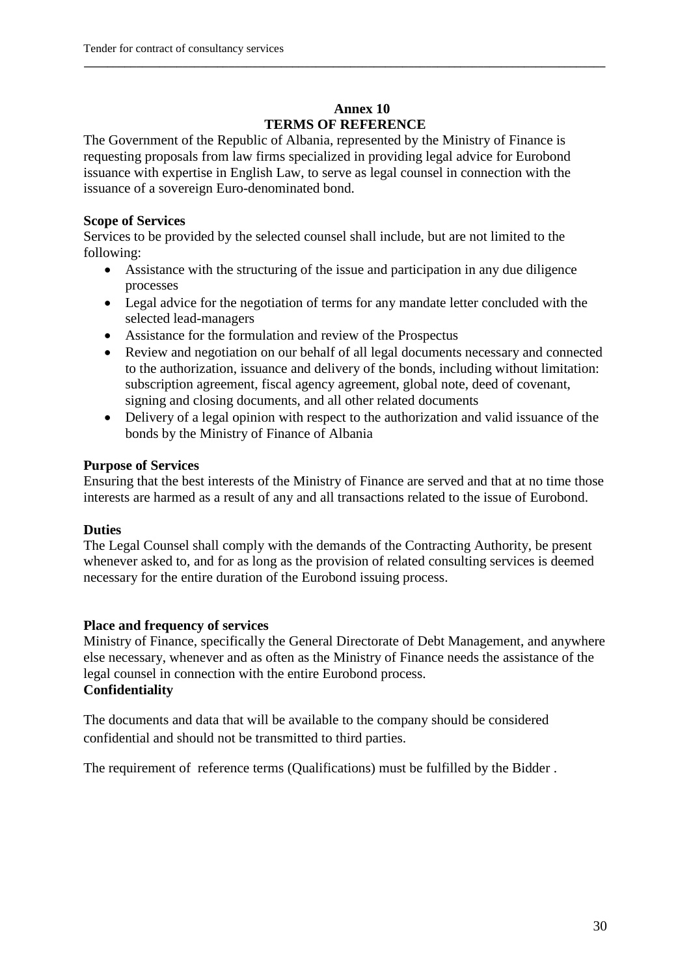### **Annex 10 TERMS OF REFERENCE**

**\_\_\_\_\_\_\_\_\_\_\_\_\_\_\_\_\_\_\_\_\_\_\_\_\_\_\_\_\_\_\_\_\_\_\_\_\_\_\_\_\_\_\_\_\_\_\_\_\_\_\_\_\_\_\_\_\_\_\_\_\_\_\_\_\_\_\_\_\_\_\_\_\_\_\_\_\_\_\_\_\_\_\_\_\_\_\_\_\_\_** 

The Government of the Republic of Albania, represented by the Ministry of Finance is requesting proposals from law firms specialized in providing legal advice for Eurobond issuance with expertise in English Law, to serve as legal counsel in connection with the issuance of a sovereign Euro-denominated bond.

### **Scope of Services**

Services to be provided by the selected counsel shall include, but are not limited to the following:

- Assistance with the structuring of the issue and participation in any due diligence processes
- Legal advice for the negotiation of terms for any mandate letter concluded with the selected lead-managers
- Assistance for the formulation and review of the Prospectus
- Review and negotiation on our behalf of all legal documents necessary and connected to the authorization, issuance and delivery of the bonds, including without limitation: subscription agreement, fiscal agency agreement, global note, deed of covenant, signing and closing documents, and all other related documents
- Delivery of a legal opinion with respect to the authorization and valid issuance of the bonds by the Ministry of Finance of Albania

#### **Purpose of Services**

Ensuring that the best interests of the Ministry of Finance are served and that at no time those interests are harmed as a result of any and all transactions related to the issue of Eurobond.

### **Duties**

The Legal Counsel shall comply with the demands of the Contracting Authority, be present whenever asked to, and for as long as the provision of related consulting services is deemed necessary for the entire duration of the Eurobond issuing process.

### **Place and frequency of services**

Ministry of Finance, specifically the General Directorate of Debt Management, and anywhere else necessary, whenever and as often as the Ministry of Finance needs the assistance of the legal counsel in connection with the entire Eurobond process. **Confidentiality** 

The documents and data that will be available to the company should be considered confidential and should not be transmitted to third parties.

The requirement of reference terms (Qualifications) must be fulfilled by the Bidder .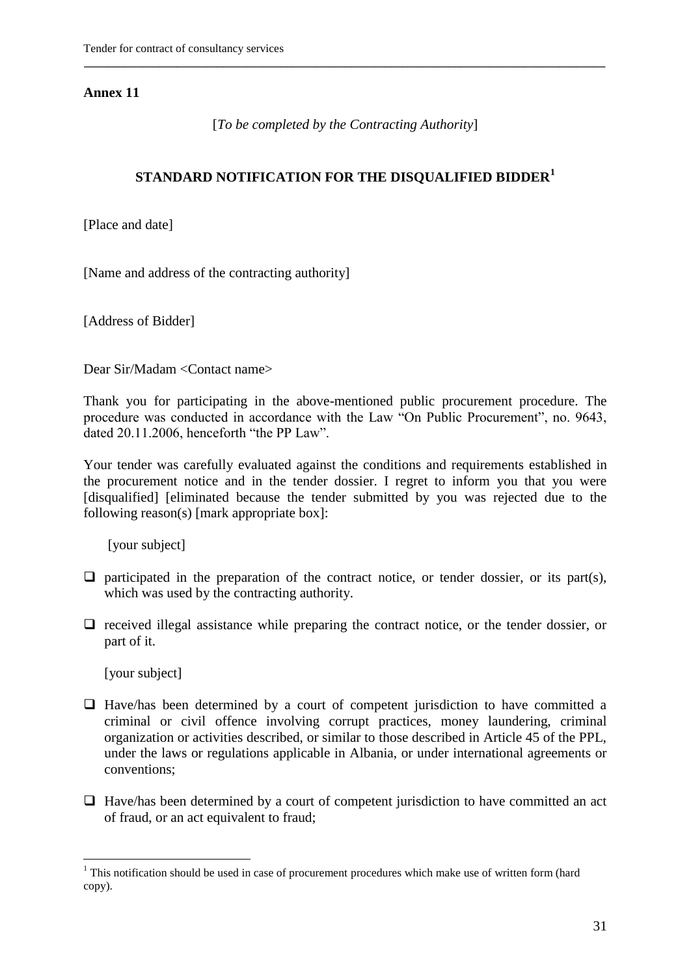[*To be completed by the Contracting Authority*]

**\_\_\_\_\_\_\_\_\_\_\_\_\_\_\_\_\_\_\_\_\_\_\_\_\_\_\_\_\_\_\_\_\_\_\_\_\_\_\_\_\_\_\_\_\_\_\_\_\_\_\_\_\_\_\_\_\_\_\_\_\_\_\_\_\_\_\_\_\_\_\_\_\_\_\_\_\_\_\_\_\_\_\_\_\_\_\_\_\_\_** 

### **STANDARD NOTIFICATION FOR THE DISQUALIFIED BIDDER<sup>1</sup>**

[Place and date]

[Name and address of the contracting authority]

[Address of Bidder]

Dear Sir/Madam <Contact name>

Thank you for participating in the above-mentioned public procurement procedure. The procedure was conducted in accordance with the Law "On Public Procurement", no. 9643, dated 20.11.2006, henceforth "the PP Law".

Your tender was carefully evaluated against the conditions and requirements established in the procurement notice and in the tender dossier. I regret to inform you that you were [disqualified] [eliminated because the tender submitted by you was rejected due to the following reason(s) [mark appropriate box]:

[your subject]

- $\Box$  participated in the preparation of the contract notice, or tender dossier, or its part(s), which was used by the contracting authority.
- $\Box$  received illegal assistance while preparing the contract notice, or the tender dossier, or part of it.

[your subject]

1

- $\Box$  Have/has been determined by a court of competent jurisdiction to have committed a criminal or civil offence involving corrupt practices, money laundering, criminal organization or activities described, or similar to those described in Article 45 of the PPL, under the laws or regulations applicable in Albania, or under international agreements or conventions;
- $\Box$  Have/has been determined by a court of competent jurisdiction to have committed an act of fraud, or an act equivalent to fraud;

 $1$  This notification should be used in case of procurement procedures which make use of written form (hard copy).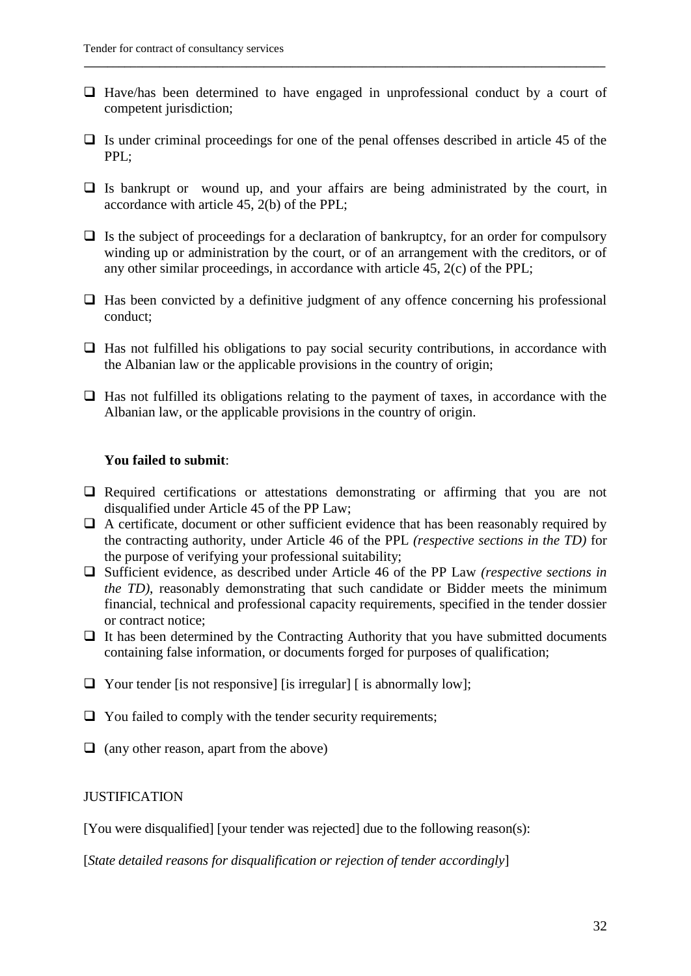$\Box$  Have/has been determined to have engaged in unprofessional conduct by a court of competent jurisdiction;

**\_\_\_\_\_\_\_\_\_\_\_\_\_\_\_\_\_\_\_\_\_\_\_\_\_\_\_\_\_\_\_\_\_\_\_\_\_\_\_\_\_\_\_\_\_\_\_\_\_\_\_\_\_\_\_\_\_\_\_\_\_\_\_\_\_\_\_\_\_\_\_\_\_\_\_\_\_\_\_\_\_\_\_\_\_\_\_\_\_\_** 

- $\Box$  Is under criminal proceedings for one of the penal offenses described in article 45 of the PPL;
- $\Box$  Is bankrupt or wound up, and your affairs are being administrated by the court, in accordance with article 45, 2(b) of the PPL;
- $\Box$  Is the subject of proceedings for a declaration of bankruptcy, for an order for compulsory winding up or administration by the court, or of an arrangement with the creditors, or of any other similar proceedings, in accordance with article 45, 2(c) of the PPL;
- $\Box$  Has been convicted by a definitive judgment of any offence concerning his professional conduct;
- $\Box$  Has not fulfilled his obligations to pay social security contributions, in accordance with the Albanian law or the applicable provisions in the country of origin;
- $\Box$  Has not fulfilled its obligations relating to the payment of taxes, in accordance with the Albanian law, or the applicable provisions in the country of origin.

#### **You failed to submit**:

- $\Box$  Required certifications or attestations demonstrating or affirming that you are not disqualified under Article 45 of the PP Law;
- $\Box$  A certificate, document or other sufficient evidence that has been reasonably required by the contracting authority, under Article 46 of the PPL *(respective sections in the TD)* for the purpose of verifying your professional suitability;
- Sufficient evidence, as described under Article 46 of the PP Law *(respective sections in the TD)*, reasonably demonstrating that such candidate or Bidder meets the minimum financial, technical and professional capacity requirements, specified in the tender dossier or contract notice;
- $\Box$  It has been determined by the Contracting Authority that you have submitted documents containing false information, or documents forged for purposes of qualification;
- $\Box$  Your tender [is not responsive] [is irregular] [is abnormally low];
- $\Box$  You failed to comply with the tender security requirements;
- $\Box$  (any other reason, apart from the above)

#### **JUSTIFICATION**

[You were disqualified] [your tender was rejected] due to the following reason(s):

[*State detailed reasons for disqualification or rejection of tender accordingly*]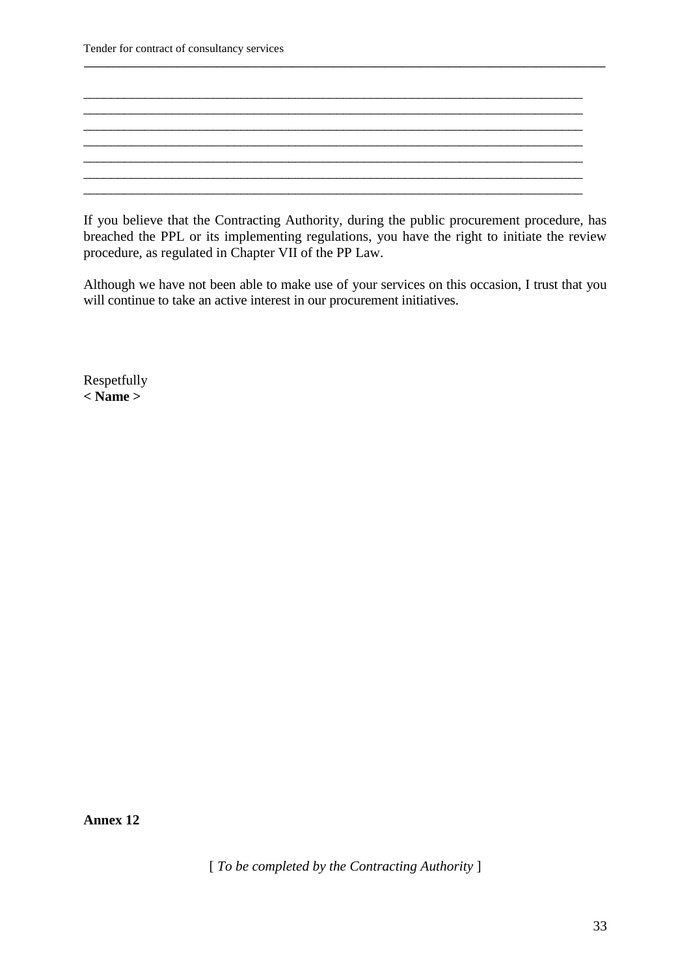Tender for contract of consultancy services

If you believe that the Contracting Authority, during the public procurement procedure, has breached the PPL or its implementing regulations, you have the right to initiate the review procedure, as regulated in Chapter VII of the PP Law.

**\_\_\_\_\_\_\_\_\_\_\_\_\_\_\_\_\_\_\_\_\_\_\_\_\_\_\_\_\_\_\_\_\_\_\_\_\_\_\_\_\_\_\_\_\_\_\_\_\_\_\_\_\_\_\_\_\_\_\_\_\_\_\_\_\_\_\_\_\_\_\_\_\_\_\_\_\_\_\_\_\_\_\_\_\_\_\_\_\_\_** 

 $\_$  , and the set of the set of the set of the set of the set of the set of the set of the set of the set of the set of the set of the set of the set of the set of the set of the set of the set of the set of the set of th \_\_\_\_\_\_\_\_\_\_\_\_\_\_\_\_\_\_\_\_\_\_\_\_\_\_\_\_\_\_\_\_\_\_\_\_\_\_\_\_\_\_\_\_\_\_\_\_\_\_\_\_\_\_\_\_\_\_\_\_\_\_\_\_\_\_\_\_\_\_\_\_\_

 $\_$  , and the set of the set of the set of the set of the set of the set of the set of the set of the set of the set of the set of the set of the set of the set of the set of the set of the set of the set of the set of th

\_\_\_\_\_\_\_\_\_\_\_\_\_\_\_\_\_\_\_\_\_\_\_\_\_\_\_\_\_\_\_\_\_\_\_\_\_\_\_\_\_\_\_\_\_\_\_\_\_\_\_\_\_\_\_\_\_\_\_\_\_\_\_\_\_\_\_\_\_\_\_\_\_

Although we have not been able to make use of your services on this occasion, I trust that you will continue to take an active interest in our procurement initiatives.

Respetfully **< Name >**

**Annex 12**

[ *To be completed by the Contracting Authority* ]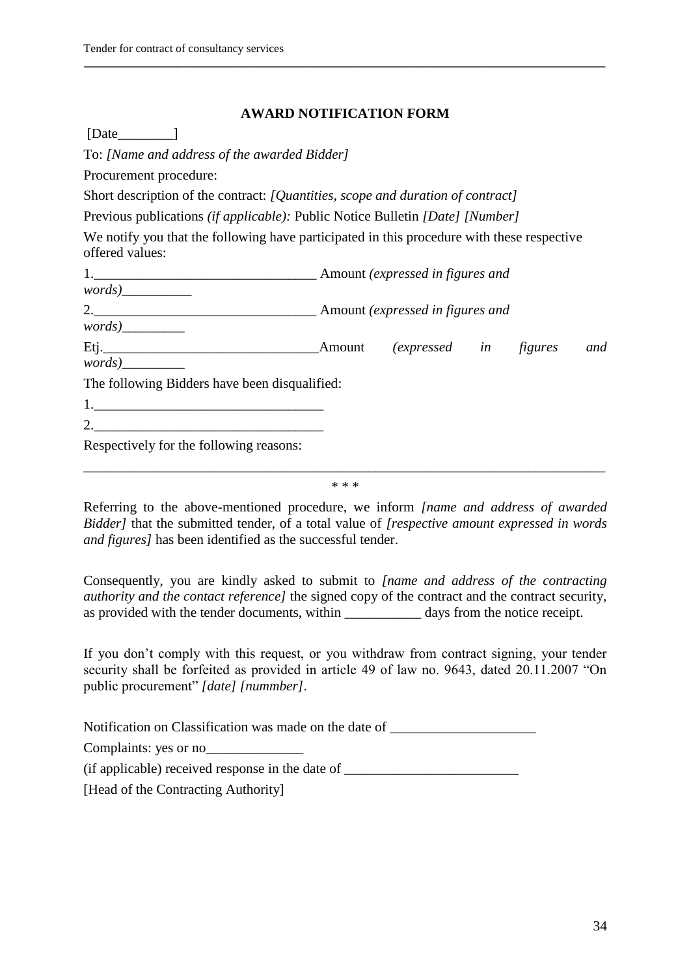#### **AWARD NOTIFICATION FORM**

**\_\_\_\_\_\_\_\_\_\_\_\_\_\_\_\_\_\_\_\_\_\_\_\_\_\_\_\_\_\_\_\_\_\_\_\_\_\_\_\_\_\_\_\_\_\_\_\_\_\_\_\_\_\_\_\_\_\_\_\_\_\_\_\_\_\_\_\_\_\_\_\_\_\_\_\_\_\_\_\_\_\_\_\_\_\_\_\_\_\_** 

[Date ]

To: *[Name and address of the awarded Bidder]*

Procurement procedure:

Short description of the contract: *[Quantities, scope and duration of contract]*

Previous publications *(if applicable):* Public Notice Bulletin *[Date] [Number]*

We notify you that the following have participated in this procedure with these respective offered values:

|                                               | Amount | <i>(expressed in figures</i> ) |  | and |
|-----------------------------------------------|--------|--------------------------------|--|-----|
| words)                                        |        |                                |  |     |
| The following Bidders have been disqualified: |        |                                |  |     |
| 1.                                            |        |                                |  |     |
| 2.                                            |        |                                |  |     |
| Respectively for the following reasons:       |        |                                |  |     |

\_\_\_\_\_\_\_\_\_\_\_\_\_\_\_\_\_\_\_\_\_\_\_\_\_\_\_\_\_\_\_\_\_\_\_\_\_\_\_\_\_\_\_\_\_\_\_\_\_\_\_\_\_\_\_\_\_\_\_\_\_\_\_\_\_\_\_\_\_\_\_\_\_\_\_ \* \* \*

Referring to the above-mentioned procedure, we inform *[name and address of awarded Bidder]* that the submitted tender, of a total value of *[respective amount expressed in words and figures]* has been identified as the successful tender.

Consequently, you are kindly asked to submit to *[name and address of the contracting authority and the contact reference]* the signed copy of the contract and the contract security, as provided with the tender documents, within \_\_\_\_\_\_\_\_\_\_\_ days from the notice receipt.

If you don't comply with this request, or you withdraw from contract signing, your tender security shall be forfeited as provided in article 49 of law no. 9643, dated 20.11.2007 "On public procurement" *[date] [nummber]*.

Notification on Classification was made on the date of \_\_\_\_\_\_\_\_\_\_\_\_\_\_\_\_\_\_\_\_\_\_\_\_\_

Complaints: yes or no

(if applicable) received response in the date of \_\_\_\_\_\_\_\_\_\_\_\_\_\_\_\_\_\_\_\_\_\_\_\_\_\_\_\_\_\_\_\_

[Head of the Contracting Authority]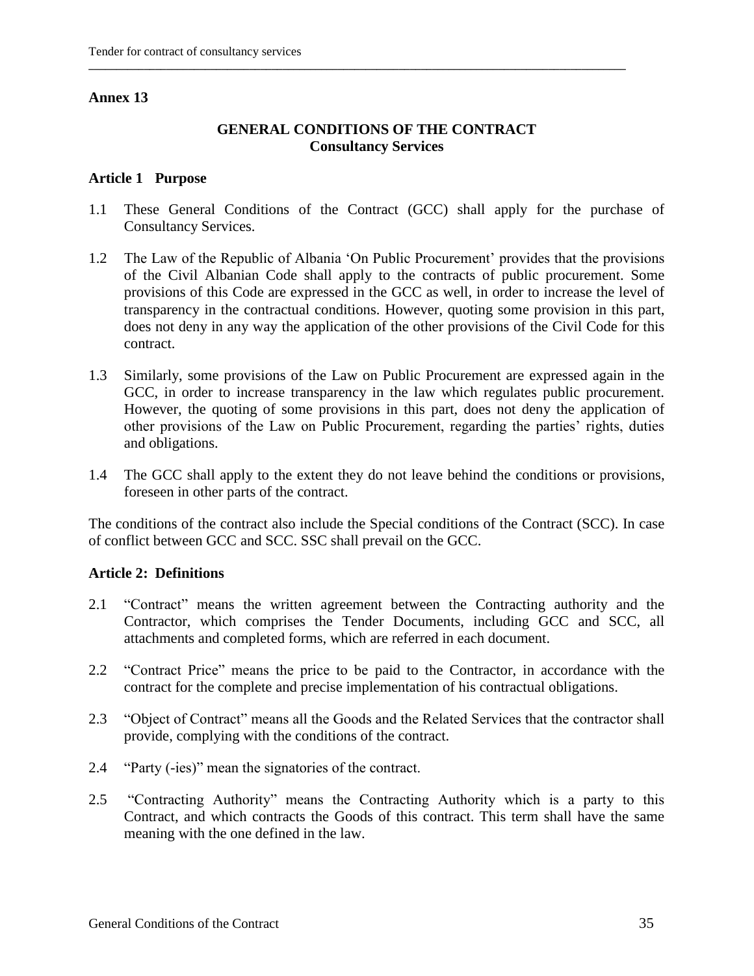#### **GENERAL CONDITIONS OF THE CONTRACT Consultancy Services**

**\_\_\_\_\_\_\_\_\_\_\_\_\_\_\_\_\_\_\_\_\_\_\_\_\_\_\_\_\_\_\_\_\_\_\_\_\_\_\_\_\_\_\_\_\_\_\_\_\_\_\_\_\_\_\_\_\_\_\_\_\_\_\_\_\_\_\_\_\_\_\_\_\_\_\_\_\_\_\_\_\_\_\_\_\_\_\_\_\_\_\_\_\_\_\_\_\_**

#### **Article 1 Purpose**

- 1.1 These General Conditions of the Contract (GCC) shall apply for the purchase of Consultancy Services.
- 1.2 The Law of the Republic of Albania "On Public Procurement" provides that the provisions of the Civil Albanian Code shall apply to the contracts of public procurement. Some provisions of this Code are expressed in the GCC as well, in order to increase the level of transparency in the contractual conditions. However, quoting some provision in this part, does not deny in any way the application of the other provisions of the Civil Code for this contract.
- 1.3 Similarly, some provisions of the Law on Public Procurement are expressed again in the GCC, in order to increase transparency in the law which regulates public procurement. However, the quoting of some provisions in this part, does not deny the application of other provisions of the Law on Public Procurement, regarding the parties" rights, duties and obligations.
- 1.4 The GCC shall apply to the extent they do not leave behind the conditions or provisions, foreseen in other parts of the contract.

The conditions of the contract also include the Special conditions of the Contract (SCC). In case of conflict between GCC and SCC. SSC shall prevail on the GCC.

#### **Article 2: Definitions**

- 2.1 "Contract" means the written agreement between the Contracting authority and the Contractor, which comprises the Tender Documents, including GCC and SCC, all attachments and completed forms, which are referred in each document.
- 2.2 "Contract Price" means the price to be paid to the Contractor, in accordance with the contract for the complete and precise implementation of his contractual obligations.
- 2.3 "Object of Contract" means all the Goods and the Related Services that the contractor shall provide, complying with the conditions of the contract.
- 2.4 "Party (-ies)" mean the signatories of the contract.
- 2.5 "Contracting Authority" means the Contracting Authority which is a party to this Contract, and which contracts the Goods of this contract. This term shall have the same meaning with the one defined in the law.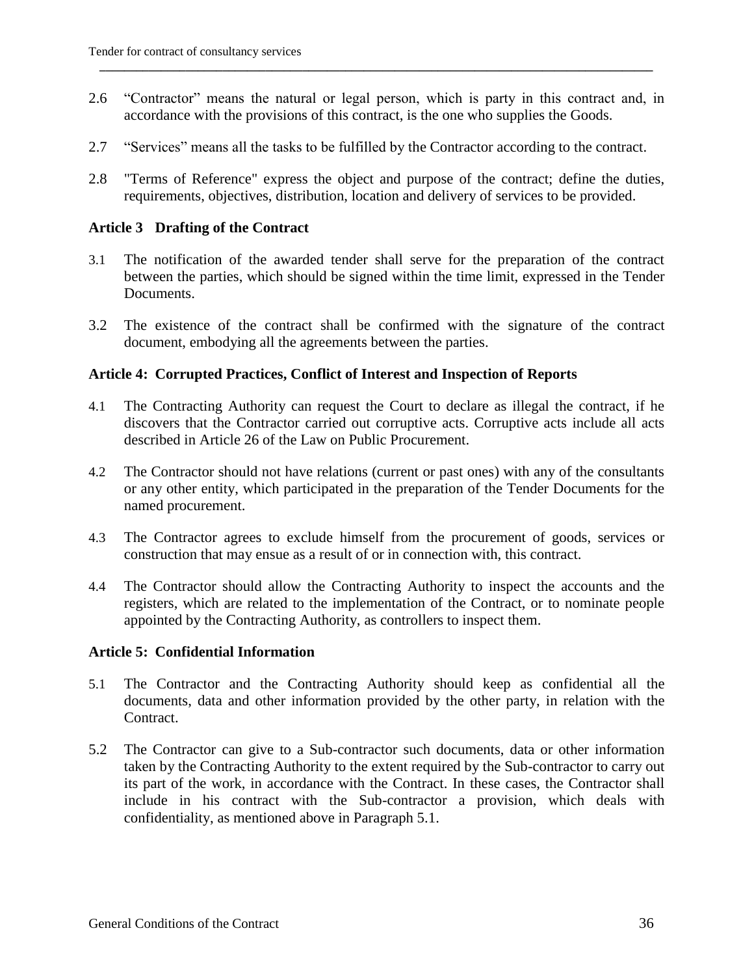2.6 "Contractor" means the natural or legal person, which is party in this contract and, in accordance with the provisions of this contract, is the one who supplies the Goods.

**\_\_\_\_\_\_\_\_\_\_\_\_\_\_\_\_\_\_\_\_\_\_\_\_\_\_\_\_\_\_\_\_\_\_\_\_\_\_\_\_\_\_\_\_\_\_\_\_\_\_\_\_\_\_\_\_\_\_\_\_\_\_\_\_\_\_\_\_\_\_\_\_\_\_\_\_\_\_\_\_\_\_\_\_\_\_\_\_\_\_** 

- 2.7 "Services" means all the tasks to be fulfilled by the Contractor according to the contract.
- 2.8 "Terms of Reference" express the object and purpose of the contract; define the duties, requirements, objectives, distribution, location and delivery of services to be provided.

#### **Article 3 Drafting of the Contract**

- 3.1 The notification of the awarded tender shall serve for the preparation of the contract between the parties, which should be signed within the time limit, expressed in the Tender Documents.
- 3.2 The existence of the contract shall be confirmed with the signature of the contract document, embodying all the agreements between the parties.

#### **Article 4: Corrupted Practices, Conflict of Interest and Inspection of Reports**

- 4.1 The Contracting Authority can request the Court to declare as illegal the contract, if he discovers that the Contractor carried out corruptive acts. Corruptive acts include all acts described in Article 26 of the Law on Public Procurement.
- 4.2 The Contractor should not have relations (current or past ones) with any of the consultants or any other entity, which participated in the preparation of the Tender Documents for the named procurement.
- 4.3 The Contractor agrees to exclude himself from the procurement of goods, services or construction that may ensue as a result of or in connection with, this contract.
- 4.4 The Contractor should allow the Contracting Authority to inspect the accounts and the registers, which are related to the implementation of the Contract, or to nominate people appointed by the Contracting Authority, as controllers to inspect them.

#### **Article 5: Confidential Information**

- 5.1 The Contractor and the Contracting Authority should keep as confidential all the documents, data and other information provided by the other party, in relation with the Contract.
- 5.2 The Contractor can give to a Sub-contractor such documents, data or other information taken by the Contracting Authority to the extent required by the Sub-contractor to carry out its part of the work, in accordance with the Contract. In these cases, the Contractor shall include in his contract with the Sub-contractor a provision, which deals with confidentiality, as mentioned above in Paragraph 5.1.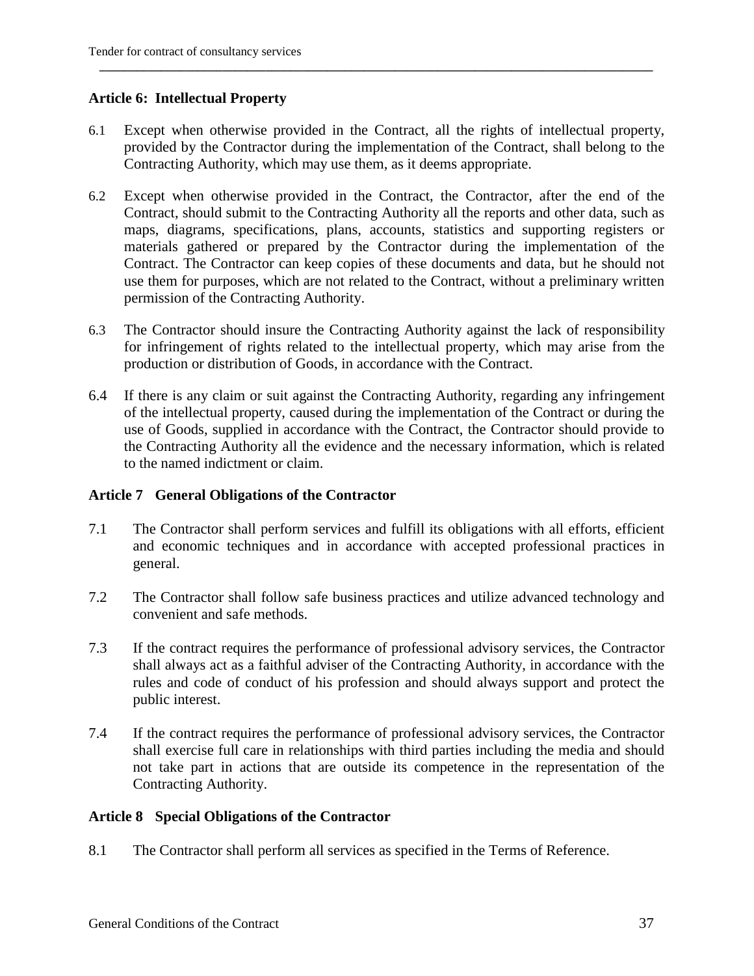#### **Article 6: Intellectual Property**

6.1 Except when otherwise provided in the Contract, all the rights of intellectual property, provided by the Contractor during the implementation of the Contract, shall belong to the Contracting Authority, which may use them, as it deems appropriate.

**\_\_\_\_\_\_\_\_\_\_\_\_\_\_\_\_\_\_\_\_\_\_\_\_\_\_\_\_\_\_\_\_\_\_\_\_\_\_\_\_\_\_\_\_\_\_\_\_\_\_\_\_\_\_\_\_\_\_\_\_\_\_\_\_\_\_\_\_\_\_\_\_\_\_\_\_\_\_\_\_\_\_\_\_\_\_\_\_\_\_** 

- 6.2 Except when otherwise provided in the Contract, the Contractor, after the end of the Contract, should submit to the Contracting Authority all the reports and other data, such as maps, diagrams, specifications, plans, accounts, statistics and supporting registers or materials gathered or prepared by the Contractor during the implementation of the Contract. The Contractor can keep copies of these documents and data, but he should not use them for purposes, which are not related to the Contract, without a preliminary written permission of the Contracting Authority.
- 6.3 The Contractor should insure the Contracting Authority against the lack of responsibility for infringement of rights related to the intellectual property, which may arise from the production or distribution of Goods, in accordance with the Contract.
- 6.4 If there is any claim or suit against the Contracting Authority, regarding any infringement of the intellectual property, caused during the implementation of the Contract or during the use of Goods, supplied in accordance with the Contract, the Contractor should provide to the Contracting Authority all the evidence and the necessary information, which is related to the named indictment or claim.

#### **Article 7 General Obligations of the Contractor**

- 7.1 The Contractor shall perform services and fulfill its obligations with all efforts, efficient and economic techniques and in accordance with accepted professional practices in general.
- 7.2 The Contractor shall follow safe business practices and utilize advanced technology and convenient and safe methods.
- 7.3 If the contract requires the performance of professional advisory services, the Contractor shall always act as a faithful adviser of the Contracting Authority, in accordance with the rules and code of conduct of his profession and should always support and protect the public interest.
- 7.4 If the contract requires the performance of professional advisory services, the Contractor shall exercise full care in relationships with third parties including the media and should not take part in actions that are outside its competence in the representation of the Contracting Authority.

#### **Article 8 Special Obligations of the Contractor**

8.1 The Contractor shall perform all services as specified in the Terms of Reference.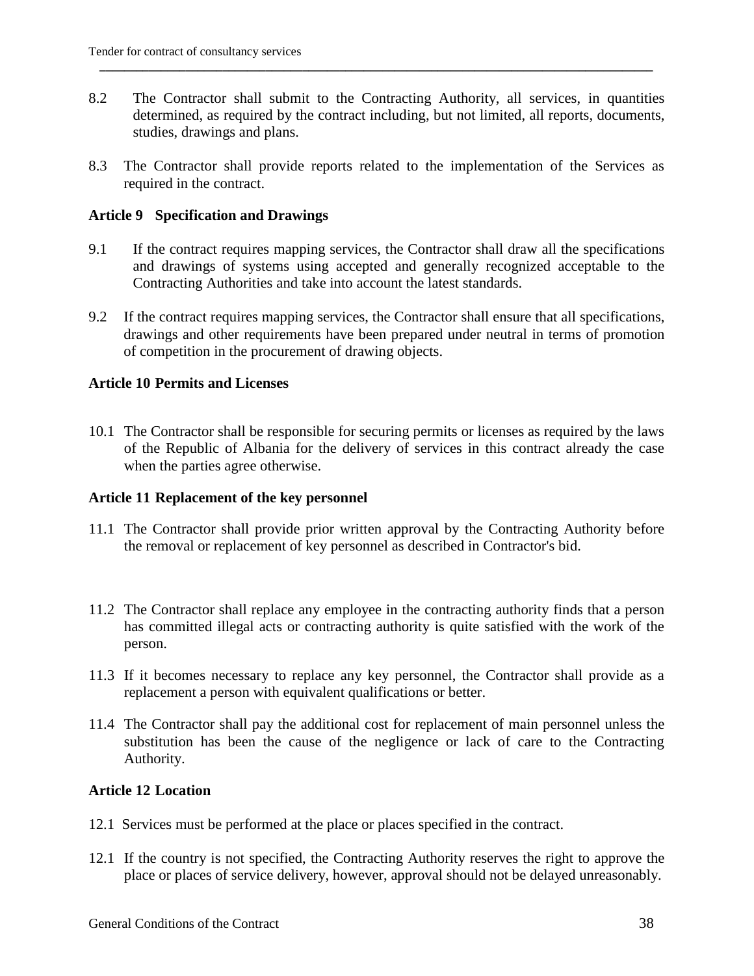8.2 The Contractor shall submit to the Contracting Authority, all services, in quantities determined, as required by the contract including, but not limited, all reports, documents, studies, drawings and plans.

**\_\_\_\_\_\_\_\_\_\_\_\_\_\_\_\_\_\_\_\_\_\_\_\_\_\_\_\_\_\_\_\_\_\_\_\_\_\_\_\_\_\_\_\_\_\_\_\_\_\_\_\_\_\_\_\_\_\_\_\_\_\_\_\_\_\_\_\_\_\_\_\_\_\_\_\_\_\_\_\_\_\_\_\_\_\_\_\_\_\_** 

8.3 The Contractor shall provide reports related to the implementation of the Services as required in the contract.

#### **Article 9 Specification and Drawings**

- 9.1 If the contract requires mapping services, the Contractor shall draw all the specifications and drawings of systems using accepted and generally recognized acceptable to the Contracting Authorities and take into account the latest standards.
- 9.2 If the contract requires mapping services, the Contractor shall ensure that all specifications, drawings and other requirements have been prepared under neutral in terms of promotion of competition in the procurement of drawing objects.

#### **Article 10 Permits and Licenses**

10.1 The Contractor shall be responsible for securing permits or licenses as required by the laws of the Republic of Albania for the delivery of services in this contract already the case when the parties agree otherwise.

#### **Article 11 Replacement of the key personnel**

- 11.1 The Contractor shall provide prior written approval by the Contracting Authority before the removal or replacement of key personnel as described in Contractor's bid.
- 11.2 The Contractor shall replace any employee in the contracting authority finds that a person has committed illegal acts or contracting authority is quite satisfied with the work of the person.
- 11.3 If it becomes necessary to replace any key personnel, the Contractor shall provide as a replacement a person with equivalent qualifications or better.
- 11.4 The Contractor shall pay the additional cost for replacement of main personnel unless the substitution has been the cause of the negligence or lack of care to the Contracting Authority.

#### **Article 12 Location**

- 12.1 Services must be performed at the place or places specified in the contract.
- 12.1 If the country is not specified, the Contracting Authority reserves the right to approve the place or places of service delivery, however, approval should not be delayed unreasonably.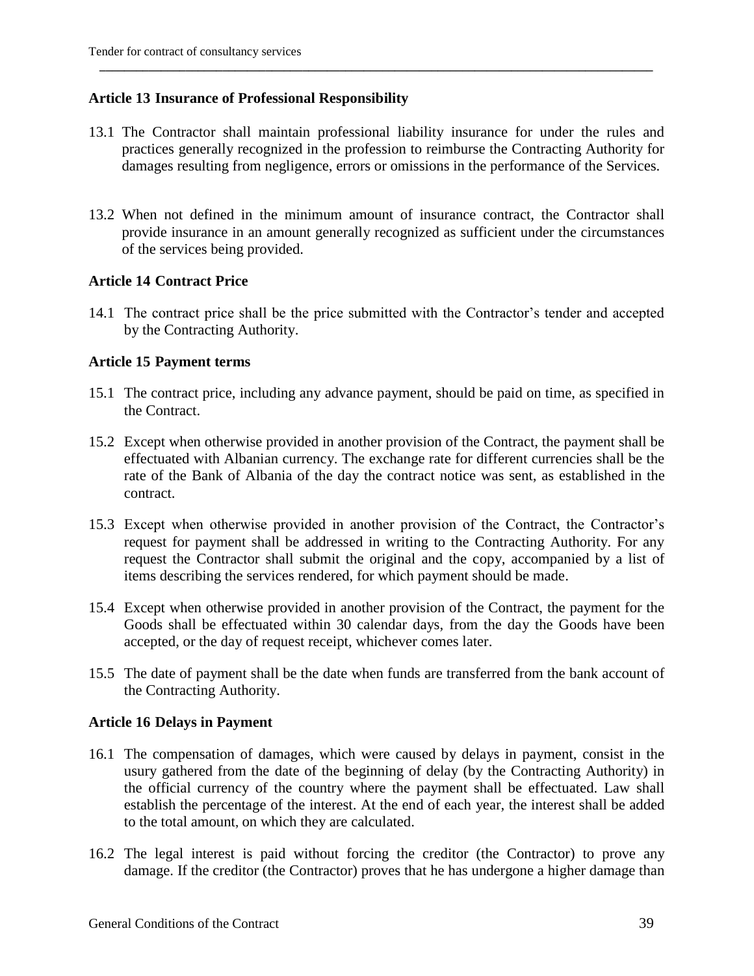#### **Article 13 Insurance of Professional Responsibility**

13.1 The Contractor shall maintain professional liability insurance for under the rules and practices generally recognized in the profession to reimburse the Contracting Authority for damages resulting from negligence, errors or omissions in the performance of the Services.

**\_\_\_\_\_\_\_\_\_\_\_\_\_\_\_\_\_\_\_\_\_\_\_\_\_\_\_\_\_\_\_\_\_\_\_\_\_\_\_\_\_\_\_\_\_\_\_\_\_\_\_\_\_\_\_\_\_\_\_\_\_\_\_\_\_\_\_\_\_\_\_\_\_\_\_\_\_\_\_\_\_\_\_\_\_\_\_\_\_\_** 

13.2 When not defined in the minimum amount of insurance contract, the Contractor shall provide insurance in an amount generally recognized as sufficient under the circumstances of the services being provided.

#### **Article 14 Contract Price**

14.1 The contract price shall be the price submitted with the Contractor's tender and accepted by the Contracting Authority.

#### **Article 15 Payment terms**

- 15.1 The contract price, including any advance payment, should be paid on time, as specified in the Contract.
- 15.2 Except when otherwise provided in another provision of the Contract, the payment shall be effectuated with Albanian currency. The exchange rate for different currencies shall be the rate of the Bank of Albania of the day the contract notice was sent, as established in the contract.
- 15.3 Except when otherwise provided in another provision of the Contract, the Contractor"s request for payment shall be addressed in writing to the Contracting Authority. For any request the Contractor shall submit the original and the copy, accompanied by a list of items describing the services rendered, for which payment should be made.
- 15.4 Except when otherwise provided in another provision of the Contract, the payment for the Goods shall be effectuated within 30 calendar days, from the day the Goods have been accepted, or the day of request receipt, whichever comes later.
- 15.5 The date of payment shall be the date when funds are transferred from the bank account of the Contracting Authority.

#### **Article 16 Delays in Payment**

- 16.1 The compensation of damages, which were caused by delays in payment, consist in the usury gathered from the date of the beginning of delay (by the Contracting Authority) in the official currency of the country where the payment shall be effectuated. Law shall establish the percentage of the interest. At the end of each year, the interest shall be added to the total amount, on which they are calculated.
- 16.2 The legal interest is paid without forcing the creditor (the Contractor) to prove any damage. If the creditor (the Contractor) proves that he has undergone a higher damage than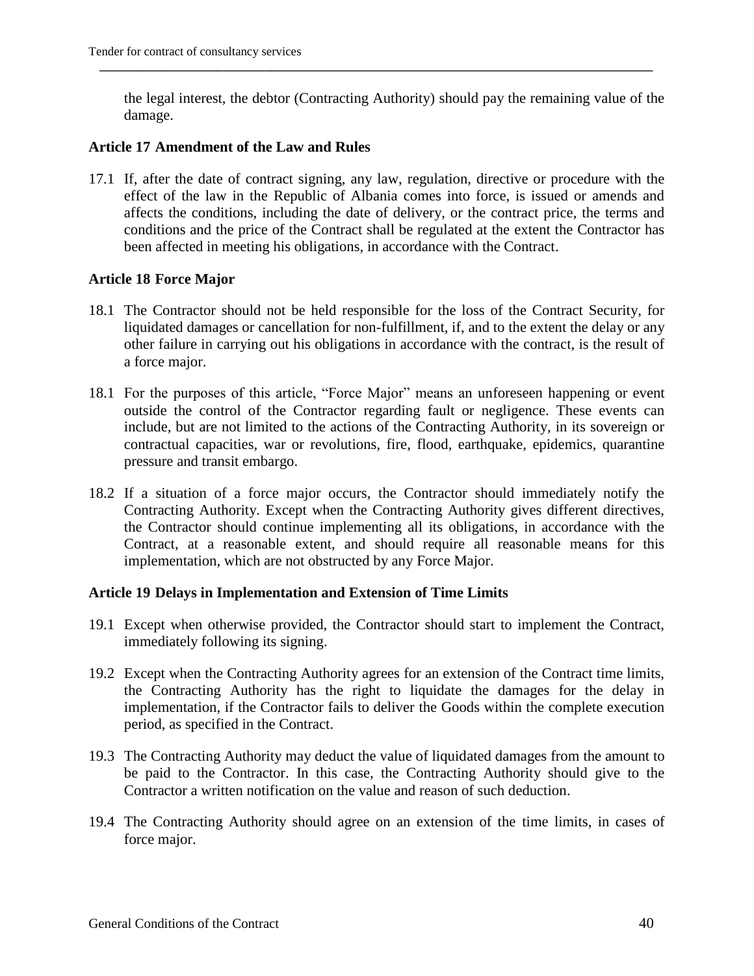the legal interest, the debtor (Contracting Authority) should pay the remaining value of the damage.

**\_\_\_\_\_\_\_\_\_\_\_\_\_\_\_\_\_\_\_\_\_\_\_\_\_\_\_\_\_\_\_\_\_\_\_\_\_\_\_\_\_\_\_\_\_\_\_\_\_\_\_\_\_\_\_\_\_\_\_\_\_\_\_\_\_\_\_\_\_\_\_\_\_\_\_\_\_\_\_\_\_\_\_\_\_\_\_\_\_\_** 

#### **Article 17 Amendment of the Law and Rules**

17.1 If, after the date of contract signing, any law, regulation, directive or procedure with the effect of the law in the Republic of Albania comes into force, is issued or amends and affects the conditions, including the date of delivery, or the contract price, the terms and conditions and the price of the Contract shall be regulated at the extent the Contractor has been affected in meeting his obligations, in accordance with the Contract.

#### **Article 18 Force Major**

- 18.1 The Contractor should not be held responsible for the loss of the Contract Security, for liquidated damages or cancellation for non-fulfillment, if, and to the extent the delay or any other failure in carrying out his obligations in accordance with the contract, is the result of a force major.
- 18.1 For the purposes of this article, "Force Major" means an unforeseen happening or event outside the control of the Contractor regarding fault or negligence. These events can include, but are not limited to the actions of the Contracting Authority, in its sovereign or contractual capacities, war or revolutions, fire, flood, earthquake, epidemics, quarantine pressure and transit embargo.
- 18.2 If a situation of a force major occurs, the Contractor should immediately notify the Contracting Authority. Except when the Contracting Authority gives different directives, the Contractor should continue implementing all its obligations, in accordance with the Contract, at a reasonable extent, and should require all reasonable means for this implementation, which are not obstructed by any Force Major.

#### **Article 19 Delays in Implementation and Extension of Time Limits**

- 19.1 Except when otherwise provided, the Contractor should start to implement the Contract, immediately following its signing.
- 19.2 Except when the Contracting Authority agrees for an extension of the Contract time limits, the Contracting Authority has the right to liquidate the damages for the delay in implementation, if the Contractor fails to deliver the Goods within the complete execution period, as specified in the Contract.
- 19.3 The Contracting Authority may deduct the value of liquidated damages from the amount to be paid to the Contractor. In this case, the Contracting Authority should give to the Contractor a written notification on the value and reason of such deduction.
- 19.4 The Contracting Authority should agree on an extension of the time limits, in cases of force major.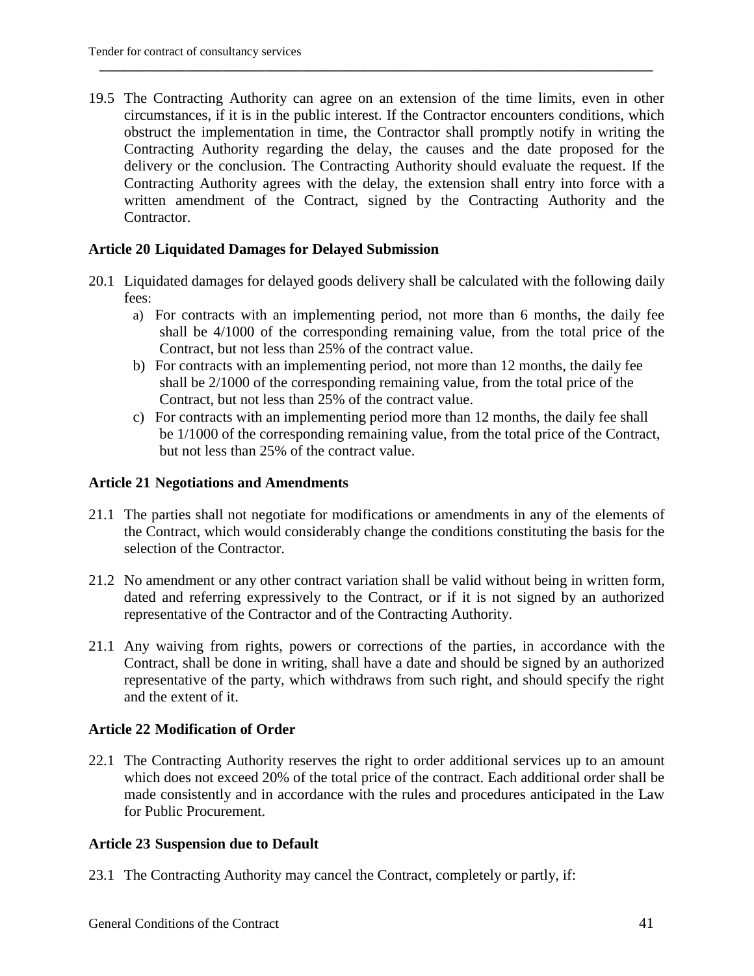19.5 The Contracting Authority can agree on an extension of the time limits, even in other circumstances, if it is in the public interest. If the Contractor encounters conditions, which obstruct the implementation in time, the Contractor shall promptly notify in writing the Contracting Authority regarding the delay, the causes and the date proposed for the delivery or the conclusion. The Contracting Authority should evaluate the request. If the Contracting Authority agrees with the delay, the extension shall entry into force with a written amendment of the Contract, signed by the Contracting Authority and the Contractor.

**\_\_\_\_\_\_\_\_\_\_\_\_\_\_\_\_\_\_\_\_\_\_\_\_\_\_\_\_\_\_\_\_\_\_\_\_\_\_\_\_\_\_\_\_\_\_\_\_\_\_\_\_\_\_\_\_\_\_\_\_\_\_\_\_\_\_\_\_\_\_\_\_\_\_\_\_\_\_\_\_\_\_\_\_\_\_\_\_\_\_** 

#### **Article 20 Liquidated Damages for Delayed Submission**

- 20.1 Liquidated damages for delayed goods delivery shall be calculated with the following daily fees:
	- a) For contracts with an implementing period, not more than 6 months, the daily fee shall be 4/1000 of the corresponding remaining value, from the total price of the Contract, but not less than 25% of the contract value.
	- b) For contracts with an implementing period, not more than 12 months, the daily fee shall be 2/1000 of the corresponding remaining value, from the total price of the Contract, but not less than 25% of the contract value.
	- c) For contracts with an implementing period more than 12 months, the daily fee shall be 1/1000 of the corresponding remaining value, from the total price of the Contract, but not less than 25% of the contract value.

#### **Article 21 Negotiations and Amendments**

- 21.1 The parties shall not negotiate for modifications or amendments in any of the elements of the Contract, which would considerably change the conditions constituting the basis for the selection of the Contractor.
- 21.2 No amendment or any other contract variation shall be valid without being in written form, dated and referring expressively to the Contract, or if it is not signed by an authorized representative of the Contractor and of the Contracting Authority.
- 21.1 Any waiving from rights, powers or corrections of the parties, in accordance with the Contract, shall be done in writing, shall have a date and should be signed by an authorized representative of the party, which withdraws from such right, and should specify the right and the extent of it.

#### **Article 22 Modification of Order**

22.1 The Contracting Authority reserves the right to order additional services up to an amount which does not exceed 20% of the total price of the contract. Each additional order shall be made consistently and in accordance with the rules and procedures anticipated in the Law for Public Procurement.

#### **Article 23 Suspension due to Default**

23.1 The Contracting Authority may cancel the Contract, completely or partly, if: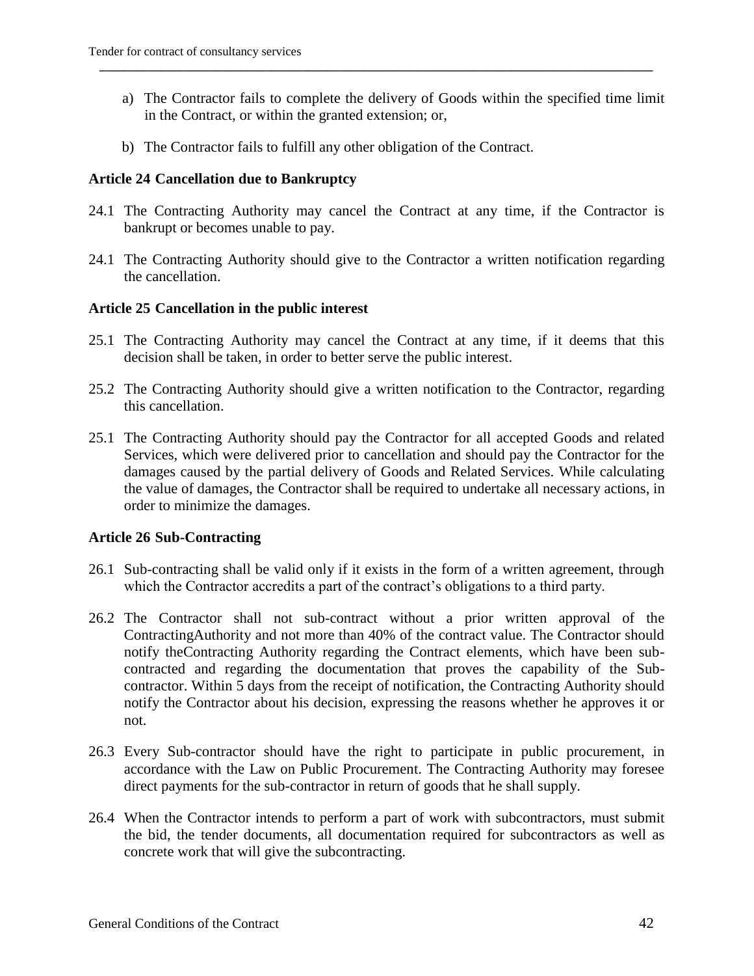a) The Contractor fails to complete the delivery of Goods within the specified time limit in the Contract, or within the granted extension; or,

**\_\_\_\_\_\_\_\_\_\_\_\_\_\_\_\_\_\_\_\_\_\_\_\_\_\_\_\_\_\_\_\_\_\_\_\_\_\_\_\_\_\_\_\_\_\_\_\_\_\_\_\_\_\_\_\_\_\_\_\_\_\_\_\_\_\_\_\_\_\_\_\_\_\_\_\_\_\_\_\_\_\_\_\_\_\_\_\_\_\_** 

b) The Contractor fails to fulfill any other obligation of the Contract.

#### **Article 24 Cancellation due to Bankruptcy**

- 24.1 The Contracting Authority may cancel the Contract at any time, if the Contractor is bankrupt or becomes unable to pay.
- 24.1 The Contracting Authority should give to the Contractor a written notification regarding the cancellation.

#### **Article 25 Cancellation in the public interest**

- 25.1 The Contracting Authority may cancel the Contract at any time, if it deems that this decision shall be taken, in order to better serve the public interest.
- 25.2 The Contracting Authority should give a written notification to the Contractor, regarding this cancellation.
- 25.1 The Contracting Authority should pay the Contractor for all accepted Goods and related Services, which were delivered prior to cancellation and should pay the Contractor for the damages caused by the partial delivery of Goods and Related Services. While calculating the value of damages, the Contractor shall be required to undertake all necessary actions, in order to minimize the damages.

#### **Article 26 Sub-Contracting**

- 26.1 Sub-contracting shall be valid only if it exists in the form of a written agreement, through which the Contractor accredits a part of the contract's obligations to a third party.
- 26.2 The Contractor shall not sub-contract without a prior written approval of the ContractingAuthority and not more than 40% of the contract value. The Contractor should notify theContracting Authority regarding the Contract elements, which have been subcontracted and regarding the documentation that proves the capability of the Subcontractor. Within 5 days from the receipt of notification, the Contracting Authority should notify the Contractor about his decision, expressing the reasons whether he approves it or not.
- 26.3 Every Sub-contractor should have the right to participate in public procurement, in accordance with the Law on Public Procurement. The Contracting Authority may foresee direct payments for the sub-contractor in return of goods that he shall supply.
- 26.4 When the Contractor intends to perform a part of work with subcontractors, must submit the bid, the tender documents, all documentation required for subcontractors as well as concrete work that will give the subcontracting.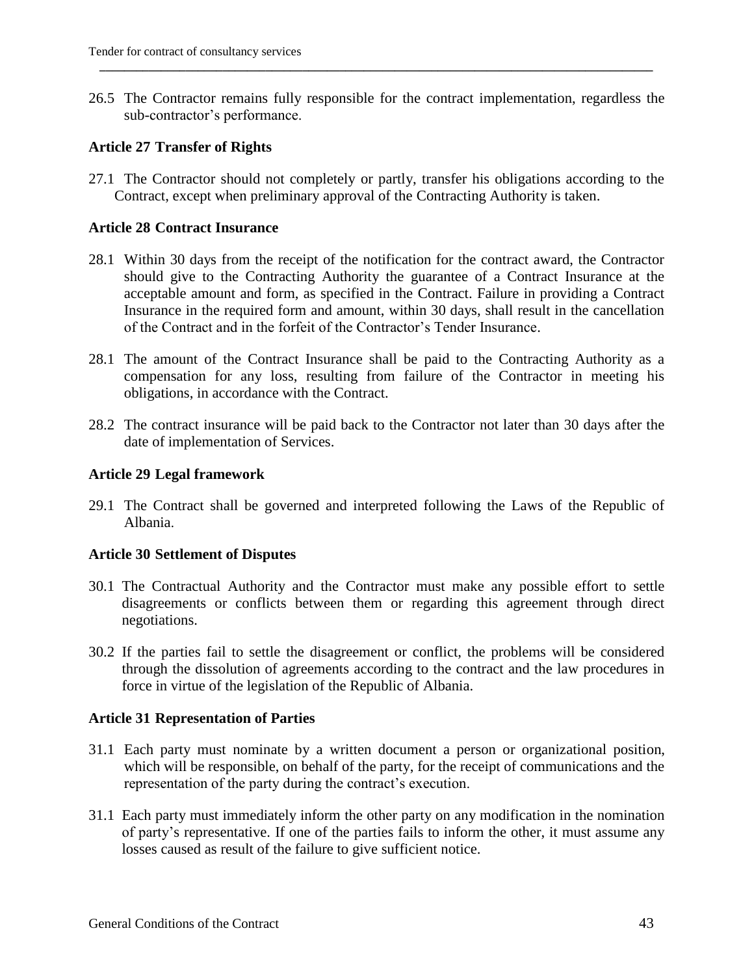26.5 The Contractor remains fully responsible for the contract implementation, regardless the sub-contractor"s performance.

**\_\_\_\_\_\_\_\_\_\_\_\_\_\_\_\_\_\_\_\_\_\_\_\_\_\_\_\_\_\_\_\_\_\_\_\_\_\_\_\_\_\_\_\_\_\_\_\_\_\_\_\_\_\_\_\_\_\_\_\_\_\_\_\_\_\_\_\_\_\_\_\_\_\_\_\_\_\_\_\_\_\_\_\_\_\_\_\_\_\_** 

#### **Article 27 Transfer of Rights**

27.1 The Contractor should not completely or partly, transfer his obligations according to the Contract, except when preliminary approval of the Contracting Authority is taken.

#### **Article 28 Contract Insurance**

- 28.1 Within 30 days from the receipt of the notification for the contract award, the Contractor should give to the Contracting Authority the guarantee of a Contract Insurance at the acceptable amount and form, as specified in the Contract. Failure in providing a Contract Insurance in the required form and amount, within 30 days, shall result in the cancellation of the Contract and in the forfeit of the Contractor"s Tender Insurance.
- 28.1 The amount of the Contract Insurance shall be paid to the Contracting Authority as a compensation for any loss, resulting from failure of the Contractor in meeting his obligations, in accordance with the Contract.
- 28.2 The contract insurance will be paid back to the Contractor not later than 30 days after the date of implementation of Services.

#### **Article 29 Legal framework**

29.1 The Contract shall be governed and interpreted following the Laws of the Republic of Albania.

#### **Article 30 Settlement of Disputes**

- 30.1 The Contractual Authority and the Contractor must make any possible effort to settle disagreements or conflicts between them or regarding this agreement through direct negotiations.
- 30.2 If the parties fail to settle the disagreement or conflict, the problems will be considered through the dissolution of agreements according to the contract and the law procedures in force in virtue of the legislation of the Republic of Albania.

#### **Article 31 Representation of Parties**

- 31.1 Each party must nominate by a written document a person or organizational position, which will be responsible, on behalf of the party, for the receipt of communications and the representation of the party during the contract's execution.
- 31.1 Each party must immediately inform the other party on any modification in the nomination of party"s representative. If one of the parties fails to inform the other, it must assume any losses caused as result of the failure to give sufficient notice.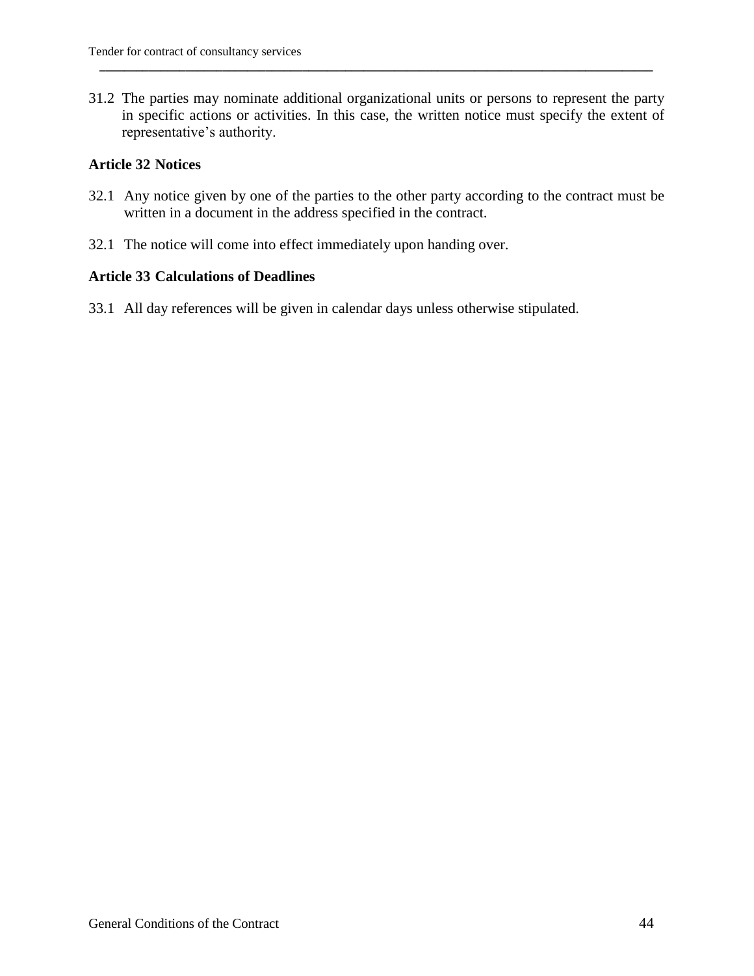31.2 The parties may nominate additional organizational units or persons to represent the party in specific actions or activities. In this case, the written notice must specify the extent of representative's authority.

**\_\_\_\_\_\_\_\_\_\_\_\_\_\_\_\_\_\_\_\_\_\_\_\_\_\_\_\_\_\_\_\_\_\_\_\_\_\_\_\_\_\_\_\_\_\_\_\_\_\_\_\_\_\_\_\_\_\_\_\_\_\_\_\_\_\_\_\_\_\_\_\_\_\_\_\_\_\_\_\_\_\_\_\_\_\_\_\_\_\_** 

#### **Article 32 Notices**

- 32.1 Any notice given by one of the parties to the other party according to the contract must be written in a document in the address specified in the contract.
- 32.1 The notice will come into effect immediately upon handing over.

#### **Article 33 Calculations of Deadlines**

33.1 All day references will be given in calendar days unless otherwise stipulated.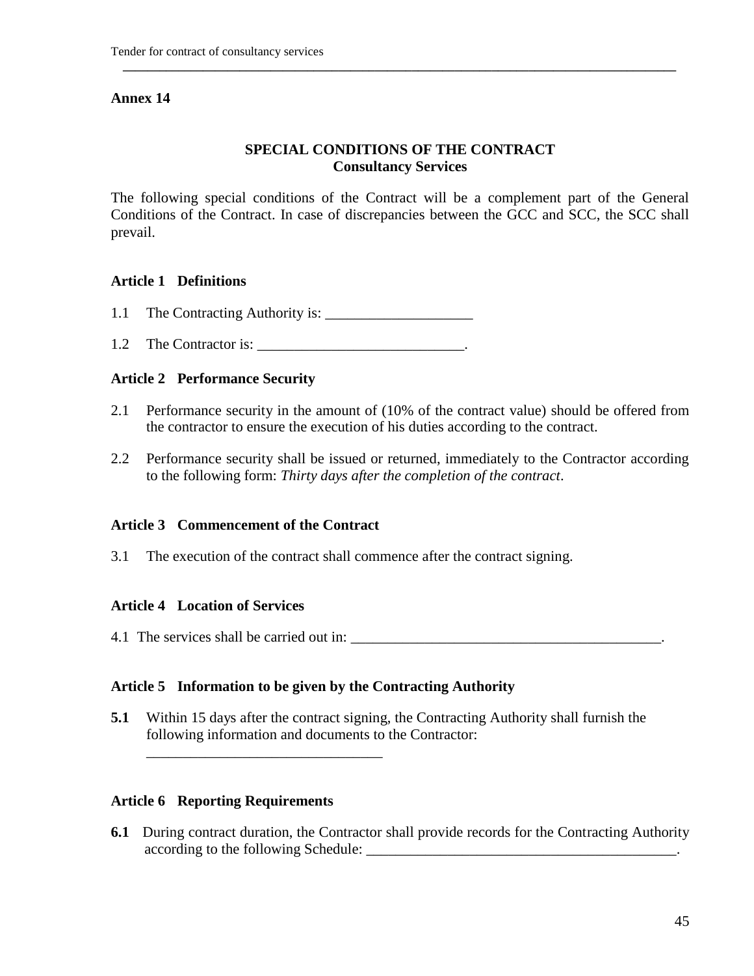### **SPECIAL CONDITIONS OF THE CONTRACT Consultancy Services**

**\_\_\_\_\_\_\_\_\_\_\_\_\_\_\_\_\_\_\_\_\_\_\_\_\_\_\_\_\_\_\_\_\_\_\_\_\_\_\_\_\_\_\_\_\_\_\_\_\_\_\_\_\_\_\_\_\_\_\_\_\_\_\_\_\_\_\_\_\_\_\_\_\_\_\_\_\_\_\_\_\_\_\_\_\_\_\_\_\_\_** 

The following special conditions of the Contract will be a complement part of the General Conditions of the Contract. In case of discrepancies between the GCC and SCC, the SCC shall prevail.

#### **Article 1 Definitions**

- 1.1 The Contracting Authority is: \_\_\_\_\_\_\_\_\_\_\_\_\_\_\_\_\_\_\_\_
- 1.2 The Contractor is: \_\_\_\_\_\_\_\_\_\_\_\_\_\_\_\_\_\_\_\_\_\_\_\_\_\_\_\_.

#### **Article 2 Performance Security**

- 2.1 Performance security in the amount of (10% of the contract value) should be offered from the contractor to ensure the execution of his duties according to the contract.
- 2.2 Performance security shall be issued or returned, immediately to the Contractor according to the following form: *Thirty days after the completion of the contract*.

#### **Article 3 Commencement of the Contract**

3.1 The execution of the contract shall commence after the contract signing.

#### **Article 4 Location of Services**

4.1 The services shall be carried out in: \_\_\_\_\_\_\_\_\_\_\_\_\_\_\_\_\_\_\_\_\_\_\_\_\_\_\_\_\_\_\_\_\_\_\_\_\_\_\_\_\_\_.

#### **Article 5 Information to be given by the Contracting Authority**

**5.1** Within 15 days after the contract signing, the Contracting Authority shall furnish the following information and documents to the Contractor:

#### **Article 6 Reporting Requirements**

\_\_\_\_\_\_\_\_\_\_\_\_\_\_\_\_\_\_\_\_\_\_\_\_\_\_\_\_\_\_\_\_

**6.1** During contract duration, the Contractor shall provide records for the Contracting Authority according to the following Schedule: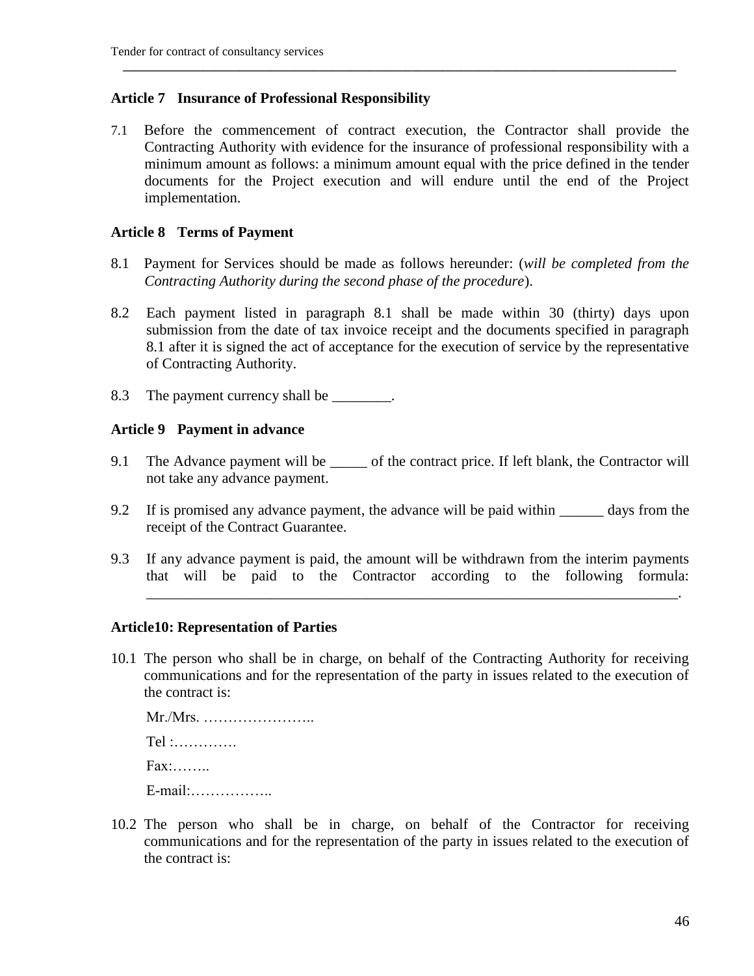#### **Article 7 Insurance of Professional Responsibility**

7.1 Before the commencement of contract execution, the Contractor shall provide the Contracting Authority with evidence for the insurance of professional responsibility with a minimum amount as follows: a minimum amount equal with the price defined in the tender documents for the Project execution and will endure until the end of the Project implementation.

**\_\_\_\_\_\_\_\_\_\_\_\_\_\_\_\_\_\_\_\_\_\_\_\_\_\_\_\_\_\_\_\_\_\_\_\_\_\_\_\_\_\_\_\_\_\_\_\_\_\_\_\_\_\_\_\_\_\_\_\_\_\_\_\_\_\_\_\_\_\_\_\_\_\_\_\_\_\_\_\_\_\_\_\_\_\_\_\_\_\_** 

#### **Article 8 Terms of Payment**

- 8.1 Payment for Services should be made as follows hereunder: (*will be completed from the Contracting Authority during the second phase of the procedure*).
- 8.2 Each payment listed in paragraph 8.1 shall be made within 30 (thirty) days upon submission from the date of tax invoice receipt and the documents specified in paragraph 8.1 after it is signed the act of acceptance for the execution of service by the representative of Contracting Authority.
- 8.3 The payment currency shall be  $\blacksquare$

#### **Article 9 Payment in advance**

- 9.1 The Advance payment will be \_\_\_\_\_ of the contract price. If left blank, the Contractor will not take any advance payment.
- 9.2 If is promised any advance payment, the advance will be paid within days from the receipt of the Contract Guarantee.
- 9.3 If any advance payment is paid, the amount will be withdrawn from the interim payments that will be paid to the Contractor according to the following formula:

\_\_\_\_\_\_\_\_\_\_\_\_\_\_\_\_\_\_\_\_\_\_\_\_\_\_\_\_\_\_\_\_\_\_\_\_\_\_\_\_\_\_\_\_\_\_\_\_\_\_\_\_\_\_\_\_\_\_\_\_\_\_\_\_\_\_\_\_\_\_\_\_.

#### **Article10: Representation of Parties**

10.1 The person who shall be in charge, on behalf of the Contracting Authority for receiving communications and for the representation of the party in issues related to the execution of the contract is:

Mr./Mrs. ………………….. Tel :…………. Fax:…….. E-mail:……………..

10.2 The person who shall be in charge, on behalf of the Contractor for receiving communications and for the representation of the party in issues related to the execution of the contract is: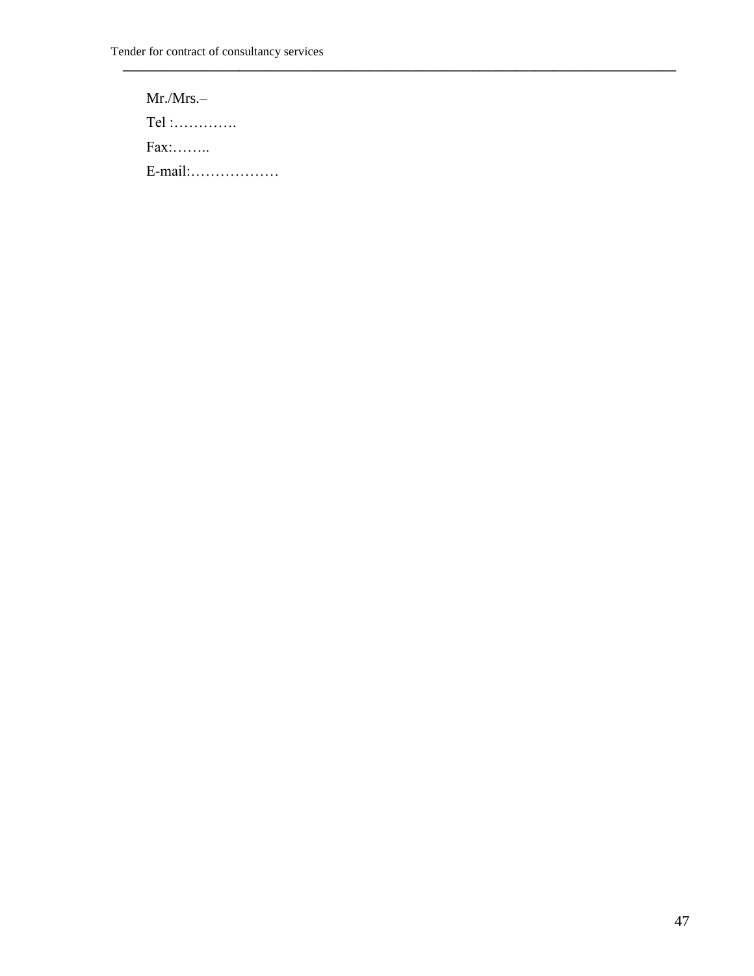**\_\_\_\_\_\_\_\_\_\_\_\_\_\_\_\_\_\_\_\_\_\_\_\_\_\_\_\_\_\_\_\_\_\_\_\_\_\_\_\_\_\_\_\_\_\_\_\_\_\_\_\_\_\_\_\_\_\_\_\_\_\_\_\_\_\_\_\_\_\_\_\_\_\_\_\_\_\_\_\_\_\_\_\_\_\_\_\_\_\_** 

Mr./Mrs.– Tel :…………. Fax:…….. E-mail:………………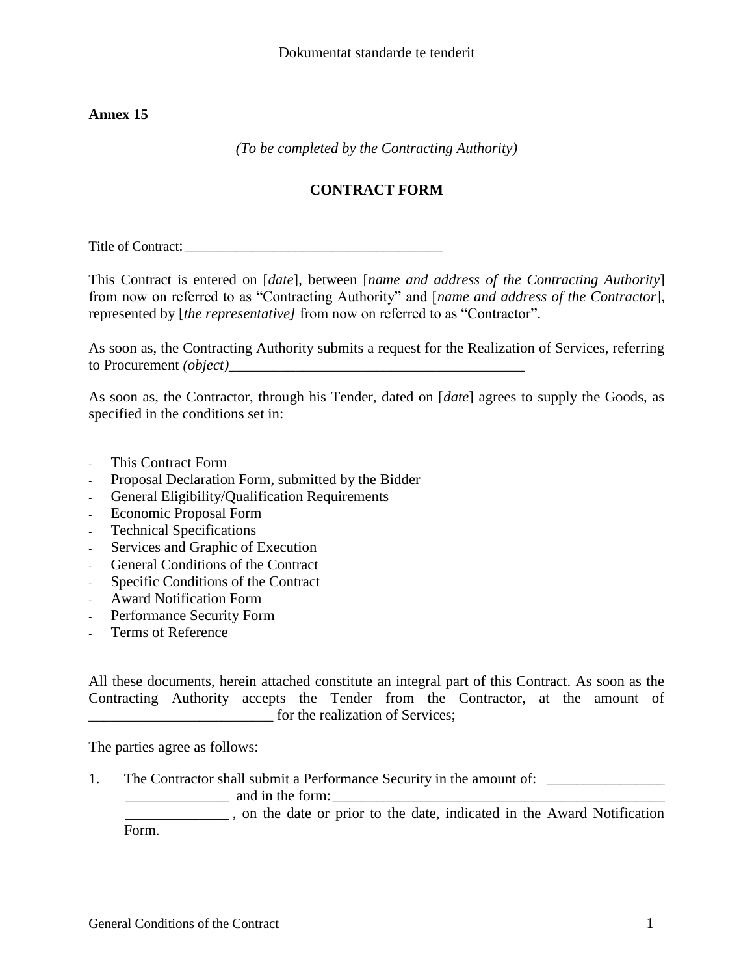*(To be completed by the Contracting Authority)*

### **CONTRACT FORM**

Title of Contract:

This Contract is entered on [*date*], between [*name and address of the Contracting Authority*] from now on referred to as "Contracting Authority" and [*name and address of the Contractor*], represented by [*the representative]* from now on referred to as "Contractor".

As soon as, the Contracting Authority submits a request for the Realization of Services, referring to Procurement *(object)*\_\_\_\_\_\_\_\_\_\_\_\_\_\_\_\_\_\_\_\_\_\_\_\_\_\_\_\_\_\_\_\_\_\_\_\_\_\_\_\_

As soon as, the Contractor, through his Tender, dated on [*date*] agrees to supply the Goods, as specified in the conditions set in:

- This Contract Form
- Proposal Declaration Form, submitted by the Bidder
- General Eligibility/Qualification Requirements
- Economic Proposal Form
- Technical Specifications
- Services and Graphic of Execution
- General Conditions of the Contract
- Specific Conditions of the Contract
- Award Notification Form
- Performance Security Form
- Terms of Reference

All these documents, herein attached constitute an integral part of this Contract. As soon as the Contracting Authority accepts the Tender from the Contractor, at the amount of \_\_\_\_\_\_\_\_\_\_\_\_\_\_\_\_\_\_\_\_\_\_\_\_\_ for the realization of Services;

The parties agree as follows:

1. The Contractor shall submit a Performance Security in the amount of: \_\_\_\_\_\_\_\_\_\_\_\_\_\_

 $\frac{1}{\sqrt{2\pi}}$  and in the form:

\_\_\_\_\_\_\_\_\_\_\_\_\_\_ , on the date or prior to the date, indicated in the Award Notification Form.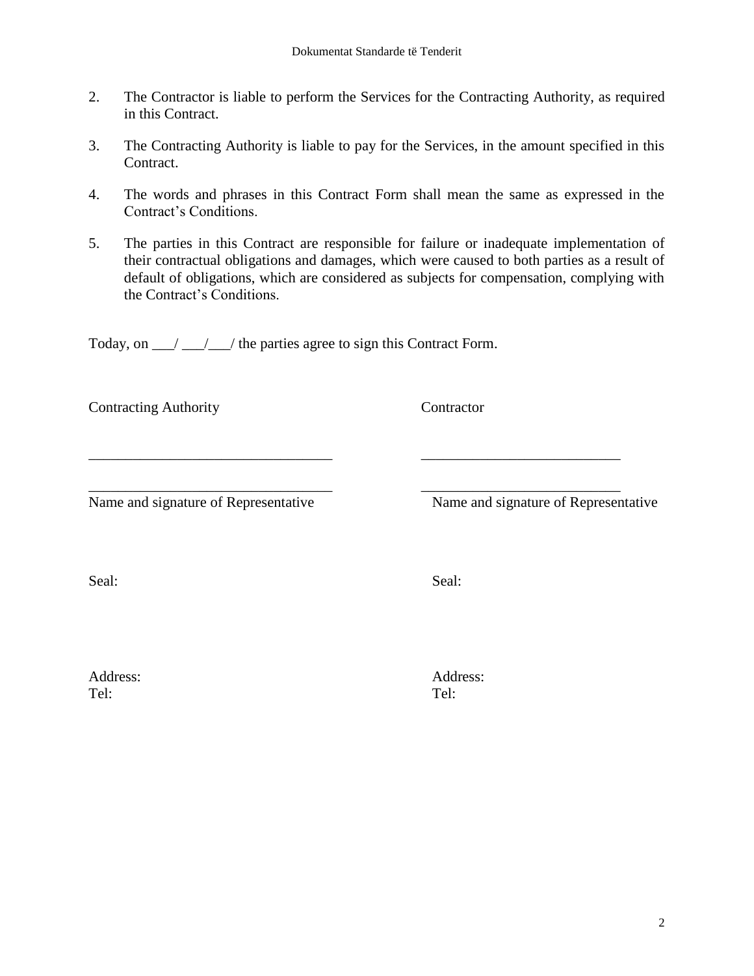- 2. The Contractor is liable to perform the Services for the Contracting Authority, as required in this Contract.
- 3. The Contracting Authority is liable to pay for the Services, in the amount specified in this Contract.
- 4. The words and phrases in this Contract Form shall mean the same as expressed in the Contract"s Conditions.
- 5. The parties in this Contract are responsible for failure or inadequate implementation of their contractual obligations and damages, which were caused to both parties as a result of default of obligations, which are considered as subjects for compensation, complying with the Contract"s Conditions.

\_\_\_\_\_\_\_\_\_\_\_\_\_\_\_\_\_\_\_\_\_\_\_\_\_\_\_\_\_\_\_\_\_ \_\_\_\_\_\_\_\_\_\_\_\_\_\_\_\_\_\_\_\_\_\_\_\_\_\_\_

\_\_\_\_\_\_\_\_\_\_\_\_\_\_\_\_\_\_\_\_\_\_\_\_\_\_\_\_\_\_\_\_\_ \_\_\_\_\_\_\_\_\_\_\_\_\_\_\_\_\_\_\_\_\_\_\_\_\_\_\_

Today, on  $\frac{1}{\sqrt{2}}$  the parties agree to sign this Contract Form.

Contracting Authority Contractor

Name and signature of Representative Name and signature of Representative

Seal: Seal: Seal: Seal: Seal: Seal: Seal: Seal: Seal: Seal: Seal: Seal: Seal: Seal: Seal: Seal: Seal: Seal: Seal: Seal: Seal: Seal: Seal: Seal: Seal: Seal: Seal: Seal: Seal: Seal: Seal: Seal: Seal: Seal: Seal: Seal: Seal:

Tel: Tel:

Address: Address: Address: Address: Address: Address: Address: Address: Address: Address: Address: Address: Address: Address: Address: Address: Address: Address: Address: Address: Address: Address: Address: Address: Addres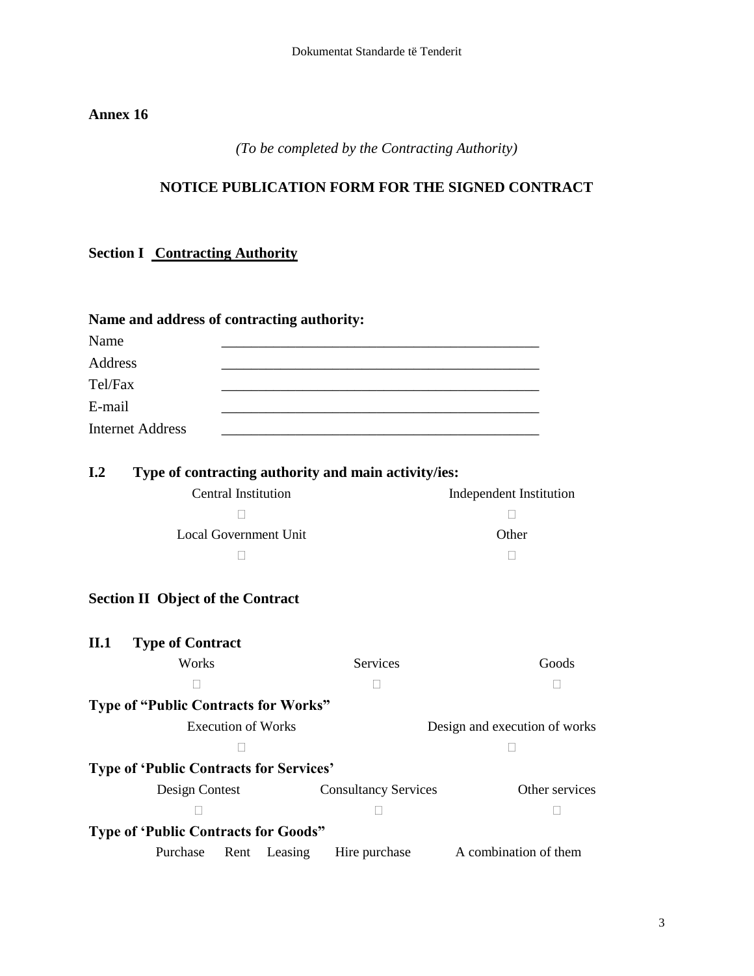### *(To be completed by the Contracting Authority)*

### **NOTICE PUBLICATION FORM FOR THE SIGNED CONTRACT**

### **Section I Contracting Authority**

| Name and address of contracting authority: |  |  |  |  |  |
|--------------------------------------------|--|--|--|--|--|
| Name                                       |  |  |  |  |  |
| Address                                    |  |  |  |  |  |
| Tel/Fax                                    |  |  |  |  |  |
| E-mail                                     |  |  |  |  |  |
| <b>Internet Address</b>                    |  |  |  |  |  |

| I.2 | Type of contracting authority and main activity/ies: |                         |
|-----|------------------------------------------------------|-------------------------|
|     | Central Institution                                  | Independent Institution |
|     |                                                      |                         |
|     | Local Government Unit                                | Other                   |
|     |                                                      |                         |

### **Section II Object of the Contract**

| II.1 | <b>Type of Contract</b>                        |                           |              |                             |                               |
|------|------------------------------------------------|---------------------------|--------------|-----------------------------|-------------------------------|
|      | Works                                          |                           |              | <b>Services</b>             | Goods                         |
|      |                                                |                           |              |                             |                               |
|      | Type of "Public Contracts for Works"           |                           |              |                             |                               |
|      |                                                | <b>Execution of Works</b> |              |                             | Design and execution of works |
|      |                                                |                           |              |                             |                               |
|      | <b>Type of 'Public Contracts for Services'</b> |                           |              |                             |                               |
|      | Design Contest                                 |                           |              | <b>Consultancy Services</b> | Other services                |
|      |                                                |                           |              |                             |                               |
|      | <b>Type of 'Public Contracts for Goods"</b>    |                           |              |                             |                               |
|      | Purchase                                       |                           | Rent Leasing | Hire purchase               | A combination of them         |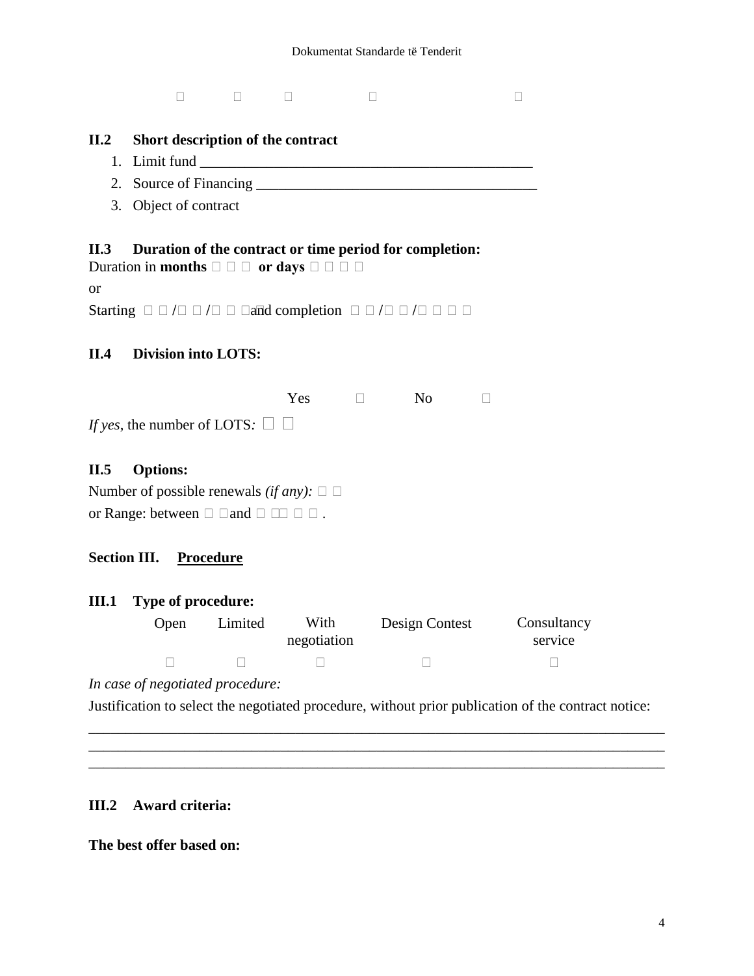#### **II.2 Short description of the contract**

- 1. Limit fund \_\_\_\_\_\_\_\_\_\_\_\_\_\_\_\_\_\_\_\_\_\_\_\_\_\_\_\_\_\_\_\_\_\_\_\_\_\_\_\_\_\_\_\_\_
- 2. Source of Financing \_\_\_\_\_\_\_\_\_\_\_\_\_\_\_\_\_\_\_\_\_\_\_\_\_\_\_\_\_\_\_\_\_\_\_\_\_\_
- 3. Object of contract

#### **II.3 Duration of the contract or time period for completion:**

```
Duration in months \square \square or days \square \square \square
```
or

Starting **//** and completion **//**

### **II.4 Division into LOTS:**

|                                           | Yes | -No |  |
|-------------------------------------------|-----|-----|--|
| If yes, the number of LOTS: $\Box$ $\Box$ |     |     |  |

#### **II.5 Options:**

Number of possible renewals *(if any)*:  $\square$ or Range: between  $\Box$   $\Box$  and  $\Box$   $\Box$   $\Box$   $\Box$  .

#### **Section III. Procedure**

#### **III.1 Type of procedure:**

| Open | Limited | With<br>negotiation | Design Contest | Consultancy<br>service |
|------|---------|---------------------|----------------|------------------------|
|      |         |                     |                |                        |

*In case of negotiated procedure:*

Justification to select the negotiated procedure, without prior publication of the contract notice:

\_\_\_\_\_\_\_\_\_\_\_\_\_\_\_\_\_\_\_\_\_\_\_\_\_\_\_\_\_\_\_\_\_\_\_\_\_\_\_\_\_\_\_\_\_\_\_\_\_\_\_\_\_\_\_\_\_\_\_\_\_\_\_\_\_\_\_\_\_\_\_\_\_\_\_\_\_\_ \_\_\_\_\_\_\_\_\_\_\_\_\_\_\_\_\_\_\_\_\_\_\_\_\_\_\_\_\_\_\_\_\_\_\_\_\_\_\_\_\_\_\_\_\_\_\_\_\_\_\_\_\_\_\_\_\_\_\_\_\_\_\_\_\_\_\_\_\_\_\_\_\_\_\_\_\_\_ \_\_\_\_\_\_\_\_\_\_\_\_\_\_\_\_\_\_\_\_\_\_\_\_\_\_\_\_\_\_\_\_\_\_\_\_\_\_\_\_\_\_\_\_\_\_\_\_\_\_\_\_\_\_\_\_\_\_\_\_\_\_\_\_\_\_\_\_\_\_\_\_\_\_\_\_\_\_

#### **III.2 Award criteria:**

**The best offer based on:**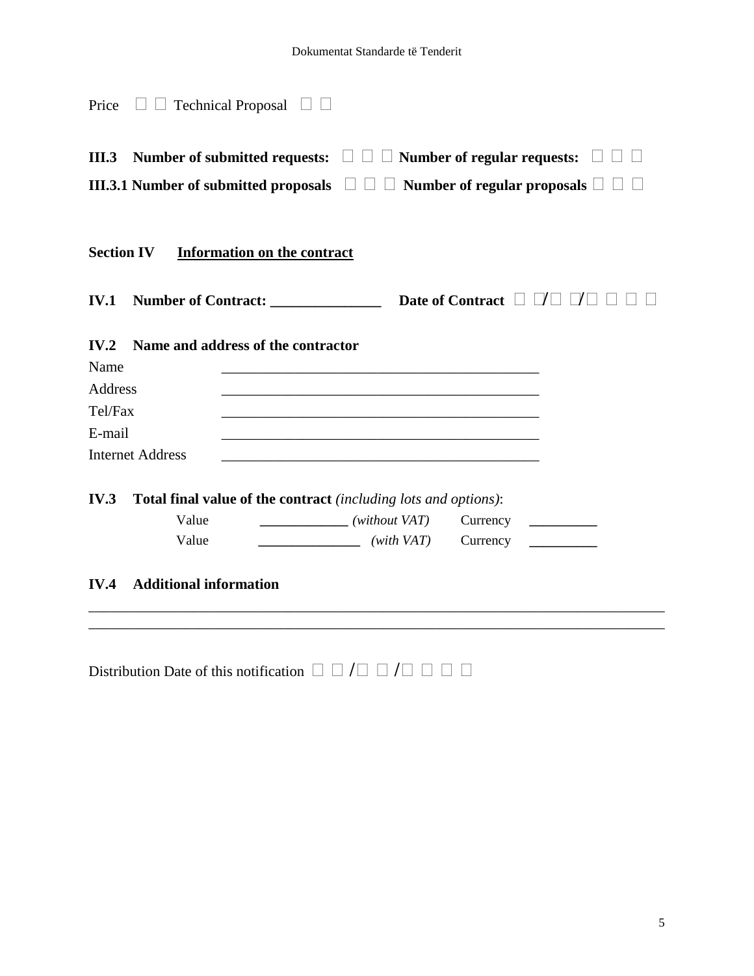| Price                                        |                               | $\Box$ Technical Proposal $\Box$                                |                                                                                                                                                                                                                                                                                                                                                                                                                                                                                                                                                                                                                                                                                                                                                                                                                                              |                                                                                                                                                                                                                                                                                                                                                                                                                                                                                                               |  |
|----------------------------------------------|-------------------------------|-----------------------------------------------------------------|----------------------------------------------------------------------------------------------------------------------------------------------------------------------------------------------------------------------------------------------------------------------------------------------------------------------------------------------------------------------------------------------------------------------------------------------------------------------------------------------------------------------------------------------------------------------------------------------------------------------------------------------------------------------------------------------------------------------------------------------------------------------------------------------------------------------------------------------|---------------------------------------------------------------------------------------------------------------------------------------------------------------------------------------------------------------------------------------------------------------------------------------------------------------------------------------------------------------------------------------------------------------------------------------------------------------------------------------------------------------|--|
| III.3                                        |                               |                                                                 |                                                                                                                                                                                                                                                                                                                                                                                                                                                                                                                                                                                                                                                                                                                                                                                                                                              | Number of submitted requests: $\Box$ $\Box$ $\Box$ Number of regular requests:                                                                                                                                                                                                                                                                                                                                                                                                                                |  |
|                                              |                               |                                                                 |                                                                                                                                                                                                                                                                                                                                                                                                                                                                                                                                                                                                                                                                                                                                                                                                                                              | III.3.1 Number of submitted proposals $\Box$ $\Box$ $\Box$ Number of regular proposals $\Box$                                                                                                                                                                                                                                                                                                                                                                                                                 |  |
| <b>Section IV</b>                            |                               | <b>Information on the contract</b>                              |                                                                                                                                                                                                                                                                                                                                                                                                                                                                                                                                                                                                                                                                                                                                                                                                                                              |                                                                                                                                                                                                                                                                                                                                                                                                                                                                                                               |  |
| <b>IV.1</b>                                  |                               |                                                                 |                                                                                                                                                                                                                                                                                                                                                                                                                                                                                                                                                                                                                                                                                                                                                                                                                                              |                                                                                                                                                                                                                                                                                                                                                                                                                                                                                                               |  |
| IV.2<br>Name<br>Address<br>Tel/Fax<br>E-mail | <b>Internet Address</b>       | Name and address of the contractor                              |                                                                                                                                                                                                                                                                                                                                                                                                                                                                                                                                                                                                                                                                                                                                                                                                                                              |                                                                                                                                                                                                                                                                                                                                                                                                                                                                                                               |  |
| IV.3                                         | Value<br>Value                | Total final value of the contract (including lots and options): | $\frac{1}{\sqrt{1-\frac{1}{2}}\sqrt{1-\frac{1}{2}}\sqrt{1-\frac{1}{2}}\sqrt{1-\frac{1}{2}}\sqrt{1-\frac{1}{2}}\sqrt{1-\frac{1}{2}}\sqrt{1-\frac{1}{2}}\sqrt{1-\frac{1}{2}}\sqrt{1-\frac{1}{2}}\sqrt{1-\frac{1}{2}}\sqrt{1-\frac{1}{2}}\sqrt{1-\frac{1}{2}}\sqrt{1-\frac{1}{2}}\sqrt{1-\frac{1}{2}}\sqrt{1-\frac{1}{2}}\sqrt{1-\frac{1}{2}}\sqrt{1-\frac{1}{2}}\sqrt{1-\frac{1}{2}}\sqrt{1-\frac{1}{2}}\sqrt{1-\frac$<br>$\frac{1}{\sqrt{1-\frac{1}{2}}\sqrt{1-\frac{1}{2}}\sqrt{1-\frac{1}{2}}\sqrt{1-\frac{1}{2}}\sqrt{1-\frac{1}{2}}\sqrt{1-\frac{1}{2}}\sqrt{1-\frac{1}{2}}\sqrt{1-\frac{1}{2}}\sqrt{1-\frac{1}{2}}\sqrt{1-\frac{1}{2}}\sqrt{1-\frac{1}{2}}\sqrt{1-\frac{1}{2}}\sqrt{1-\frac{1}{2}}\sqrt{1-\frac{1}{2}}\sqrt{1-\frac{1}{2}}\sqrt{1-\frac{1}{2}}\sqrt{1-\frac{1}{2}}\sqrt{1-\frac{1}{2}}\sqrt{1-\frac{1}{2}}\sqrt{1-\frac$ | Currency<br>$\begin{array}{cccccccccc} \hline \multicolumn{3}{c}{} & \multicolumn{3}{c}{} & \multicolumn{3}{c}{} & \multicolumn{3}{c}{} & \multicolumn{3}{c}{} & \multicolumn{3}{c}{} & \multicolumn{3}{c}{} & \multicolumn{3}{c}{} & \multicolumn{3}{c}{} & \multicolumn{3}{c}{} & \multicolumn{3}{c}{} & \multicolumn{3}{c}{} & \multicolumn{3}{c}{} & \multicolumn{3}{c}{} & \multicolumn{3}{c}{} & \multicolumn{3}{c}{} & \multicolumn{3}{c}{} & \multicolumn{3}{c}{} & \multicolumn{3}{c}{}$<br>Currency |  |
| IV.4                                         | <b>Additional information</b> |                                                                 |                                                                                                                                                                                                                                                                                                                                                                                                                                                                                                                                                                                                                                                                                                                                                                                                                                              |                                                                                                                                                                                                                                                                                                                                                                                                                                                                                                               |  |
|                                              |                               |                                                                 |                                                                                                                                                                                                                                                                                                                                                                                                                                                                                                                                                                                                                                                                                                                                                                                                                                              |                                                                                                                                                                                                                                                                                                                                                                                                                                                                                                               |  |

|--|--|--|--|--|--|--|--|--|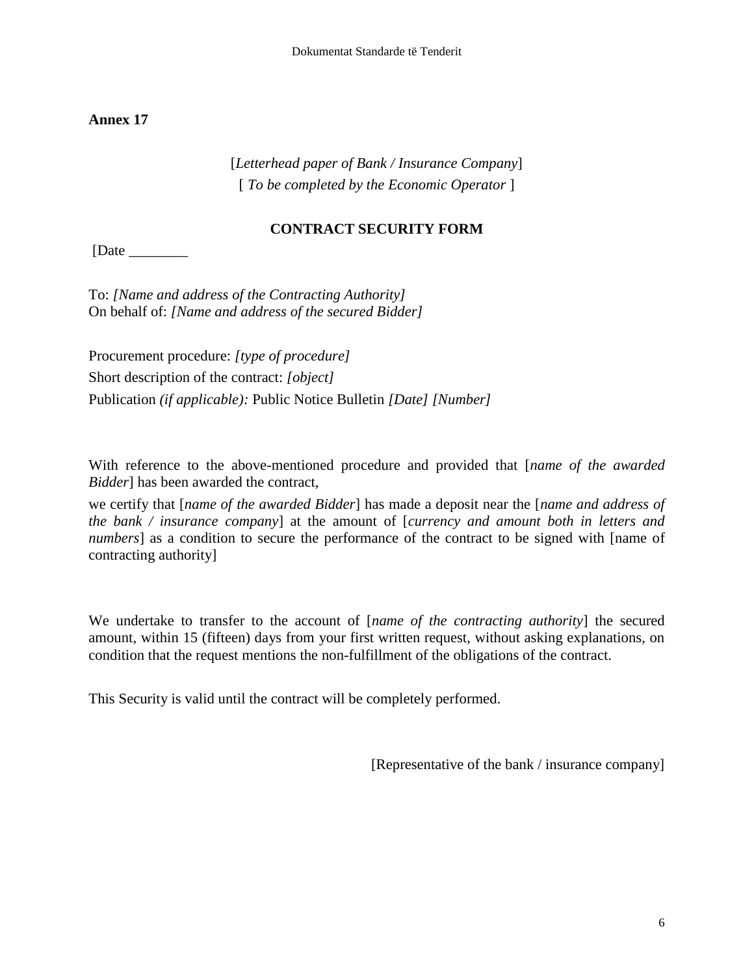[*Letterhead paper of Bank / Insurance Company*] [ *To be completed by the Economic Operator* ]

### **CONTRACT SECURITY FORM**

 $[Date \_$ 

To: *[Name and address of the Contracting Authority]* On behalf of: *[Name and address of the secured Bidder]*

Procurement procedure: *[type of procedure]* Short description of the contract: *[object]* Publication *(if applicable):* Public Notice Bulletin *[Date] [Number]*

With reference to the above-mentioned procedure and provided that [*name of the awarded Bidder*] has been awarded the contract,

we certify that [*name of the awarded Bidder*] has made a deposit near the [*name and address of the bank / insurance company*] at the amount of [*currency and amount both in letters and numbers* as a condition to secure the performance of the contract to be signed with [name of contracting authority]

We undertake to transfer to the account of [*name of the contracting authority*] the secured amount, within 15 (fifteen) days from your first written request, without asking explanations, on condition that the request mentions the non-fulfillment of the obligations of the contract.

This Security is valid until the contract will be completely performed.

[Representative of the bank / insurance company]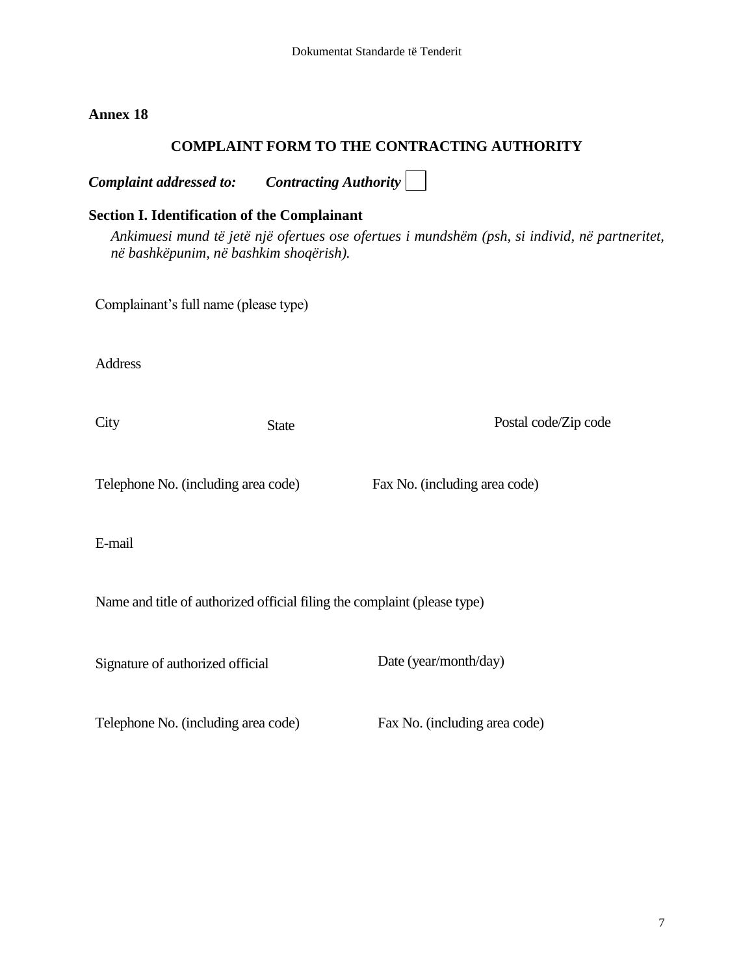### **COMPLAINT FORM TO THE CONTRACTING AUTHORITY**

*Complaint addressed to: Contracting Authority*  **Section I. Identification of the Complainant** *Ankimuesi mund të jetë një ofertues ose ofertues i mundshëm (psh, si individ, në partneritet, në bashkëpunim, në bashkim shoqërish).*  Complainant"s full name (please type) Address City State Postal code/Zip code Telephone No. (including area code) Fax No. (including area code) E-mail Name and title of authorized official filing the complaint (please type) Signature of authorized official Date (year/month/day) Telephone No. (including area code) Fax No. (including area code)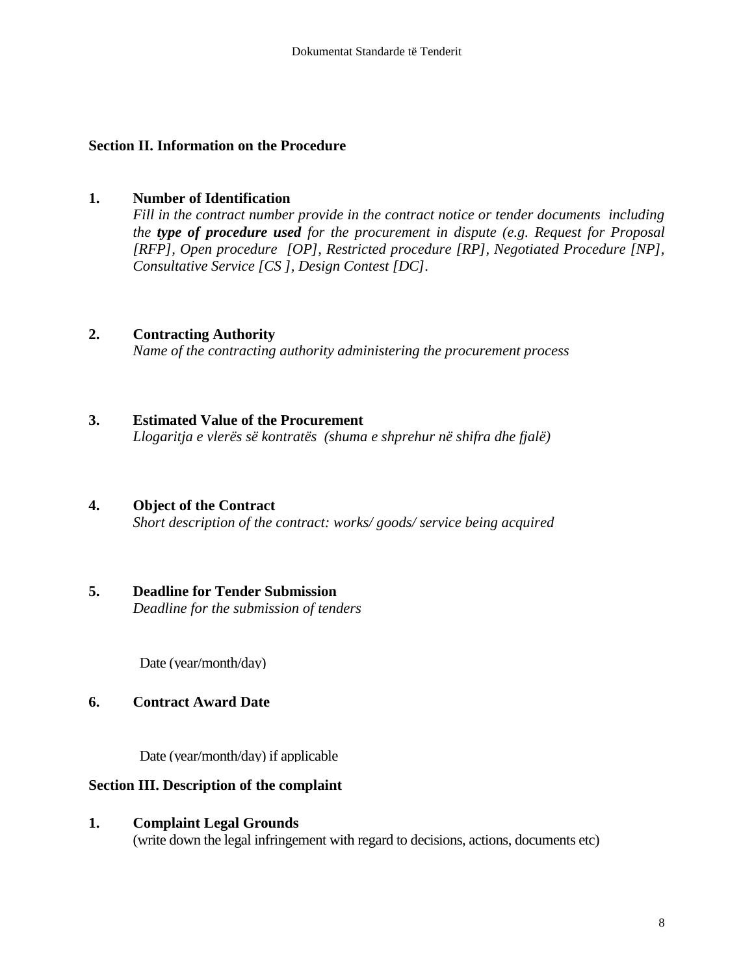#### **Section II. Information on the Procedure**

#### **1. Number of Identification**

*Fill in the contract number provide in the contract notice or tender documents including the type of procedure used for the procurement in dispute (e.g. Request for Proposal [RFP], Open procedure [OP], Restricted procedure [RP], Negotiated Procedure [NP], Consultative Service [CS ], Design Contest [DC].*

#### **2. Contracting Authority**

*Name of the contracting authority administering the procurement process*

#### **3. Estimated Value of the Procurement**

*Llogaritja e vlerës së kontratës (shuma e shprehur në shifra dhe fjalë)*

#### **4. Object of the Contract**

*Short description of the contract: works/ goods/ service being acquired* 

# **5. Deadline for Tender Submission**

*Deadline for the submission of tenders*

Date (year/month/day)

#### **6. Contract Award Date**

Date (year/month/day) if applicable

#### **Section III. Description of the complaint**

#### **1. Complaint Legal Grounds**

(write down the legal infringement with regard to decisions, actions, documents etc)